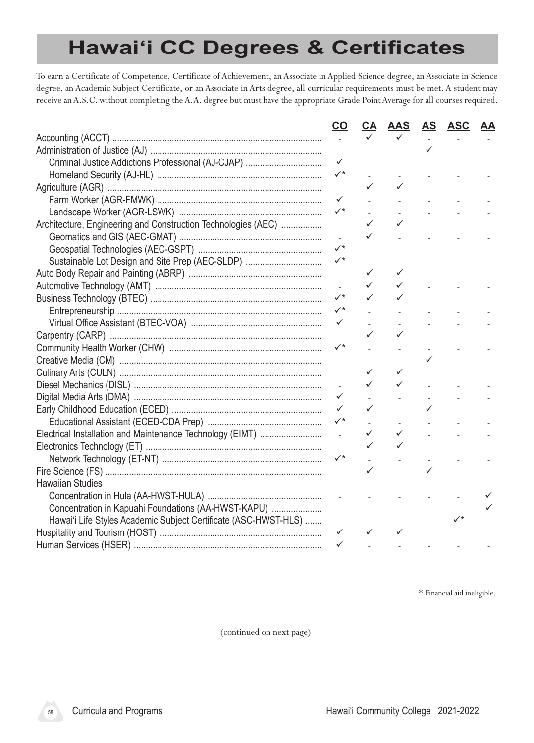# **Hawaiʻi CC Degrees & Certificates**

To earn a Certificate of Competence, Certificate of Achievement, an Associate in Applied Science degree, an Associate in Science degree, an Academic Subject Certificate, or an Associate in Arts degree, all curricular requirements must be met. A student may receive an A.S.C. without completing the A.A. degree but must have the appropriate Grade Point Average for all courses required.

|                                                                 | <u>co</u>                | <u>CA</u>    | <b>AAS</b>                                          | <u>AS</u>         | <b>ASC</b>                                                                        | <u>AA</u> |
|-----------------------------------------------------------------|--------------------------|--------------|-----------------------------------------------------|-------------------|-----------------------------------------------------------------------------------|-----------|
|                                                                 |                          |              |                                                     |                   |                                                                                   |           |
|                                                                 |                          |              |                                                     | $\checkmark$      |                                                                                   |           |
|                                                                 | $\checkmark$             |              |                                                     | <b>Contractor</b> | $\Delta \sim 10^{11}$                                                             |           |
|                                                                 | $\checkmark^{\star}$     |              |                                                     |                   | <b>All Contract Contract</b>                                                      |           |
|                                                                 | $\mathcal{L}$            | ✓            | $\checkmark$                                        |                   | $\mathcal{L}^{\text{max}}(\mathcal{L}^{\text{max}})$                              |           |
|                                                                 | $\checkmark$             |              |                                                     |                   | $\mathcal{L}^{\text{max}}(\mathcal{L}^{\text{max}})$                              |           |
|                                                                 | $\checkmark$             |              |                                                     |                   | $\mathcal{L}^{\text{max}}(\mathcal{L}^{\text{max}})$                              |           |
| Architecture, Engineering and Construction Technologies (AEC)   | $\overline{a}$           | ✓            | $\checkmark$                                        |                   | $\sim$                                                                            |           |
|                                                                 |                          |              |                                                     |                   | $\mathcal{L}$                                                                     |           |
|                                                                 | $\checkmark^*$           |              |                                                     |                   |                                                                                   |           |
| Sustainable Lot Design and Site Prep (AEC-SLDP)                 | $\checkmark$             |              |                                                     |                   |                                                                                   |           |
|                                                                 | $\mathcal{L}$            | ✓            | $\checkmark$                                        |                   |                                                                                   |           |
|                                                                 |                          | ✓            | $\checkmark$                                        |                   | $\sim$                                                                            |           |
|                                                                 | $\checkmark$             |              | ✓                                                   |                   | $\sim$                                                                            |           |
|                                                                 |                          |              |                                                     |                   | $\sim$                                                                            |           |
|                                                                 |                          |              |                                                     |                   | <b>District Control</b>                                                           |           |
|                                                                 |                          |              | $\checkmark$                                        |                   | <b>All Contractor</b>                                                             |           |
|                                                                 |                          |              |                                                     |                   | and the same of                                                                   |           |
|                                                                 | $\mathcal{L}$            |              |                                                     |                   | $\sqrt{2\pi} \left( \frac{1}{2} \right) = \frac{1}{2} \left( \frac{1}{2} \right)$ |           |
|                                                                 |                          | ✓            | $\checkmark$                                        |                   | $\Delta \sim 10^4$                                                                |           |
|                                                                 |                          | ✓            | $\checkmark$                                        |                   |                                                                                   |           |
|                                                                 | $\checkmark$             |              |                                                     |                   |                                                                                   |           |
|                                                                 | $\checkmark$             | ✓            | and in                                              |                   |                                                                                   |           |
|                                                                 | $\checkmark$             |              | $\sim$                                              |                   |                                                                                   |           |
|                                                                 | $\overline{\phantom{a}}$ | ✓            | $\checkmark$                                        |                   |                                                                                   |           |
|                                                                 |                          | ✓            | $\checkmark$                                        |                   |                                                                                   |           |
|                                                                 | $\checkmark^{\star}$     |              |                                                     |                   |                                                                                   |           |
|                                                                 |                          |              |                                                     |                   |                                                                                   |           |
| <b>Hawaiian Studies</b>                                         |                          |              |                                                     |                   |                                                                                   |           |
|                                                                 | $\sim$ $\sim$            |              |                                                     |                   |                                                                                   |           |
| Concentration in Kapuahi Foundations (AA-HWST-KAPU)             | $\sim 10$                |              | $\omega_{\rm{eff}}=0.1$ and $\omega_{\rm{eff}}=0.1$ |                   |                                                                                   |           |
| Hawai'i Life Styles Academic Subject Certificate (ASC-HWST-HLS) | $\sim$                   |              | $\omega_{\rm{max}}$                                 |                   | $\checkmark^{\star}$                                                              |           |
|                                                                 | $\checkmark$             | $\checkmark$ | $\checkmark$                                        |                   |                                                                                   |           |
|                                                                 | $\checkmark$             |              |                                                     |                   |                                                                                   |           |

\* Financial aid ineligible.

(continued on next page)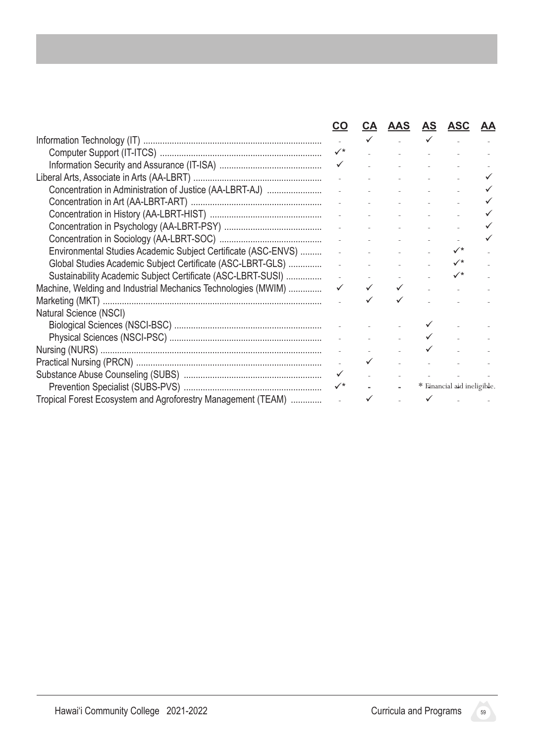|                                                               | CO             | <u>CA</u> |                                                                                                                                                                                                                                                                                                                                                                                                         |                               | AAS AS ASC                  | <u>AA</u> |
|---------------------------------------------------------------|----------------|-----------|---------------------------------------------------------------------------------------------------------------------------------------------------------------------------------------------------------------------------------------------------------------------------------------------------------------------------------------------------------------------------------------------------------|-------------------------------|-----------------------------|-----------|
|                                                               |                |           | $\checkmark$ . The set of $\checkmark$                                                                                                                                                                                                                                                                                                                                                                  | $\checkmark$ and $\checkmark$ |                             |           |
|                                                               | $\checkmark^*$ |           |                                                                                                                                                                                                                                                                                                                                                                                                         |                               |                             |           |
|                                                               |                |           | and the state of the state of                                                                                                                                                                                                                                                                                                                                                                           |                               |                             |           |
|                                                               |                |           |                                                                                                                                                                                                                                                                                                                                                                                                         |                               |                             |           |
|                                                               |                |           |                                                                                                                                                                                                                                                                                                                                                                                                         |                               |                             |           |
|                                                               |                |           | $\omega_{\rm{eff}}$ , and $\omega_{\rm{eff}}$ , and $\omega_{\rm{eff}}$ , and $\omega_{\rm{eff}}$                                                                                                                                                                                                                                                                                                       |                               |                             |           |
|                                                               |                |           | and the company of the                                                                                                                                                                                                                                                                                                                                                                                  |                               |                             |           |
|                                                               |                |           | $\Delta \phi$ and $\Delta \phi$ are the first state of                                                                                                                                                                                                                                                                                                                                                  |                               |                             |           |
|                                                               |                |           | $\omega_{\rm{eff}}$ , and $\omega_{\rm{eff}}$ , and $\omega_{\rm{eff}}$ , and $\omega_{\rm{eff}}$                                                                                                                                                                                                                                                                                                       |                               |                             |           |
| Environmental Studies Academic Subject Certificate (ASC-ENVS) |                |           |                                                                                                                                                                                                                                                                                                                                                                                                         |                               | $\checkmark^*$              |           |
|                                                               |                |           |                                                                                                                                                                                                                                                                                                                                                                                                         |                               | $\checkmark^*$              |           |
| Sustainability Academic Subject Certificate (ASC-LBRT-SUSI)   |                |           | $\omega_{\rm{eff}}=0.01$ and $\omega_{\rm{eff}}=0.01$                                                                                                                                                                                                                                                                                                                                                   |                               | $\checkmark^*$              |           |
| Machine, Welding and Industrial Mechanics Technologies (MWIM) |                |           | $\begin{array}{cccccccccccccc} \sqrt{16} & \sqrt{16} & \sqrt{16} & \sqrt{16} & \sqrt{16} & \sqrt{16} & \sqrt{16} & \sqrt{16} & \sqrt{16} & \sqrt{16} & \sqrt{16} & \sqrt{16} & \sqrt{16} & \sqrt{16} & \sqrt{16} & \sqrt{16} & \sqrt{16} & \sqrt{16} & \sqrt{16} & \sqrt{16} & \sqrt{16} & \sqrt{16} & \sqrt{16} & \sqrt{16} & \sqrt{16} & \sqrt{16} & \sqrt{16} & \sqrt{16} & \sqrt{16} & \sqrt{16} &$ |                               |                             | $\sim$    |
|                                                               |                |           |                                                                                                                                                                                                                                                                                                                                                                                                         |                               |                             |           |
| Natural Science (NSCI)                                        |                |           |                                                                                                                                                                                                                                                                                                                                                                                                         |                               |                             |           |
|                                                               |                |           |                                                                                                                                                                                                                                                                                                                                                                                                         |                               |                             |           |
|                                                               |                |           |                                                                                                                                                                                                                                                                                                                                                                                                         |                               |                             |           |
|                                                               |                |           |                                                                                                                                                                                                                                                                                                                                                                                                         |                               |                             |           |
|                                                               |                |           | $\checkmark$ and the contract of the contract of the contract of the contract of the contract of the contract of the contract of the contract of the contract of the contract of the contract of the contract of the contract of the                                                                                                                                                                    |                               |                             |           |
|                                                               |                |           |                                                                                                                                                                                                                                                                                                                                                                                                         |                               |                             |           |
|                                                               | $\checkmark^*$ |           | $\Delta \sim 10^4$                                                                                                                                                                                                                                                                                                                                                                                      |                               | * Financial aid ineligible. |           |
| Tropical Forest Ecosystem and Agroforestry Management (TEAM)  |                |           | $\checkmark$ and $\checkmark$ and $\checkmark$ and $\checkmark$                                                                                                                                                                                                                                                                                                                                         |                               |                             |           |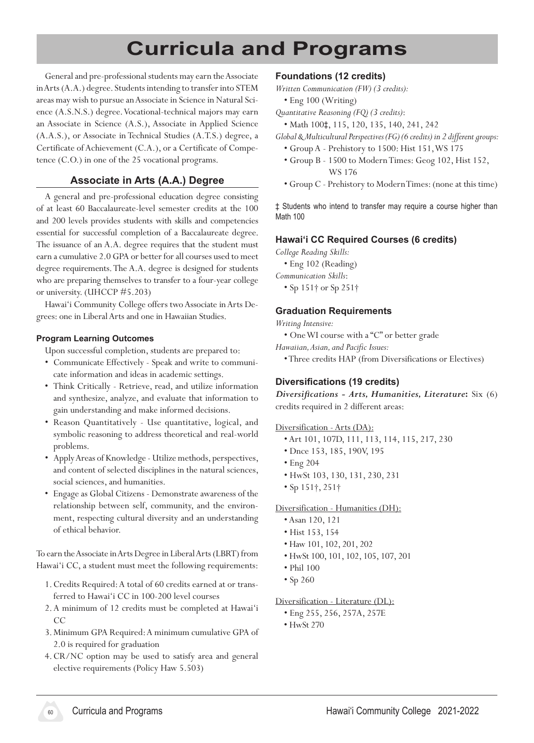# **Curricula and Programs**

General and pre-professional students may earn the Associate in Arts (A.A.) degree. Students intending to transfer into STEM areas may wish to pursue an Associate in Science in Natural Science (A.S.N.S.) degree. Vocational-technical majors may earn an Associate in Science (A.S.), Associate in Applied Science (A.A.S.), or Associate in Technical Studies (A.T.S.) degree, a Certificate of Achievement (C.A.), or a Certificate of Competence (C.O.) in one of the 25 vocational programs.

# **Associate in Arts (A.A.) Degree**

A general and pre-professional education degree consisting of at least 60 Baccalaureate-level semester credits at the 100 and 200 levels provides students with skills and competencies essential for successful completion of a Baccalaureate degree. The issuance of an A.A. degree requires that the student must earn a cumulative 2.0 GPA or better for all courses used to meet degree requirements. The A.A. degree is designed for students who are preparing themselves to transfer to a four-year college or university. (UHCCP #5.203)

Hawai'i Community College offers two Associate in Arts Degrees: one in Liberal Arts and one in Hawaiian Studies.

#### **Program Learning Outcomes**

Upon successful completion, students are prepared to:

- • Communicate Effectively Speak and write to communicate information and ideas in academic settings.
- • Think Critically Retrieve, read, and utilize information and synthesize, analyze, and evaluate that information to gain understanding and make informed decisions.
- • Reason Quantitatively Use quantitative, logical, and symbolic reasoning to address theoretical and real-world problems.
- • ApplyAreas of Knowledge -Utilize methods, perspectives, and content of selected disciplines in the natural sciences, social sciences, and humanities.
- • Engage as Global Citizens Demonstrate awareness of the relationship between self, community, and the environment, respecting cultural diversity and an understanding of ethical behavior.

To earn the Associate in Arts Degree in Liberal Arts (LBRT) from Hawai'i CC, a student must meet the following requirements:

- 1. Credits Required: A total of 60 credits earned at or transferred to Hawai'i CC in 100-200 level courses
- 2.A minimum of 12 credits must be completed at Hawai'i CC
- 3. Minimum GPA Required:A minimum cumulative GPA of 2.0 is required for graduation
- 4. CR/NC option may be used to satisfy area and general elective requirements (Policy Haw 5.503)

# **Foundations (12 credits)**

*Written Communication (FW) (3 credits):*

 • Eng 100 (Writing)

*Quantitative Reasoning (FQ) (3 credits)*:

 • Math 100‡, 115, 120, 135, 140, 241, 242

*Global & Multicultural Perspectives (FG) (6 credits) in 2 different groups:*

- Group A Prehistory to 1500: Hist 151,WS 175
- Group B 1500 to ModernTimes: Geog 102, Hist 152, WS 176
- Group C Prehistory to ModernTimes:(none at this time)

‡ Students who intend to transfer may require a course higher than Math 100

# **Hawaiʻi CC Required Courses (6 credits)**

*College Reading Skills:*

 • Eng 102 (Reading)

*Communication Skills*:

 • Sp 151† or Sp 251†

#### **Graduation Requirements**

*Writing Intensive:*

 • OneWI course with a "C" or better grade

*Hawaiian, Asian, and Pacific Issues:*

 •Three credits HAP (from Diversifications or Electives)

#### **Diversifications (19 credits)**

*Diversifications - Arts, Humanities, Literature***:** Six (6) credits required in 2 different areas:

#### Diversification - Arts (DA):

- Art 101, 107D, 111, 113, 114, 115, 217, 230
- Dnce 153, 185, 190V, 195
- Eng 204
- HwSt 103, 130, 131, 230, 231
- Sp 151†, 251†

#### Diversification - Humanities (DH):

- Asan 120, 121
- Hist 153, 154
- Haw 101, 102, 201, 202
- HwSt 100, 101, 102, 105, 107, 201
- Phil 100
- Sp 260

#### Diversification - Literature (DL):

 • Eng 255, 256, 257A, 257E

 • HwSt 270

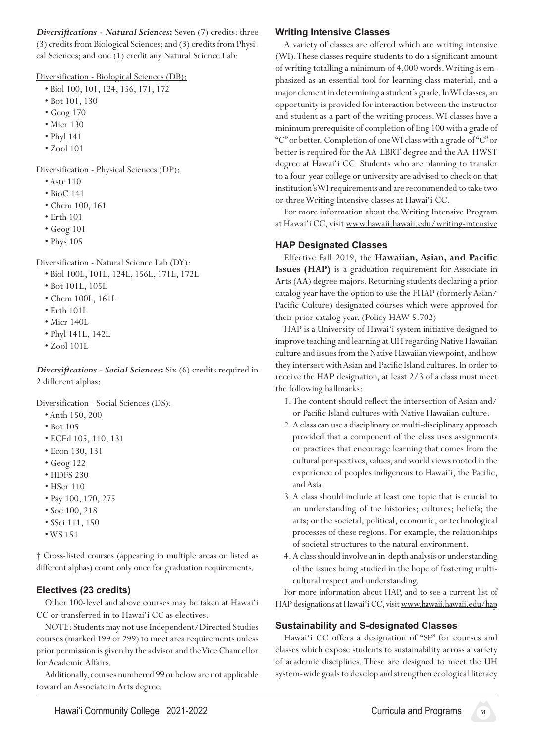*Diversifications - Natural Sciences***:** Seven (7) credits: three (3) credits from Biological Sciences; and (3) credits from Physical Sciences; and one (1) credit any Natural Science Lab:

Diversification - Biological Sciences (DB):

- Biol 100, 101, 124, 156, 171, 172
- Bot 101, 130
- Geog 170
- Micr 130
- Phyl 141
- Zool 101

Diversification - Physical Sciences (DP):

- Astr 110
- BioC 141
- Chem 100, 161
- Erth 101
- Geog 101
- Phys 105

Diversification - Natural Science Lab (DY):

- Biol 100L, 101L, 124L, 156L, 171L, 172L
- Bot 101L, 105L
- Chem 100L, 161L
- Erth 101L
- Micr 140L
- Phyl 141L, 142L
- Zool 101L

*Diversifications - Social Sciences***:** Six (6) credits required in 2 different alphas:

Diversification - Social Sciences (DS):

- Anth 150, 200
- Bot 105
- ECEd 105, 110, 131
- Econ 130, 131
- Geog 122
- HDFS 230
- HSer 110
- Psy 100, 170, 275
- Soc 100, 218
- SSci 111, 150
- •WS 151

† Cross‑listed courses (appearing in multiple areas or listed as different alphas) count only once for graduation requirements.

# **Electives (23 credits)**

Other 100-level and above courses may be taken at Hawai'i CC or transferred in to Hawai'i CC as electives.

 NOTE: Students may not use Independent/Directed Studies courses (marked 199 or 299) to meet area requirements unless prior permission is given by the advisor and the Vice Chancellor for Academic Affairs.

Additionally, courses numbered 99 or below are not applicable toward an Associate in Arts degree.

# **Writing Intensive Classes**

A variety of classes are offered which are writing intensive (WI).These classes require students to do a significant amount of writing totalling a minimum of 4,000 words.Writing is emphasized as an essential tool for learning class material, and a major element in determining astudent's grade.InWIclasses,an opportunity is provided for interaction between the instructor and student as a part of the writing process.WI classes have a minimum prerequisite of completion of Eng 100 with a grade of "C" or better.Completion of oneWIclass with a grade of"C" or better is required for the AA-LBRT degree and the AA-HWST degree at Hawai'i CC. Students who are planning to transfer to a four-year college or university are advised to check on that institution's WI requirements and are recommended to take two or threeWriting Intensive classes at Hawai'i CC.

 For more information about theWriting Intensive Program at Hawai'i CC, visit www.hawaii.hawaii.edu/writing-intensive

# **HAP Designated Classes**

 Effective Fall 2019, the **Hawaiian, Asian, and Pacific Issues (HAP)** is a graduation requirement for Associate in Arts (AA) degree majors. Returning students declaring a prior catalog year have the option to use the FHAP (formerlyAsian/ Pacific Culture) designated courses which were approved for their prior catalog year. (Policy HAW 5.702)

HAP is a University of Hawai'i system initiative designed to improve teaching and learning at UH regarding Native Hawaiian culture and issues from the Native Hawaiian viewpoint, and how they intersect with Asian and Pacific Island cultures. In order to receive the HAP designation, at least 2/3 of a class must meet the following hallmarks:

- 1. The content should reflect the intersection of Asian and/ or Pacific Island cultures with Native Hawaiian culture.
- 2.A class can use a disciplinary or multi-disciplinary approach provided that a component of the class uses assignments or practices that encourage learning that comes from the cultural perspectives, values, and world views rooted in the experience of peoples indigenous to Hawai'i, the Pacific, and Asia.
- 3.A class should include at least one topic that is crucial to an understanding of the histories; cultures; beliefs; the arts; or the societal, political, economic, or technological processes of these regions. For example, the relationships of societal structures to the natural environment.
- 4.A class should involve an in-depth analysis or understanding of the issues being studied in the hope of fostering multicultural respect and understanding.

For more information about HAP, and to see a current list of HAP designations at Hawai'i CC, visit www.hawaii.hawaii.edu/hap

# **Sustainability and S-designated Classes**

 Hawai'i CC offers a designation of "SF" for courses and classes which expose students to sustainability across a variety of academic disciplines. These are designed to meet the UH system-wide goals to develop and strengthen ecological literacy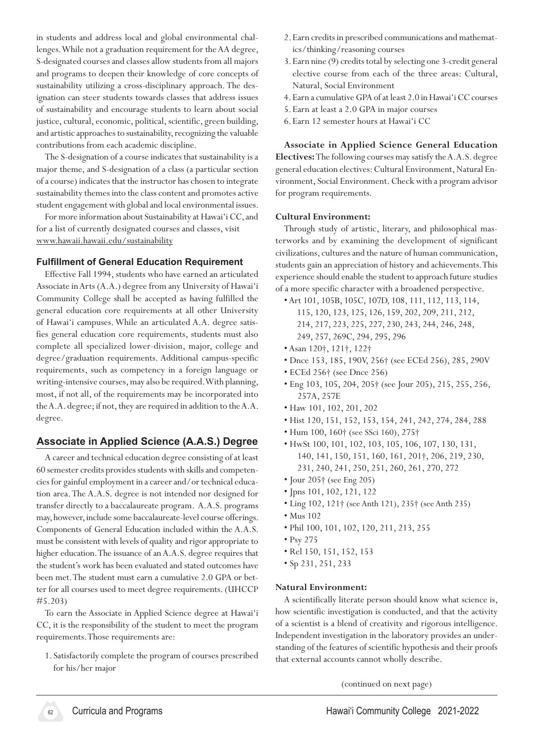in students and address local and global environmental challenges.While not a graduation requirement for theAA degree, S-designated courses and classes allow students from all majors and programs to deepen their knowledge of core concepts of sustainability utilizing a cross-disciplinary approach.The designation can steer students towards classes that address issues of sustainability and encourage students to learn about social justice, cultural, economic, political, scientific, green building, and artistic approaches to sustainability, recognizing the valuable contributions from each academic discipline.

The S-designation of a course indicates that sustainability is a major theme, and S-designation of a class (a particular section of a course) indicates that the instructor has chosen to integrate sustainability themes into the class content and promotes active student engagement with global and local environmental issues.

For more information about Sustainability at Hawai'i CC, and for a list of currently designated courses and classes, visit www.hawaii.hawaii.edu/sustainability

#### **Fulfillment of General Education Requirement**

 Effective Fall 1994, students who have earned an articulated Associate in Arts (A.A.) degree from any University of Hawai'i Community College shall be accepted as having fulfilled the general education core requirements at all other University of Hawai'i campuses.While an articulated A.A. degree satisfies general education core requirements, students must also complete all specialized lower-division, major, college and degree/graduation requirements. Additional campus-specific requirements, such as competency in a foreign language or writing-intensive courses,may also be required.With planning, most, if not all, of the requirements may be incorporated into the A.A. degree; if not, they are required in addition to the A.A. degree.

# **Associate in Applied Science (A.A.S.) Degree**

A career and technical education degree consisting of at least 60 semester credits provides students with skills and competencies for gainful employment in a career and/or technical education area. The A.A.S. degree is not intended nor designed for transfer directly to a baccalaureate program. A.A.S. programs may, however, include some baccalaureate-level course offerings. Components of General Education included within the A.A.S. must be consistent with levels of quality and rigor appropriate to higher education. The issuance of an A.A.S. degree requires that the student's work has been evaluated and stated outcomes have been met. The student must earn a cumulative 2.0 GPA or better for all courses used to meet degree requirements. (UHCCP #5.203)

To earn the Associate in Applied Science degree at Hawai'i CC, it is the responsibility of the student to meet the program requirements. Those requirements are:

1. Satisfactorily complete the program of courses prescribed for his/her major

- 2.Earn credits in prescribed communications and mathematics/thinking/reasoning courses
- 3. Earn nine (9) credits total by selecting one 3-credit general elective course from each of the three areas: Cultural, Natural, Social Environment
- 4.Earn a cumulative GPA of at least 2.0 in Hawai'i CC courses
- 5.Earn at least a 2.0 GPA in major courses
- 6.Earn 12 semester hours at Hawai'i CC

**Associate in Applied Science General Education Electives:** The following courses may satisfy the A.A.S. degree general education electives: Cultural Environment, Natural Environment, Social Environment. Check with a program advisor for program requirements.

#### **Cultural Environment:**

Through study of artistic, literary, and philosophical masterworks and by examining the development of significant civilizations, cultures and the nature of human communication, students gain an appreciation of history and achievements. This experience should enable the student to approach future studies of a more specific character with a broadened perspective.

- •Art 101, 105B, 105C, 107D, 108, 111, 112, 113, 114,
	- 115, 120, 123, 125, 126, 159, 202, 209, 211, 212,
	- 214, 217, 223, 225, 227, 230, 243, 244, 246, 248,
	- 249, 257, 269C, 294, 295, 296
- Asan 120†, 121†, 122†
- Dnce 153, 185, 190V, 256† (see ECEd 256), 285, 290V
- ECEd 256† (see Dnce 256)
- Eng 103, 105, 204, 205† (see Jour 205), 215, 255, 256, 257A, 257E
- Haw 101, 102, 201, 202
- Hist 120, 151, 152, 153, 154, 241, 242, 274, 284, 288
- Hum 100, 160† (see SSci 160), 275†
- HwSt 100, 101, 102, 103, 105, 106, 107, 130, 131, 140, 141, 150, 151, 160, 161, 201†, 206, 219, 230, 231, 240, 241, 250, 251, 260, 261, 270, 272
- Jour 205† (see Eng 205)
- Jpns 101, 102, 121, 122
- Ling 102, 121† (see Anth 121), 235† (see Anth 235)
- Mus 102
- Phil 100, 101, 102, 120, 211, 213, 255
- Psy 275
- Rel 150, 151, 152, 153
- Sp 231, 251, 233

#### **Natural Environment:**

A scientifically literate person should know what science is, how scientific investigation is conducted, and that the activity of a scientist is a blend of creativity and rigorous intelligence. Independent investigation in the laboratory provides an understanding of the features of scientific hypothesis and their proofs that external accounts cannot wholly describe.

(continued on next page)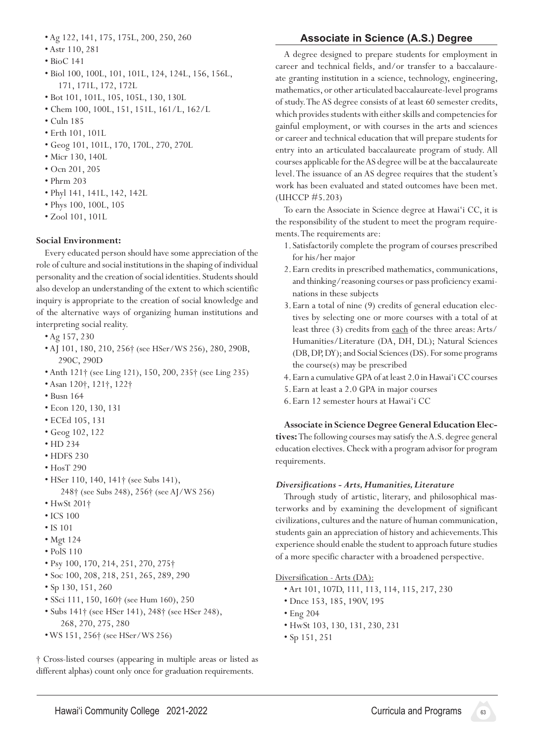- Ag 122, 141, 175, 175L, 200, 250, 260
- Astr 110, 281
- BioC 141
- Biol 100, 100L, 101, 101L, 124, 124L, 156, 156L, 171, 171L, 172, 172L
- Bot 101, 101L, 105, 105L, 130, 130L
- Chem 100, 100L, 151, 151L, 161/L, 162/L
- Culn 185
- Erth 101, 101L
- Geog 101, 101L, 170, 170L, 270, 270L
- Micr 130, 140L
- Ocn 201, 205
- Phrm 203
- Phyl 141, 141L, 142, 142L
- Phys 100, 100L, 105
- Zool 101, 101L

#### **Social Environment:**

Every educated person should have some appreciation of the role of culture and social institutions in the shaping of individual personality and the creation of social identities. Students should also develop an understanding of the extent to which scientific inquiry is appropriate to the creation of social knowledge and of the alternative ways of organizing human institutions and interpreting social reality.

- Ag 157, 230
- AJ 101, 180, 210, 256† (see HSer/WS 256), 280, 290B, 290C, 290D
- Anth 121† (see Ling 121), 150, 200, 235† (see Ling 235)
- Asan 120†, 121†, 122†
- Busn 164
- Econ 120, 130, 131
- ECEd 105, 131
- Geog 102, 122
- HD 234
- HDFS 230
- HosT 290
- HSer 110, 140, 141† (see Subs 141), 248† (see Subs 248), 256† (see AJ/WS 256)
- HwSt 201†
- ICS 100
- IS 101
- Mgt 124
- PolS 110
- Psy 100, 170, 214, 251, 270, 275†
- Soc 100, 208, 218, 251, 265, 289, 290
- Sp 130, 151, 260
- SSci 111, 150, 160† (see Hum 160), 250
- Subs 141† (see HSer 141), 248† (see HSer 248), 268, 270, 275, 280
- WS 151, 256† (see HSer/WS 256)

† Cross‑listed courses (appearing in multiple areas or listed as different alphas) count only once for graduation requirements.

# **Associate in Science (A.S.) Degree**

A degree designed to prepare students for employment in career and technical fields, and/or transfer to a baccalaureate granting institution in a science, technology, engineering, mathematics, or other articulated baccalaureate-level programs of study. The AS degree consists of at least 60 semester credits, which provides students with either skills and competencies for gainful employment, or with courses in the arts and sciences or career and technical education that will prepare students for entry into an articulated baccalaureate program of study. All courses applicable for the AS degree will be at the baccalaureate level. The issuance of an AS degree requires that the student's work has been evaluated and stated outcomes have been met. (UHCCP #5.203)

To earn the Associate in Science degree at Hawai'i CC, it is the responsibility of the student to meet the program requirements. The requirements are:

- 1. Satisfactorily complete the program of courses prescribed for his/her major
- 2.Earn credits in prescribed mathematics, communications, and thinking/reasoning courses or pass proficiency examinations in these subjects
- 3. Earn a total of nine (9) credits of general education electives by selecting one or more courses with a total of at least three (3) credits from each of the three areas:Arts/ Humanities/Literature (DA, DH, DL); Natural Sciences (DB, DP, DY); and Social Sciences (DS). For some programs the course(s) may be prescribed
- 4.Earn a cumulative GPA of at least 2.0 in Hawai'i CC courses
- 5.Earn at least a 2.0 GPA in major courses
- 6.Earn 12 semester hours at Hawai'i CC

**Associate in Science Degree General Education Elec-**

**tives:** The following courses may satisfy the A.S. degree general education electives. Check with a program advisor for program requirements.

#### *Diversifications - Arts, Humanities, Literature*

Through study of artistic, literary, and philosophical masterworks and by examining the development of significant civilizations, cultures and the nature of human communication, students gain an appreciation of history and achievements. This experience should enable the student to approach future studies of a more specific character with a broadened perspective.

#### Diversification - Arts (DA):

- Art 101, 107D, 111, 113, 114, 115, 217, 230
- Dnce 153, 185, 190V, 195
- Eng 204
- HwSt 103, 130, 131, 230, 231
- Sp 151, 251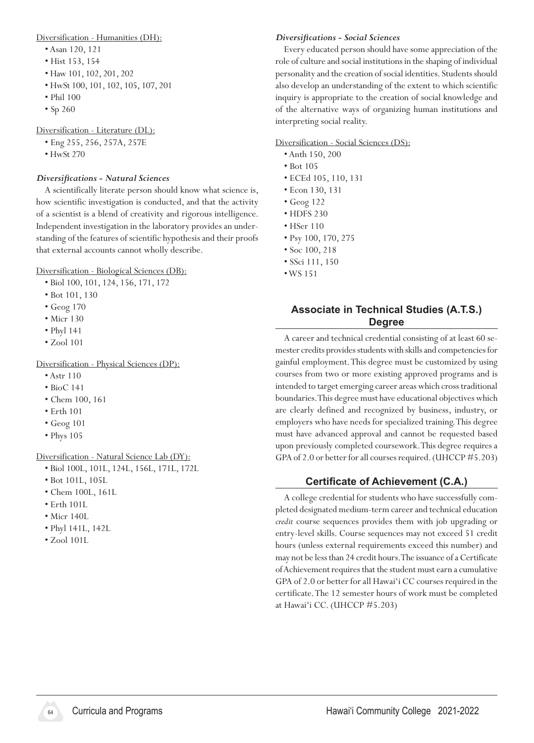#### Diversification - Humanities (DH):

- Asan 120, 121
- Hist 153, 154
- Haw 101, 102, 201, 202
- HwSt 100, 101, 102, 105, 107, 201
- Phil 100
- Sp 260

Diversification - Literature (DL):

- Eng 255, 256, 257A, 257E
- HwSt 270

#### *Diversifications - Natural Sciences*

A scientifically literate person should know what science is, how scientific investigation is conducted, and that the activity of a scientist is a blend of creativity and rigorous intelligence. Independent investigation in the laboratory provides an understanding of the features of scientific hypothesis and their proofs that external accounts cannot wholly describe.

Diversification - Biological Sciences (DB):

- Biol 100, 101, 124, 156, 171, 172
- Bot 101, 130
- Geog 170
- Micr 130
- Phyl 141
- Zool 101

Diversification - Physical Sciences (DP):

- Astr 110
- BioC 141
- Chem 100, 161
- Erth 101
- Geog 101
- Phys 105

Diversification - Natural Science Lab (DY):

- Biol 100L, 101L, 124L, 156L, 171L, 172L
- Bot 101L, 105L
- Chem 100L, 161L
- Erth 101L
- Micr 140L
- Phyl 141L, 142L
- Zool 101L

#### *Diversifications - Social Sciences*

Every educated person should have some appreciation of the role of culture and social institutions in the shaping of individual personality and the creation of social identities. Students should also develop an understanding of the extent to which scientific inquiry is appropriate to the creation of social knowledge and of the alternative ways of organizing human institutions and interpreting social reality.

#### Diversification - Social Sciences (DS):

- Anth 150, 200
- Bot 105
- ECEd 105, 110, 131
- Econ 130, 131
- Geog 122
- HDFS 230
- HSer 110
- Psy 100, 170, 275
- Soc 100, 218
- SSci 111, 150
- •WS 151

# **Associate in Technical Studies (A.T.S.) Degree**

A career and technical credential consisting of at least 60 semester credits provides students with skills and competencies for gainful employment.This degree must be customized by using courses from two or more existing approved programs and is intended to target emerging career areas which cross traditional boundaries. This degree must have educational objectives which are clearly defined and recognized by business, industry, or employers who have needs for specialized training.This degree must have advanced approval and cannot be requested based upon previously completed coursework. This degree requires a GPA of 2.0 or better for all courses required. (UHCCP #5.203)

# **Certificate of Achievement (C.A.)**

A college credential for students who have successfully completed designated medium-term career and technical education *credit* course sequences provides them with job upgrading or entry-level skills. Course sequences may not exceed 51 credit hours (unless external requirements exceed this number) and may not be less than 24 credit hours. The issuance of a Certificate of Achievement requires that the student must earn a cumulative GPA of 2.0 or better for all Hawai'i CC courses required in the certificate. The 12 semester hours of work must be completed at Hawai'i CC. (UHCCP #5.203)

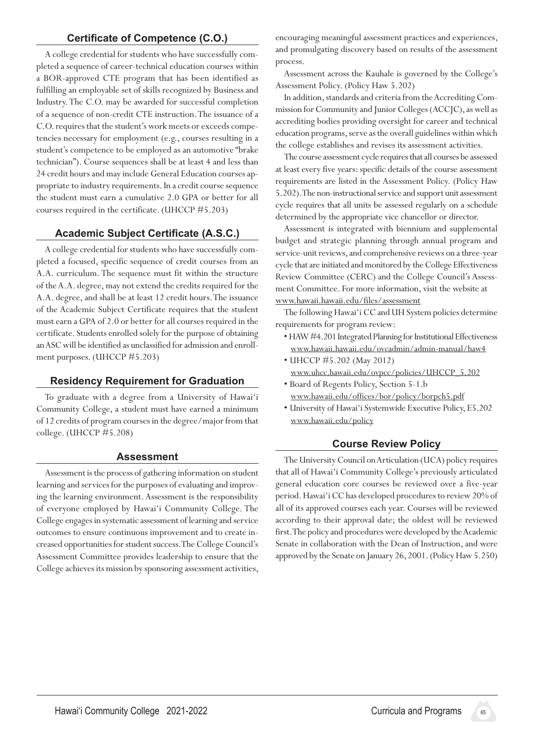# **Certificate of Competence (C.O.)**

A college credential for students who have successfully completed a sequence of career-technical education courses within a BOR-approved CTE program that has been identified as fulfilling an employable set of skills recognized by Business and Industry.The C.O. may be awarded for successful completion of a sequence of non-credit CTE instruction. The issuance of a C.O. requires that the student's work meets or exceeds competencies necessary for employment (e.g., courses resulting in a student's competence to be employed as an automotive "brake technician"). Course sequences shall be at least 4 and less than 24 credit hours and may include General Education courses appropriate to industry requirements. In a credit course sequence the student must earn a cumulative 2.0 GPA or better for all courses required in the certificate. (UHCCP #5.203)

# **Academic Subject Certificate (A.S.C.)**

A college credential for students who have successfully completed a focused, specific sequence of credit courses from an A.A. curriculum. The sequence must fit within the structure of the A.A. degree, may not extend the credits required for the A.A. degree, and shall be at least 12 credit hours. The issuance of the Academic Subject Certificate requires that the student must earn a GPA of 2.0 or better for all courses required in the certificate. Students enrolled solely for the purpose of obtaining an ASC will be identified as unclassified for admission and enrollment purposes. (UHCCP #5.203)

#### **Residency Requirement for Graduation**

To graduate with a degree from a University of Hawai'i Community College, a student must have earned a minimum of 12 credits of program courses in the degree/major from that college. (UHCCP #5.208)

#### **Assessment**

Assessment is the process of gathering information on student learning and services for the purposes of evaluating and improving the learning environment. Assessment is the responsibility of everyone employed by Hawai'i Community College. The College engages in systematic assessment of learning and service outcomes to ensure continuous improvement and to create increased opportunities for student success. The College Council's Assessment Committee provides leadership to ensure that the College achieves its mission by sponsoring assessment activities,

encouraging meaningful assessment practices and experiences, and promulgating discovery based on results of the assessment process.

 Assessment across the Kauhale is governed by the College's Assessment Policy. (Policy Haw 5.202)

In addition, standards and criteria from the Accrediting Commission for Community and Junior Colleges (ACCJC), as well as accrediting bodies providing oversight for career and technical education programs, serve as the overall guidelines within which the college establishes and revises its assessment activities.

The course assessment cycle requires that all courses be assessed at least every five years: specific details of the course assessment requirements are listed in the Assessment Policy. (Policy Haw 5.202). The non-instructional service and support unit assessment cycle requires that all units be assessed regularly on a schedule determined by the appropriate vice chancellor or director.

Assessment is integrated with biennium and supplemental budget and strategic planning through annual program and service-unit reviews, and comprehensive reviews on a three-year cycle that are initiated and monitored by the College Effectiveness Review Committee (CERC) and the College Council's Assessment Committee. For more information, visit the website at www.hawaii.hawaii.edu/files/assessment

The following Hawai'i CC and UH System policies determine requirements for program review:

- HAW #4.201 Integrated Planning for Institutional Effectiveness www.hawaii.hawaii.edu/ovcadmin/admin-manual/haw4
- UHCCP #5.202 (May 2012) www.uhcc.hawaii.edu/ovpcc/policies/UHCCP\_5.202
- Board of Regents Policy, Section 5-1.b www.hawaii.edu/offices/bor/policy/borpch5.pdf
- University of Hawai'i Systemwide Executive Policy, E5.202 www.hawaii.edu/policy

# **Course Review Policy**

The University Council on Articulation (UCA) policy requires that all of Hawai'i Community College's previously articulated general education core courses be reviewed over a five-year period. Hawai'i CC has developed procedures to review 20% of all of its approved courses each year. Courses will be reviewed according to their approval date; the oldest will be reviewed first. The policy and procedures were developed by the Academic Senate in collaboration with the Dean of Instruction, and were approved by the Senate on January 26, 2001. (Policy Haw 5.250)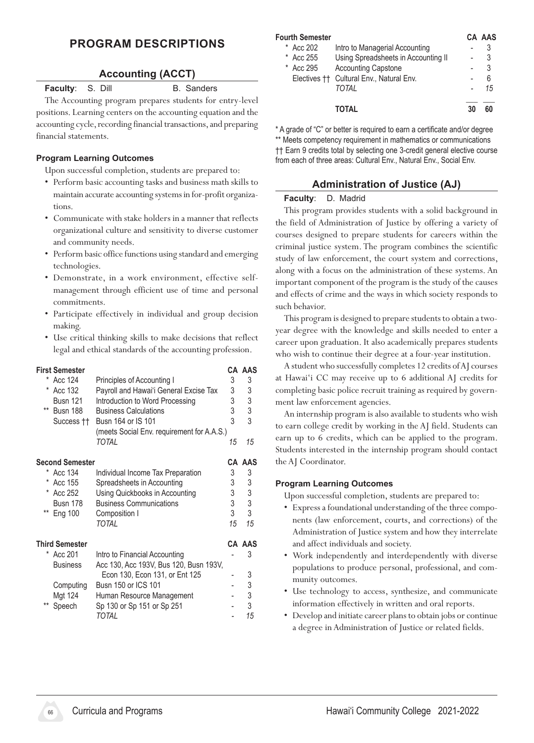# **Program Descriptions**

#### **Accounting (ACCT)**

**Faculty:** S. Dill B. Sanders

The Accounting program prepares students for entry-level positions. Learning centers on the accounting equation and the accounting cycle, recording financial transactions, and preparing financial statements.

#### **Program Learning Outcomes**

Upon successful completion, students are prepared to:

- • Perform basic accounting tasks and business math skills to maintain accurate accounting systemsin for-profit organizations.
- • Communicate with stake holders in a manner that reflects organizational culture and sensitivity to diverse customer and community needs.
- Perform basic office functions using standard and emerging technologies.
- Demonstrate, in a work environment, effective selfmanagement through efficient use of time and personal commitments.
- • Participate effectively in individual and group decision making.
- Use critical thinking skills to make decisions that reflect legal and ethical standards of the accounting profession.

| <b>First Semester</b>                                     |    | CA AAS |
|-----------------------------------------------------------|----|--------|
| * Acc 124<br>Principles of Accounting I                   | 3  | 3      |
| * Acc 132<br>Payroll and Hawai'i General Excise Tax       | 3  | 3      |
| Busn 121<br>Introduction to Word Processing               | 3  | 3      |
| ** Busn 188<br><b>Business Calculations</b>               | 3  | 3      |
| Busn 164 or IS 101<br>Success ††                          | 3  | 3      |
| (meets Social Env. requirement for A.A.S.)                |    |        |
| TOTAL                                                     | 15 | 15     |
| <b>Second Semester</b>                                    |    | CA AAS |
| * Acc 134<br>Individual Income Tax Preparation            | 3  | 3      |
| * Acc 155<br>Spreadsheets in Accounting                   | 3  | 3      |
| * Acc 252<br>Using Quickbooks in Accounting               | 3  | 3      |
| <b>Business Communications</b><br>Busn 178                | 3  | 3      |
| ** Eng 100<br>Composition I                               | 3  | 3      |
| TOTAL                                                     | 15 | 15     |
| <b>Third Semester</b>                                     |    | CA AAS |
| $^{\star}$<br>Acc 201<br>Intro to Financial Accounting    |    | 3      |
| Acc 130, Acc 193V, Bus 120, Busn 193V,<br><b>Business</b> |    |        |
| Econ 130, Econ 131, or Ent 125                            |    | 3      |
| Busn 150 or ICS 101<br>Computing                          |    | 3      |
| Mgt 124<br>Human Resource Management                      |    | 3      |
| **<br>Speech<br>Sp 130 or Sp 151 or Sp 251                |    | 3      |
| TOTAL                                                     |    | 15     |

| <b>Fourth Semester</b> |                                          |    | CA AAS |
|------------------------|------------------------------------------|----|--------|
| Acc 202<br>*           | Intro to Managerial Accounting           |    | 3      |
| Acc 255<br>*           | Using Spreadsheets in Accounting II      |    | 3      |
| Acc 295<br>$^{\star}$  | <b>Accounting Capstone</b>               | -  | 3      |
|                        | Electives †† Cultural Env., Natural Env. | ٠  | 6      |
|                        | TOTAI                                    |    | 15     |
|                        | TOTAL                                    | 30 | 60     |

\* A grade of "C" or better is required to earn a certificate and/or degree \*\* Meets competency requirement in mathematics or communications †† Earn 9 credits total by selecting one 3-credit general elective course from each of three areas: Cultural Env., Natural Env., Social Env.

# **Administration of Justice (AJ)**

#### **Faculty**: D. Madrid

This program provides students with a solid background in the field of Administration of Justice by offering a variety of courses designed to prepare students for careers within the criminal justice system. The program combines the scientific study of law enforcement, the court system and corrections, along with a focus on the administration of these systems. An important component of the program is the study of the causes and effects of crime and the ways in which society responds to such behavior.

This program is designed to prepare students to obtain a twoyear degree with the knowledge and skills needed to enter a career upon graduation. It also academically prepares students who wish to continue their degree at a four-year institution.

A student who successfully completes 12 credits of AJ courses at Hawai'i CC may receive up to 6 additional AJ credits for completing basic police recruit training as required by government law enforcement agencies.

An internship program is also available to students who wish to earn college credit by working in the AJ field. Students can earn up to 6 credits, which can be applied to the program. Students interested in the internship program should contact the AJ Coordinator.

#### **Program Learning Outcomes**

- Express a foundational understanding of the three components (law enforcement, courts, and corrections) of the Administration of Justice system and how they interrelate and affect individuals and society.
- • Work independently and interdependently with diverse populations to produce personal, professional, and community outcomes.
- Use technology to access, synthesize, and communicate information effectively in written and oral reports.
- Develop and initiate career plans to obtain jobs or continue a degree in Administration of Justice or related fields.

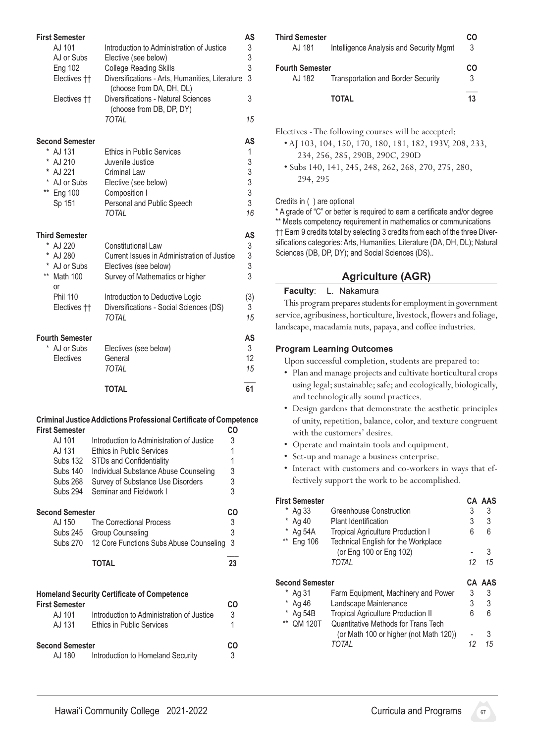| <b>First Semester</b><br>AJ 101<br>AJ or Subs<br><b>Eng 102</b><br>Electives ††<br>Electives ††                          | Introduction to Administration of Justice<br>Elective (see below)<br><b>College Reading Skills</b><br>Diversifications - Arts, Humanities, Literature<br>(choose from DA, DH, DL)<br>Diversifications - Natural Sciences<br>(choose from DB, DP, DY)<br><b>TOTAL</b> | AS<br>3<br>3<br>3<br>3<br>3<br>15         |
|--------------------------------------------------------------------------------------------------------------------------|----------------------------------------------------------------------------------------------------------------------------------------------------------------------------------------------------------------------------------------------------------------------|-------------------------------------------|
| <b>Second Semester</b><br>* AJ 131<br>*<br>AJ 210<br>AJ 221<br>*<br>*<br>AJ or Subs<br>** Eng 100<br>Sp 151              | <b>Ethics in Public Services</b><br>Juvenile Justice<br>Criminal Law<br>Elective (see below)<br>Composition I<br>Personal and Public Speech<br><b>TOTAL</b>                                                                                                          | AS<br>1<br>3<br>3 <sup>3</sup><br>3<br>16 |
| <b>Third Semester</b><br>* AJ 220<br>*<br>AJ 280<br>* AJ or Subs<br>** Math 100<br>or<br><b>Phil 110</b><br>Electives †† | <b>Constitutional Law</b><br>Current Issues in Administration of Justice<br>Electives (see below)<br>Survey of Mathematics or higher<br>Introduction to Deductive Logic<br>Diversifications - Social Sciences (DS)<br><b>TOTAL</b>                                   | AS<br>3<br>3<br>3<br>3<br>(3)<br>3<br>15  |
| <b>Fourth Semester</b><br>AJ or Subs<br>Electives                                                                        | Electives (see below)<br>General<br><b>TOTAL</b><br><b>TOTAL</b>                                                                                                                                                                                                     | AS<br>3<br>12<br>15<br>61                 |
| <b>First Semester</b><br>AJ 101                                                                                          | <b>Criminal Justice Addictions Professional Certificate of Competence</b><br>CO<br>Introduction to Administration of Justice<br>3                                                                                                                                    |                                           |

| AJ 131          | <b>Ethics in Public Services</b>        |    |
|-----------------|-----------------------------------------|----|
| Subs 132        | <b>STDs and Confidentiality</b>         |    |
| <b>Subs 140</b> | Individual Substance Abuse Counseling   | 3  |
| <b>Subs 268</b> | Survey of Substance Use Disorders       | 3  |
| <b>Subs 294</b> | Seminar and Fieldwork I                 | 3  |
| Second Semester |                                         | со |
| AJ 150          | The Correctional Process                | 3  |
| Subs 245        | <b>Group Counseling</b>                 | 3  |
| <b>Subs 270</b> | 12 Core Functions Subs Abuse Counseling | 3  |
|                 | ΤΟΤΑΙ                                   | 23 |

| <b>First Semester</b>            | <b>Homeland Security Certificate of Competence</b>                            | CΩ      |
|----------------------------------|-------------------------------------------------------------------------------|---------|
| AJ 101<br>AJ 131                 | Introduction to Administration of Justice<br><b>Ethics in Public Services</b> | 3       |
| <b>Second Semester</b><br>AJ 180 | Introduction to Homeland Security                                             | CΩ<br>3 |

| <b>Third Semester</b><br>AJ 181  | Intelligence Analysis and Security Mgmt   | CO<br>3 |
|----------------------------------|-------------------------------------------|---------|
| <b>Fourth Semester</b><br>AJ 182 | <b>Transportation and Border Security</b> | CO<br>3 |
|                                  | TOTAL                                     | 13      |

Electives - The following courses will be accepted:

- AJ 103, 104, 150, 170, 180, 181, 182, 193V, 208, 233, 234, 256, 285, 290B, 290C, 290D
- Subs 140, 141, 245, 248, 262, 268, 270, 275, 280, 294, 295

#### Credits in ( ) are optional

\* A grade of "C" or better is required to earn a certificate and/or degree \*\* Meets competency requirement in mathematics or communications †† Earn 9 credits total by selecting 3 credits from each of the three Diversifications categories: Arts, Humanities, Literature (DA, DH, DL); Natural Sciences (DB, DP, DY); and Social Sciences (DS)..

# **Agriculture (AGR)**

#### **Faculty**: L. Nakamura

This program prepares students for employment in government service, agribusiness, horticulture, livestock, flowers and foliage, landscape, macadamia nuts, papaya, and coffee industries.

#### **Program Learning Outcomes**

- Plan and manage projects and cultivate horticultural crops using legal; sustainable; safe; and ecologically, biologically, and technologically sound practices.
- • Design gardens that demonstrate the aesthetic principles of unity, repetition, balance, color, and texture congruent with the customers' desires.
- Operate and maintain tools and equipment.
- Set-up and manage a business enterprise.
- Interact with customers and co-workers in ways that effectively support the work to be accomplished.

| First Semester<br>Ag 33<br>Ag 40<br>Ag 54A<br>** Eng 106 | Greenhouse Construction<br><b>Plant Identification</b><br><b>Tropical Agriculture Production I</b><br>Technical English for the Workplace<br>(or Eng 100 or Eng 102)<br>TOTAI | 3<br>3<br>6<br>12 | CA AAS<br>3<br>3<br>հ<br>3<br>15 |
|----------------------------------------------------------|-------------------------------------------------------------------------------------------------------------------------------------------------------------------------------|-------------------|----------------------------------|
| <b>Second Semester</b>                                   |                                                                                                                                                                               |                   | CA AAS                           |
| Ag 31                                                    | Farm Equipment, Machinery and Power                                                                                                                                           | 3                 | 3                                |
| *<br>Ag 46                                               | Landscape Maintenance                                                                                                                                                         | 3                 | 3                                |
| Ag 54B<br>$***$<br><b>OM 120T</b>                        | <b>Tropical Agriculture Production II</b><br>Quantitative Methods for Trans Tech                                                                                              | 6                 | 6                                |
|                                                          | (or Math 100 or higher (not Math 120))                                                                                                                                        |                   | 3                                |
|                                                          | TOTAI                                                                                                                                                                         | 12                | 15                               |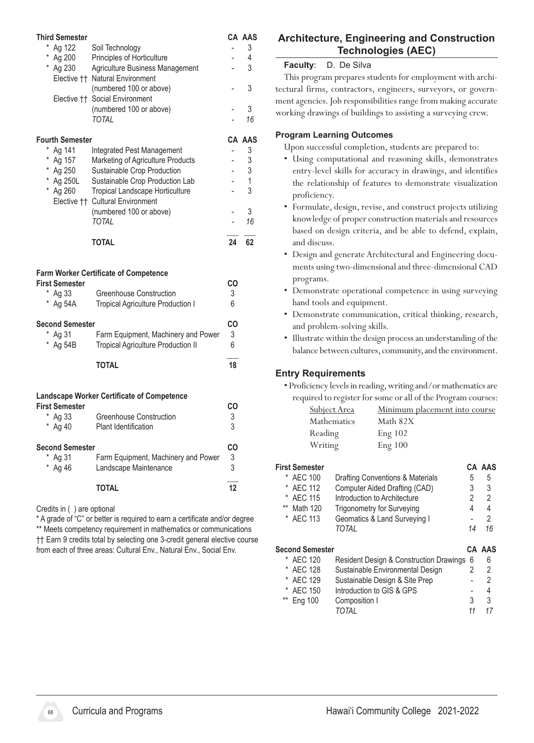| <b>Third Semester</b>                          |                                                                                                                            |                          | CA AAS  |
|------------------------------------------------|----------------------------------------------------------------------------------------------------------------------------|--------------------------|---------|
| Ag 122                                         | Soil Technology                                                                                                            |                          | 3       |
| Ag 200<br>* Ag 230                             | Principles of Horticulture<br>Agriculture Business Management                                                              |                          | 4<br>3  |
|                                                | Elective †† Natural Environment                                                                                            |                          |         |
|                                                | (numbered 100 or above)                                                                                                    |                          | 3       |
|                                                | Elective †† Social Environment                                                                                             |                          |         |
|                                                | (numbered 100 or above)                                                                                                    |                          | 3       |
|                                                | <b>TOTAL</b>                                                                                                               |                          | 16      |
| <b>Fourth Semester</b>                         |                                                                                                                            |                          | CA AAS  |
| * Ag 141                                       | Integrated Pest Management                                                                                                 | -                        | 3       |
| * Ag 157                                       | Marketing of Agriculture Products                                                                                          | $\overline{a}$           | 3       |
| * Ag 250                                       | Sustainable Crop Production                                                                                                | $\overline{a}$           | 3       |
| * Ag 250L                                      | Sustainable Crop Production Lab                                                                                            |                          | 1       |
| * Ag 260                                       | Tropical Landscape Horticulture                                                                                            |                          | 3       |
|                                                | Elective †† Cultural Environment                                                                                           |                          |         |
|                                                | (numbered 100 or above)<br><b>TOTAL</b>                                                                                    | $\overline{\phantom{0}}$ | 3<br>16 |
|                                                |                                                                                                                            |                          |         |
|                                                | <b>TOTAL</b>                                                                                                               | 24                       | 62      |
| <b>First Semester</b><br>* Ag 33<br>$*$ Ag 54A | <b>Farm Worker Certificate of Competence</b><br><b>Greenhouse Construction</b><br><b>Tropical Agriculture Production I</b> | <b>CO</b><br>3<br>6      |         |
| <b>Second Semester</b>                         |                                                                                                                            | CO                       |         |
| * Ag 31                                        | Farm Equipment, Machinery and Power                                                                                        | 3                        |         |
| * Ag 54B                                       | <b>Tropical Agriculture Production II</b>                                                                                  | 6                        |         |
|                                                | <b>TOTAL</b>                                                                                                               | 18                       |         |
|                                                |                                                                                                                            |                          |         |
|                                                | <b>Landscape Worker Certificate of Competence</b>                                                                          |                          |         |
| <b>First Semester</b>                          |                                                                                                                            | CO                       |         |
| * Ag 33                                        | <b>Greenhouse Construction</b>                                                                                             | 3<br>3                   |         |
| * Ag 40                                        | Plant Identification                                                                                                       |                          |         |
| <b>Second Semester</b>                         |                                                                                                                            | CO                       |         |
| * Ag 31                                        | Farm Equipment, Machinery and Power                                                                                        | 3                        |         |
| * Ag 46                                        | Landscape Maintenance                                                                                                      | 3                        |         |
|                                                | <b>TOTAL</b>                                                                                                               | 12                       |         |
| Credits in () are optional                     | * A suede ef "O" en lection in nomined to come a contificate and londer                                                    |                          |         |

\* A grade of "C" or better is required to earn a certificate and/or degree \*\* Meets competency requirement in mathematics or communications †† Earn 9 credits total by selecting one 3-credit general elective course from each of three areas: Cultural Env., Natural Env., Social Env.

# **Architecture, Engineering and Construction Technologies (AEC)**

### **Faculty**: D. De Silva

This program prepares students for employment with architectural firms, contractors, engineers, surveyors, or government agencies. Job responsibilities range from making accurate working drawings of buildings to assisting a surveying crew.

### **Program Learning Outcomes**

Upon successful completion, students are prepared to:

- • Using computational and reasoning skills, demonstrates entry-level skills for accuracy in drawings, and identifies the relationship of features to demonstrate visualization proficiency.
- Formulate, design, revise, and construct projects utilizing knowledge of proper construction materials and resources based on design criteria, and be able to defend, explain, and discuss.
- Design and generate Architectural and Engineering documents using two-dimensional and three-dimensional CAD programs.
- Demonstrate operational competence in using surveying hand tools and equipment.
- Demonstrate communication, critical thinking, research, and problem-solving skills.
- Illustrate within the design process an understanding of the balance between cultures, community, and the environment.

# **Entry Requirements**

• Proficiency levels in reading, writing and/or mathematics are required to register for some or all of the Program courses:

| <b>Subject Area</b> | Minimum placement into course |
|---------------------|-------------------------------|
| Mathematics         | Math 82X                      |
| Reading             | Eng 102                       |
| Writing             | Eng 100                       |

# **First Semester CA AAS**

| * AEC 100      | Drafting Conventions & Materials  | b  | b. |
|----------------|-----------------------------------|----|----|
| * AFC 112      | Computer Aided Drafting (CAD)     | 3  | 3  |
| * AEC 115      | Introduction to Architecture      |    | 2  |
| Math 120<br>** | <b>Trigonometry for Surveying</b> | Δ  | 4  |
| * AEC 113      | Geomatics & Land Surveying I      |    | 2  |
|                | TOTAI                             | 14 | 16 |
|                |                                   |    |    |

| <b>Second Semester</b> |                                           |   | CA AAS |
|------------------------|-------------------------------------------|---|--------|
| * AEC 120              | Resident Design & Construction Drawings 6 |   | 6      |
| * AEC 128              | Sustainable Environmental Design          |   | 2      |
| * AEC 129              | Sustainable Design & Site Prep            |   | 2      |
| * AEC 150              | Introduction to GIS & GPS                 |   | 4      |
| ** Eng 100             | Composition I                             | 3 | 3      |
|                        | TOTAI                                     |   |        |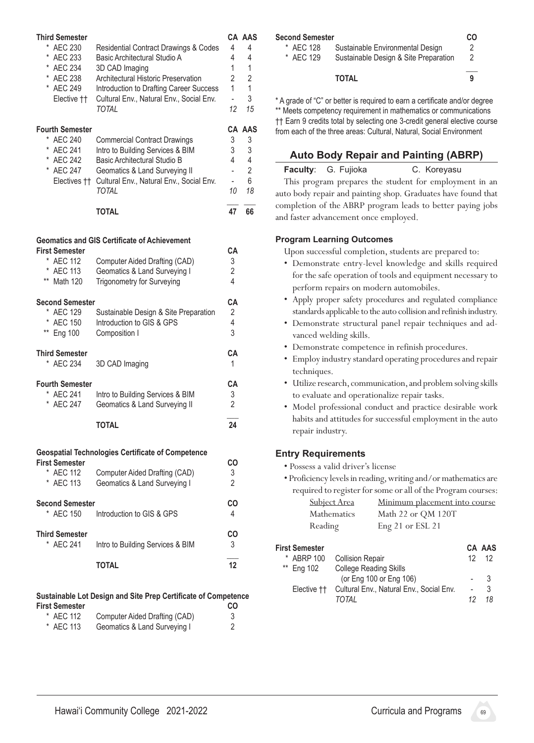| <b>Third Semester</b><br><b>AEC 230</b><br>*<br><b>AEC 233</b><br><b>AEC 234</b><br>*<br>* AEC 238<br>* AEC 249<br>Elective †† | <b>Residential Contract Drawings &amp; Codes</b><br>Basic Architectural Studio A<br>3D CAD Imaging<br>Architectural Historic Preservation<br>Introduction to Drafting Career Success<br>Cultural Env., Natural Env., Social Env.<br><b>TOTAL</b> | 4<br>4<br>$\mathbf{1}$<br>2<br>1<br>$\overline{\phantom{0}}$<br>12    | CA AAS<br>4<br>4<br>1<br>$\overline{2}$<br>1<br>3<br>15  |
|--------------------------------------------------------------------------------------------------------------------------------|--------------------------------------------------------------------------------------------------------------------------------------------------------------------------------------------------------------------------------------------------|-----------------------------------------------------------------------|----------------------------------------------------------|
| <b>Fourth Semester</b><br>* AEC 240<br>*<br><b>AEC 241</b><br>* AEC 242<br>* AEC 247                                           | <b>Commercial Contract Drawings</b><br>Intro to Building Services & BIM<br>Basic Architectural Studio B<br>Geomatics & Land Surveying II<br>Electives †† Cultural Env., Natural Env., Social Env.<br><b>TOTAL</b><br><b>TOTAL</b>                | 3<br>3<br>4<br>$\overline{a}$<br>$\overline{\phantom{a}}$<br>10<br>47 | CA AAS<br>3<br>3<br>4<br>$\overline{2}$<br>6<br>18<br>66 |
| <b>First Semester</b><br><b>AEC 112</b><br>*<br><b>AEC 113</b><br>$***$<br><b>Math 120</b>                                     | <b>Geomatics and GIS Certificate of Achievement</b><br>Computer Aided Drafting (CAD)<br>Geomatics & Land Surveying I<br><b>Trigonometry for Surveying</b>                                                                                        | CA<br>3<br>$\overline{2}$<br>4                                        |                                                          |
| <b>Second Semester</b><br>*<br><b>AEC 129</b><br><b>AEC 150</b><br>$***$<br><b>Eng 100</b>                                     | Sustainable Design & Site Preparation<br>Introduction to GIS & GPS<br>Composition I                                                                                                                                                              | CА<br>2<br>4<br>3                                                     |                                                          |
| <b>Third Semester</b><br>* AEC 234                                                                                             | 3D CAD Imaging                                                                                                                                                                                                                                   | CА<br>1                                                               |                                                          |
| <b>Fourth Semester</b><br><b>AEC 241</b><br><b>AEC 247</b>                                                                     | Intro to Building Services & BIM<br>Geomatics & Land Surveying II<br><b>TOTAL</b>                                                                                                                                                                | CA<br>3<br>$\overline{2}$<br>24                                       |                                                          |
| <b>First Semester</b><br>* AEC 112<br><b>AEC 113</b>                                                                           | <b>Geospatial Technologies Certificate of Competence</b><br>Computer Aided Drafting (CAD)<br>Geomatics & Land Surveying I                                                                                                                        | CO<br>3<br>$\overline{2}$                                             |                                                          |
| <b>Second Semester</b><br>* AEC 150                                                                                            | Introduction to GIS & GPS                                                                                                                                                                                                                        | CO<br>4                                                               |                                                          |
| <b>Third Semester</b><br>* AEC 241                                                                                             | Intro to Building Services & BIM                                                                                                                                                                                                                 | CO<br>3                                                               |                                                          |
|                                                                                                                                | <b>TOTAL</b>                                                                                                                                                                                                                                     | 12                                                                    |                                                          |
| <b>First Semester</b><br>$\star$<br><b>AEC 112</b>                                                                             | Sustainable Lot Design and Site Prep Certificate of Competence<br>Computer Aided Drafting (CAD)                                                                                                                                                  | CO<br>3                                                               |                                                          |

| .         | $\frac{1}{2}$                |  |
|-----------|------------------------------|--|
| * AEC 113 | Geomatics & Land Surveying I |  |
|           |                              |  |

| <b>Second Semester</b> |                                       |   |
|------------------------|---------------------------------------|---|
| * AFC 128              | Sustainable Environmental Design      | 2 |
| * AEC 129              | Sustainable Design & Site Preparation | 2 |
|                        | <b>TOTAL</b>                          | 9 |

\* A grade of "C" or better is required to earn a certificate and/or degree \*\* Meets competency requirement in mathematics or communications †† Earn 9 credits total by selecting one 3-credit general elective course from each of the three areas: Cultural, Natural, Social Environment

#### **Auto Body Repair and Painting (ABRP)**

### Faculty: G. Fujioka **C. Koreyasu**

This program prepares the student for employment in an auto body repair and painting shop. Graduates have found that completion of the ABRP program leads to better paying jobs and faster advancement once employed.

#### **Program Learning Outcomes**

Upon successful completion, students are prepared to:

- • Demonstrate entry-level knowledge and skills required for the safe operation of tools and equipment necessary to perform repairs on modern automobiles.
- • Apply proper safety procedures and regulated compliance standards applicable to the auto collision and refinish industry.
- • Demonstrate structural panel repair techniques and advanced welding skills.
- • Demonstrate competence in refinish procedures.
- Employ industry standard operating procedures and repair techniques.
- Utilize research, communication, and problem solving skills to evaluate and operationalize repair tasks.
- • Model professional conduct and practice desirable work habits and attitudes for successful employment in the auto repair industry.

#### **Entry Requirements**

• Possess a valid driver's license

|                     | • Proficiency levels in reading, writing and/or mathematics are |
|---------------------|-----------------------------------------------------------------|
|                     | required to register for some or all of the Program courses:    |
| <b>Subject Area</b> | Minimum placement into course                                   |
| Mathematics         | Math 22 or OM 120T                                              |
| Reading             | Eng 21 or ESL 21                                                |

| <b>First Semester</b><br>* ABRP 100 | <b>Collision Repair</b>                                          |    | CA AAS<br>$12 \quad 12$ |
|-------------------------------------|------------------------------------------------------------------|----|-------------------------|
| ** Ena 102                          | <b>College Reading Skills</b>                                    |    |                         |
|                                     | (or Eng 100 or Eng 106)                                          |    | $\overline{\mathbf{3}}$ |
|                                     | Elective <sup>†</sup> † Cultural Env., Natural Env., Social Env. |    | 3                       |
|                                     | TOTAI                                                            | 12 | 18                      |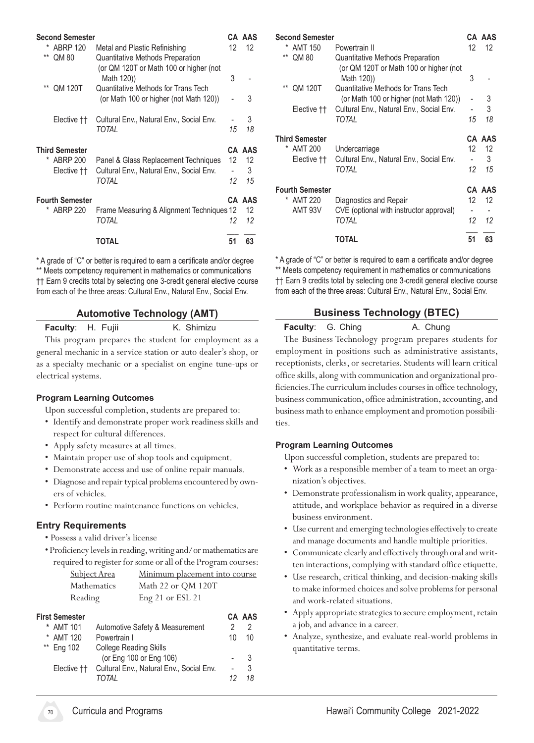| <b>Second Semester</b>                 |                                                                               |    | CA AAS |
|----------------------------------------|-------------------------------------------------------------------------------|----|--------|
| <b>ABRP 120</b><br>*<br>$***$<br>QM 80 | Metal and Plastic Refinishing<br><b>Quantitative Methods Preparation</b>      | 12 | 12     |
|                                        | (or QM 120T or Math 100 or higher (not<br>Math 120)                           | 3  |        |
| $***$<br><b>QM 120T</b>                | Quantitative Methods for Trans Tech<br>(or Math 100 or higher (not Math 120)) |    | 3      |
| Elective <sup>††</sup>                 | Cultural Env., Natural Env., Social Env.                                      |    | 3      |
|                                        | TOTAL                                                                         | 15 | 18     |
| <b>Third Semester</b>                  |                                                                               |    | CA AAS |
| ABRP 200<br>*                          | Panel & Glass Replacement Techniques                                          | 12 | 12     |
| Elective ††                            | Cultural Env., Natural Env., Social Env.                                      |    | 3      |
|                                        | TOTAL                                                                         | 12 | 15     |
| <b>Fourth Semester</b>                 |                                                                               |    | CA AAS |
| <b>ABRP 220</b>                        | Frame Measuring & Alignment Techniques 12                                     |    | 12     |
|                                        | TOTAL                                                                         | 12 | 12     |
|                                        | TOTAL                                                                         | 51 | 63     |
|                                        |                                                                               |    |        |

\* A grade of "C" or better is required to earn a certificate and/or degree \*\* Meets competency requirement in mathematics or communications †† Earn 9 credits total by selecting one 3-credit general elective course from each of the three areas: Cultural Env., Natural Env., Social Env.

#### **Automotive Technology (AMT)**

**Faculty:** H. Fujii K. Shimizu

This program prepares the student for employment as a general mechanic in a service station or auto dealer's shop, or as a specialty mechanic or a specialist on engine tune-ups or electrical systems.

#### **Program Learning Outcomes**

Upon successful completion, students are prepared to:

- • Identify and demonstrate proper work readiness skills and respect for cultural differences.
- Apply safety measures at all times.
- • Maintain proper use of shop tools and equipment.
- • Demonstrate access and use of online repair manuals.
- Diagnose and repair typical problems encountered by owners of vehicles.
- Perform routine maintenance functions on vehicles.

#### **Entry Requirements**

- Possess a valid driver's license
- Proficiency levelsin reading,writing and/or mathematicsare required to register for some or all of the Program courses:

| Subject Area       | Minimum placement into course |
|--------------------|-------------------------------|
| <b>Mathematics</b> | Math 22 or QM 120T            |
| Reading            | Eng 21 or ESL 21              |

| First Semester         |                                                          |                      | <b>CA AAS</b> |
|------------------------|----------------------------------------------------------|----------------------|---------------|
| * AMT 101              | Automotive Safety & Measurement                          |                      |               |
| * AMT 120              | Powertrain I                                             | 10                   | 10            |
| ** Eng 102             | <b>College Reading Skills</b><br>(or Eng 100 or Eng 106) |                      | -3            |
| Elective <sup>††</sup> | Cultural Env., Natural Env., Social Env.<br>TOTAI        | $\overline{a}$<br>12 | 3<br>18       |

| <b>Second Semester</b> |                        |                                                                                          |    | CA AAS |
|------------------------|------------------------|------------------------------------------------------------------------------------------|----|--------|
| *                      | <b>AMT 150</b>         | Powertrain II                                                                            | 12 | 12     |
| $***$                  | QM 80                  | Quantitative Methods Preparation<br>(or QM 120T or Math 100 or higher (not<br>Math 120)) | 3  |        |
| $**$                   | <b>QM 120T</b>         | Quantitative Methods for Trans Tech<br>(or Math 100 or higher (not Math 120))            |    | 3      |
|                        | Elective ††            | Cultural Env., Natural Env., Social Env.                                                 |    | 3      |
|                        |                        | TOTAL                                                                                    | 15 | 18     |
|                        | <b>Third Semester</b>  |                                                                                          |    | CA AAS |
|                        | * AMT 200              | Undercarriage                                                                            | 12 | 12     |
|                        | Elective ††            | Cultural Env., Natural Env., Social Env.                                                 |    | 3      |
|                        |                        | TOTAL                                                                                    | 12 | 15     |
|                        |                        |                                                                                          |    |        |
|                        | <b>Fourth Semester</b> |                                                                                          |    | CA AAS |
|                        | * AMT 220              |                                                                                          | 12 | 12     |
|                        | AMT 93V                | Diagnostics and Repair                                                                   |    |        |
|                        |                        | CVE (optional with instructor approval)<br>TOTAL                                         | 12 | 12     |
|                        |                        | TOTAL                                                                                    | 51 | 63     |

\* A grade of "C" or better is required to earn a certificate and/or degree \*\* Meets competency requirement in mathematics or communications †† Earn 9 credits total by selecting one 3-credit general elective course from each of the three areas: Cultural Env., Natural Env., Social Env.

# **Business Technology (BTEC)**

**Faculty:** G. Ching **A. Chung** The Business Technology program prepares students for employment in positions such as administrative assistants, receptionists, clerks, or secretaries. Students will learn critical office skills, along with communication and organizational proficiencies. The curriculum includes courses in office technology, business communication, office administration, accounting, and business math to enhance employment and promotion possibilities.

#### **Program Learning Outcomes**

- • Work as a responsible member of a team to meet an organization's objectives.
- Demonstrate professionalism in work quality, appearance, attitude, and workplace behavior as required in a diverse business environment.
- Use current and emerging technologies effectively to create and manage documents and handle multiple priorities.
- Communicate clearly and effectively through oral and written interactions, complying with standard office etiquette.
- Use research, critical thinking, and decision-making skills to make informed choices and solve problems for personal and work-related situations.
- Apply appropriate strategies to secure employment, retain a job, and advance in a career.
- Analyze, synthesize, and evaluate real-world problems in quantitative terms.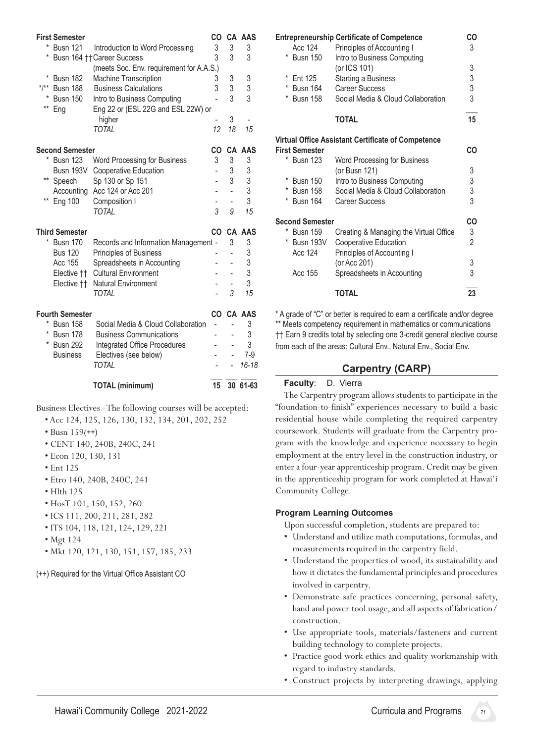|         | <b>First Semester</b>  |                                          | CO             |    | <b>CA AAS</b> |
|---------|------------------------|------------------------------------------|----------------|----|---------------|
| *       | <b>Busn 121</b>        | Introduction to Word Processing          | 3              | 3  | 3             |
|         |                        | Busn 164 † † Career Success              | 3              | 3  | 3             |
|         |                        | (meets Soc. Env. requirement for A.A.S.) |                |    |               |
| *       | <b>Busn 182</b>        | <b>Machine Transcription</b>             | 3              | 3  | 3             |
| $*$ /** | Busn 188               | <b>Business Calculations</b>             | 3              | 3  | 3             |
|         | <b>Busn 150</b>        | Intro to Business Computing              | $\overline{a}$ | 3  | 3             |
| $***$   | Eng                    | Eng 22 or (ESL 22G and ESL 22W) or       |                |    |               |
|         |                        | higher                                   |                | 3  |               |
|         |                        | <b>TOTAL</b>                             | 12             | 18 | 15            |
|         | <b>Second Semester</b> |                                          | CO             |    | <b>CA AAS</b> |
| *       | Busn 123               | Word Processing for Business             | 3              | 3  | 3             |
|         | Busn 193V              | Cooperative Education                    |                | 3  | 3             |
|         | ** Speech              | Sp 130 or Sp 151                         |                | 3  |               |
|         |                        | Accounting Acc 124 or Acc 201            |                |    | $\frac{3}{3}$ |
| $***$   | <b>Eng 100</b>         | Composition I                            |                |    | 3             |
|         |                        | <b>TOTAL</b>                             | 3              | 9  | 15            |
|         | <b>Third Semester</b>  |                                          |                |    | CO CA AAS     |
| *       | Busn 170               | Records and Information Management -     |                | 3  | 3             |
|         | <b>Bus 120</b>         | Principles of Business                   |                |    | 3             |
|         | Acc 155                | Spreadsheets in Accounting               |                |    | 3             |
|         |                        | Elective †† Cultural Environment         |                |    | 3             |
|         | Elective ††            | <b>Natural Environment</b>               |                |    | 3             |
|         |                        | <b>TOTAL</b>                             |                | 3  | 15            |
|         | <b>Fourth Semester</b> |                                          |                |    | CO CA AAS     |
| *       | <b>Busn 158</b>        | Social Media & Cloud Collaboration       | ÷              |    | 3             |
| *       | Busn 178               | <b>Business Communications</b>           |                |    | 3             |
| *       | <b>Busn 292</b>        | Integrated Office Procedures             |                |    | 3             |
|         | <b>Business</b>        | Electives (see below)                    |                |    | $7-9$         |
|         |                        | <b>TOTAL</b>                             |                |    | $16 - 18$     |
|         |                        | TOTAL (minimum)                          | 15             |    | 30 61-63      |

Business Electives - The following courses will be accepted: • Acc 124, 125, 126, 130, 132, 134, 201, 202, 252

- Busn 159(++)
- CENT 140, 240B, 240C, 241
- Econ 120, 130, 131
- Ent 125
- Etro 140, 240B, 240C, 241
- Hlth 125
- HosT 101, 150, 152, 260
- ICS 111, 200, 211, 281, 282
- ITS 104, 118, 121, 124, 129, 221
- Mgt 124
- Mkt 120, 121, 130, 151, 157, 185, 233
- (++) Required for the Virtual Office Assistant CO

|   |                        | <b>Entrepreneurship Certificate of Competence</b>  | CO                                    |
|---|------------------------|----------------------------------------------------|---------------------------------------|
|   | Acc 124                | Principles of Accounting I                         | 3                                     |
|   | * Busn 150             | Intro to Business Computing                        |                                       |
|   |                        | (or ICS 101)                                       | 3                                     |
| * | Ent 125                | Starting a Business                                | $\begin{array}{c} 3 \\ 3 \end{array}$ |
| * | Busn 164               | <b>Career Success</b>                              |                                       |
| * | <b>Busn 158</b>        | Social Media & Cloud Collaboration                 |                                       |
|   |                        | <b>TOTAL</b>                                       | 15                                    |
|   |                        | Virtual Office Assistant Certificate of Competence |                                       |
|   | <b>First Semester</b>  |                                                    | CO                                    |
|   | * Busn 123             | Word Processing for Business                       |                                       |
|   |                        | (or Busn 121)                                      | 3                                     |
| * | Busn 150               | Intro to Business Computing                        | $\begin{array}{c} 3 \\ 3 \end{array}$ |
| * | <b>Busn 158</b>        | Social Media & Cloud Collaboration                 |                                       |
| * | <b>Busn 164</b>        | Career Success                                     |                                       |
|   | <b>Second Semester</b> |                                                    | CO                                    |
|   | * Busn 159             | Creating & Managing the Virtual Office             | $\frac{3}{2}$                         |
|   | * Busn 193V            | Cooperative Education                              |                                       |
|   | Acc 124                | Principles of Accounting I                         |                                       |
|   |                        | (or Acc 201)                                       | 3                                     |
|   | Acc 155                | Spreadsheets in Accounting                         | 3                                     |
|   |                        | TOTAL                                              | 23                                    |
|   |                        |                                                    |                                       |

\* A grade of "C" or better is required to earn a certificate and/or degree \*\* Meets competency requirement in mathematics or communications †† Earn 9 credits total by selecting one 3-credit general elective course from each of the areas: Cultural Env., Natural Env., Social Env.

# **Carpentry (CARP)**

#### **Faculty**: D. Vierra

The Carpentry program allows students to participate in the "foundation-to-finish" experiences necessary to build a basic residential house while completing the required carpentry coursework. Students will graduate from the Carpentry program with the knowledge and experience necessary to begin employment at the entry level in the construction industry, or enter a four-year apprenticeship program. Credit may be given in the apprenticeship program for work completed at Hawai'i Community College.

#### **Program Learning Outcomes**

- Understand and utilize math computations, formulas, and measurements required in the carpentry field.
- • Understand the properties of wood, its sustainability and how it dictates the fundamental principles and procedures involved in carpentry.
- • Demonstrate safe practices concerning, personal safety, hand and power tool usage, and all aspects of fabrication/ construction.
- • Use appropriate tools, materials/fasteners and current building technology to complete projects.
- • Practice good work ethics and quality workmanship with regard to industry standards.
- • Construct projects by interpreting drawings, applying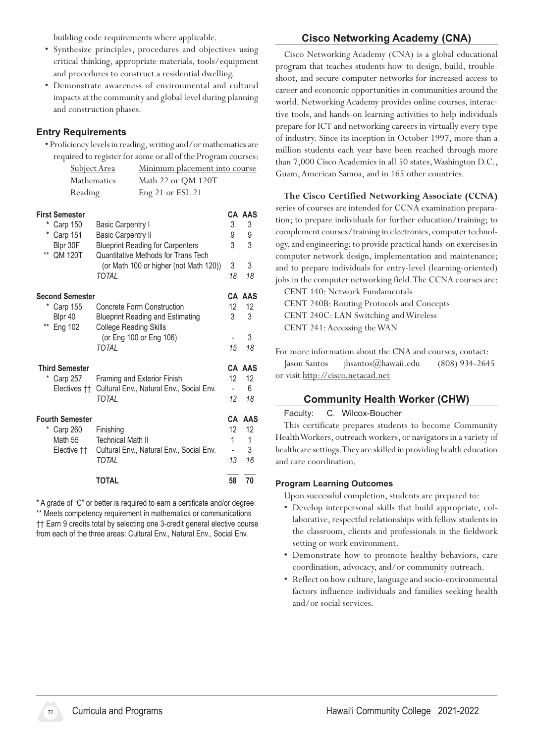building code requirements where applicable.

- • Synthesize principles, procedures and objectives using critical thinking, appropriate materials, tools/equipment and procedures to construct a residential dwelling.
- Demonstrate awareness of environmental and cultural impacts at the community and global level during planning and construction phases.

### **Entry Requirements**

• Proficiency levels in reading, writing and/or mathematics are required to register for some or all of the Program courses:

|                                                                                |                          | required to register for some or all of the Program courses: |
|--------------------------------------------------------------------------------|--------------------------|--------------------------------------------------------------|
| <b>Subject Area</b><br>Minimum placement into course                           |                          |                                                              |
| Mathematics<br>Math 22 or QM 120T                                              |                          |                                                              |
| Reading<br>Eng 21 or ESL 21                                                    |                          |                                                              |
|                                                                                |                          | <b>CA AAS</b>                                                |
| <b>Basic Carpentry I</b>                                                       | 3                        | 3                                                            |
| <b>Basic Carpentry II</b>                                                      | 9                        | 9                                                            |
| <b>Blueprint Reading for Carpenters</b><br>Quantitative Methods for Trans Tech | 3                        | 3                                                            |
| (or Math 100 or higher (not Math 120))                                         | 3                        | 3                                                            |
| TOTAL                                                                          | 18                       | 18                                                           |
| <b>Second Semester</b>                                                         |                          | CA AAS                                                       |
| Concrete Form Construction                                                     | 12                       | 12                                                           |
| <b>Blueprint Reading and Estimating</b><br><b>College Reading Skills</b>       | 3                        | 3                                                            |
| (or Eng 100 or Eng 106)                                                        |                          | 3                                                            |
| <b>TOTAL</b>                                                                   | 15                       | 18                                                           |
|                                                                                |                          | CA AAS                                                       |
| <b>Framing and Exterior Finish</b>                                             | 12                       | 12                                                           |
| Cultural Env., Natural Env., Social Env.                                       | $\overline{\phantom{0}}$ | 6                                                            |
|                                                                                |                          | 18                                                           |
|                                                                                |                          | AAS                                                          |
| Finishing                                                                      | 12                       | 12 <sup>°</sup>                                              |
| <b>Technical Math II</b>                                                       | 1                        | 1                                                            |
| Cultural Env., Natural Env., Social Env.                                       | $\overline{\phantom{a}}$ | 3                                                            |
| <b>TOTAL</b>                                                                   |                          | 16                                                           |
| <b>TOTAL</b>                                                                   | 58                       | 70                                                           |
|                                                                                | <b>TOTAL</b>             | 12<br>CA<br>13                                               |

\* A grade of "C" or better is required to earn a certificate and/or degree \*\* Meets competency requirement in mathematics or communications †† Earn 9 credits total by selecting one 3-credit general elective course from each of the three areas: Cultural Env., Natural Env., Social Env.

# **Cisco Networking Academy (CNA)**

Cisco Networking Academy (CNA) is a global educational program that teaches students how to design, build, troubleshoot, and secure computer networks for increased access to career and economic opportunities in communities around the world. Networking Academy provides online courses, interactive tools, and hands-on learning activities to help individuals prepare for ICT and networking careers in virtually every type of industry. Since its inception in October 1997, more than a million students each year have been reached through more than 7,000 Cisco Academies in all 50 states, Washington D.C., Guam, American Samoa, and in 165 other countries.

#### **The Cisco Certified Networking Associate (CCNA)**

series of courses are intended for CCNA examination preparation; to prepare individuals for further education/training; to complement courses/training in electronics, computer technology, and engineering; to provide practical hands-on exercises in computer network design, implementation and maintenance; and to prepare individuals for entry-level (learning-oriented) jobs in the computer networking field. The CCNA courses are:

CENT 140: Network Fundamentals CENT 240B: Routing Protocols and Concepts CENT 240C: LAN Switching and Wireless CENT 241:Accessing theWAN

For more information about the CNA and courses, contact: Jason Santos *ihsantos@hawaii.edu* (808) 934-2645 or visit http://cisco.netacad.net

#### **Community Health Worker (CHW)**

#### Faculty: C. Wilcox-Boucher

This certificate prepares students to become Community HealthWorkers, outreach workers, or navigators in a variety of healthcare settings. They are skilled in providing health education and care coordination.

#### **Program Learning Outcomes**

- • Develop interpersonal skills that build appropriate, collaborative, respectful relationships with fellow students in the classroom, clients and professionals in the fieldwork setting or work environment.
- • Demonstrate how to promote healthy behaviors, care coordination, advocacy, and/or community outreach.
- Reflect on how culture, language and socio-environmental factors influence individuals and families seeking health and/or social services.

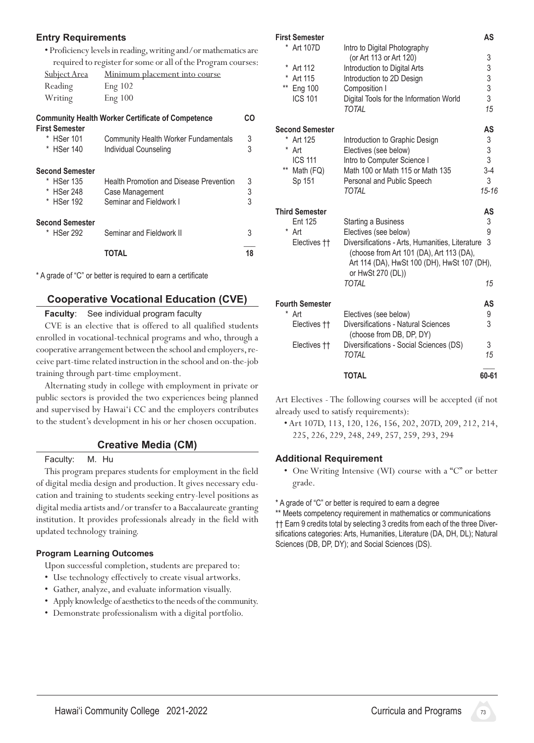#### **Entry Requirements**

• Proficiency levelsin reading,writing and/ormathematicsare required to register for some or all of the Program courses:

| <b>Subject Area</b> | <u>Minimum placement into course</u> |
|---------------------|--------------------------------------|
| Reading             | Eng 102                              |
| Writing             | Eng 100                              |

| <b>Community Health Worker Certificate of Competence</b><br><b>First Semester</b> |                                                               | CO     |
|-----------------------------------------------------------------------------------|---------------------------------------------------------------|--------|
| * HSer 101<br>* HSer 140                                                          | Community Health Worker Fundamentals<br>Individual Counseling | 3<br>3 |
| <b>Second Semester</b>                                                            |                                                               |        |
| * HSer 135                                                                        | Health Promotion and Disease Prevention                       | 3      |
| * HSer 248                                                                        | Case Management                                               | 3      |
| * HSer 192                                                                        | Seminar and Fieldwork I                                       | 3      |
| <b>Second Semester</b>                                                            |                                                               |        |
| * HSer 292                                                                        | Seminar and Fieldwork II                                      | 3      |
|                                                                                   | ΤΩΤΑΙ                                                         | 18     |

\* A grade of "C" or better is required to earn a certificate

#### **Cooperative Vocational Education (CVE)**

#### **Faculty**: See individual program faculty

CVE is an elective that is offered to all qualified students enrolled in vocational-technical programs and who, through a cooperative arrangement between the school and employers, receive part-time related instruction in the school and on-the-job training through part-time employment.

Alternating study in college with employment in private or public sectors is provided the two experiences being planned and supervised by Hawai'i CC and the employers contributes to the student's development in his or her chosen occupation.

#### **Creative Media (CM)**

Faculty: M. Hu

This program prepares students for employment in the field of digital media design and production. It gives necessary education and training to students seeking entry-level positions as digital media artists and/or transfer to a Baccalaureate granting institution. It provides professionals already in the field with updated technology training.

#### **Program Learning Outcomes**

Upon successful completion, students are prepared to:

- Use technology effectively to create visual artworks.
- • Gather, analyze, and evaluate information visually.
- Apply knowledge of aesthetics to the needs of the community.
- • Demonstrate professionalism with a digital portfolio.

| <b>First Semester</b>   |                                                                                                              | AS                                              |
|-------------------------|--------------------------------------------------------------------------------------------------------------|-------------------------------------------------|
| * Art 107D              | Intro to Digital Photography                                                                                 |                                                 |
|                         | (or Art 113 or Art 120)                                                                                      | $\begin{array}{c} 3 \\ 3 \\ 3 \\ 3 \end{array}$ |
| *<br>Art 112            | Introduction to Digital Arts                                                                                 |                                                 |
| Art 115                 | Introduction to 2D Design                                                                                    |                                                 |
| $***$<br><b>Eng 100</b> | Composition I                                                                                                |                                                 |
| <b>ICS 101</b>          | Digital Tools for the Information World<br><b>TOTAL</b>                                                      | 15                                              |
| <b>Second Semester</b>  |                                                                                                              | AS                                              |
| * Art 125               | Introduction to Graphic Design                                                                               |                                                 |
| *<br>Art                | Electives (see below)                                                                                        | 3<br>3<br>3                                     |
| <b>ICS 111</b>          | Intro to Computer Science I                                                                                  |                                                 |
| $***$<br>Math (FQ)      | Math 100 or Math 115 or Math 135                                                                             | $3-4$                                           |
| Sp 151                  | Personal and Public Speech                                                                                   | 3                                               |
|                         | TOTAL                                                                                                        | $15 - 16$                                       |
| <b>Third Semester</b>   |                                                                                                              | AS                                              |
| Ent 125                 | Starting a Business                                                                                          | 3                                               |
| * Art                   | Electives (see below)                                                                                        | 9                                               |
| Electives ††            | Diversifications - Arts, Humanities, Literature                                                              | 3                                               |
|                         | (choose from Art 101 (DA), Art 113 (DA),<br>Art 114 (DA), HwSt 100 (DH), HwSt 107 (DH),<br>or HwSt 270 (DL)) |                                                 |
|                         | <b>TOTAL</b>                                                                                                 | 15                                              |
| <b>Fourth Semester</b>  |                                                                                                              | AS                                              |
| *<br>Art                | Electives (see below)                                                                                        | 9                                               |
| Electives ††            | Diversifications - Natural Sciences<br>(choose from DB, DP, DY)                                              | 3                                               |
| Electives ††            | Diversifications - Social Sciences (DS)                                                                      | 3                                               |
|                         | TOTAL                                                                                                        | 15                                              |
|                         | <b>TOTAL</b>                                                                                                 | 60-61                                           |

Art Electives - The following courses will be accepted (if not already used to satisfy requirements):

• Art 107D, 113, 120, 126, 156, 202, 207D, 209, 212, 214, 225, 226, 229, 248, 249, 257, 259, 293, 294

#### **Additional Requirement**

- One Writing Intensive (WI) course with a "C" or better grade.
- \* A grade of "C" or better is required to earn a degree

\*\* Meets competency requirement in mathematics or communications †† Earn 9 credits total by selecting 3 credits from each of the three Diversifications categories: Arts, Humanities, Literature (DA, DH, DL); Natural Sciences (DB, DP, DY); and Social Sciences (DS).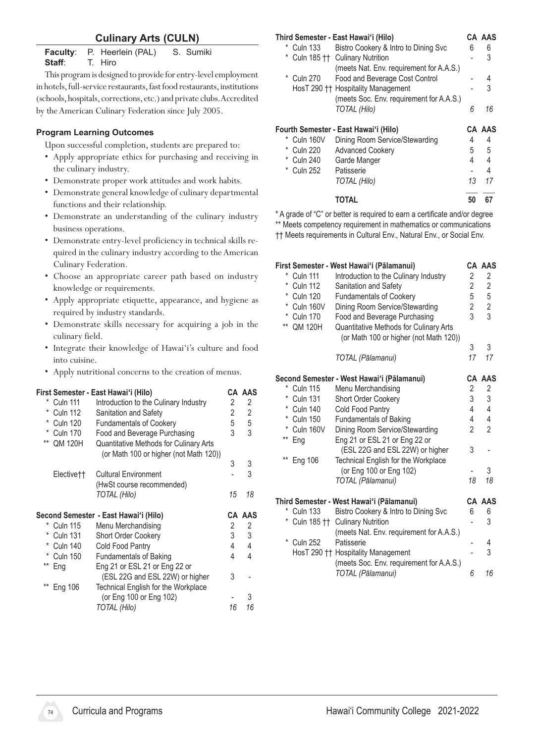# **Culinary Arts (CULN)**

**Faculty:** P. Heerlein (PAL) S. Sumiki<br>**Staff:** T. Hiro **Staff**: T. Hiro

This program is designed to provide for entry-level employment in hotels, full-service restaurants, fast food restaurants, institutions (schools, hospitals, corrections, etc.) and private clubs. Accredited by theAmerican Culinary Federation since July 2005.

#### **Program Learning Outcomes**

Upon successful completion, students are prepared to:

- • Apply appropriate ethics for purchasing and receiving in the culinary industry.
- • Demonstrate proper work attitudes and work habits.
- Demonstrate general knowledge of culinary departmental functions and their relationship.
- Demonstrate an understanding of the culinary industry business operations.
- Demonstrate entry-level proficiency in technical skills required in the culinary industry according to the American Culinary Federation.
- Choose an appropriate career path based on industry knowledge or requirements.
- Apply appropriate etiquette, appearance, and hygiene as required by industry standards.
- • Demonstrate skills necessary for acquiring a job in the culinary field.
- Integrate their knowledge of Hawai'i's culture and food into cuisine.
- Apply nutritional concerns to the creation of menus.

|       |                        | First Semester - East Hawai'i (Hilo)          |                | CA AAS |
|-------|------------------------|-----------------------------------------------|----------------|--------|
| *     | <b>Culn 111</b>        | Introduction to the Culinary Industry         | 2              | 2      |
| *     | <b>Culn 112</b>        | Sanitation and Safety                         | $\overline{2}$ | 2      |
| *     | <b>Culn 120</b>        | <b>Fundamentals of Cookery</b>                | 5              | 5      |
|       | <b>Culn 170</b>        | Food and Beverage Purchasing                  | 3              | 3      |
|       | ** QM 120H             | <b>Quantitative Methods for Culinary Arts</b> |                |        |
|       |                        | (or Math 100 or higher (not Math 120))        |                |        |
|       |                        |                                               | 3              | 3      |
|       | Elective <sup>++</sup> | <b>Cultural Environment</b>                   |                | 3      |
|       |                        | (HwSt course recommended)                     |                |        |
|       |                        | <b>TOTAL (Hilo)</b>                           | 15             | 18     |
|       |                        | Second Semester - East Hawai'i (Hilo)         |                | CA AAS |
|       | * Culn 115             | Menu Merchandising                            | 2              | 2      |
| *     | <b>Culn 131</b>        | Short Order Cookery                           | 3              | 3      |
|       | <b>Culn 140</b>        | Cold Food Pantry                              | 4              | 4      |
|       | <b>Culn 150</b>        | <b>Fundamentals of Baking</b>                 | 4              | 4      |
| $***$ | Eng                    | Eng 21 or ESL 21 or Eng 22 or                 |                |        |
|       |                        | (ESL 22G and ESL 22W) or higher               | 3              |        |
| $***$ | Eng 106                | Technical English for the Workplace           |                |        |
|       |                        |                                               |                |        |
|       |                        | (or Eng 100 or Eng 102)                       |                | 3      |

#### **Third Semester - East Hawaiʻi (Hilo) CA AAS** \* Culn 133 Bistro Cookery & Intro to Dining Svc 6 6 \* Culn 185 †† Culinary Nutrition - 3 (meets Nat. Env. requirement for A.A.S.) \* Culn 270 Food and Beverage Cost Control - 4 HosT 290 †† Hospitality Management - 3 (meets Soc. Env. requirement for A.A.S.)  *TOTAL (Hilo) 6 16* **Fourth Semester - East Hawaiʻi (Hilo) CA AAS** \* Culn 160V Dining Room Service/Stewarding 4 4 \* Culn 220 Advanced Cookery 5 5 5

| TOTAL        | 50    | - 67 |
|--------------|-------|------|
| TOTAL (Hilo) | 13 17 |      |

\* A grade of "C" or better is required to earn a certificate and/or degree \*\* Meets competency requirement in mathematics or communications †† Meets requirements in Cultural Env., Natural Env., or Social Env.

\* Culn 240 Garde Manger 4 4 4 \* Culn 252 Patisserie 1997 - 4

|                           | First Semester - West Hawai'i (Pālamanui)  |                | <b>CA AAS</b>           |
|---------------------------|--------------------------------------------|----------------|-------------------------|
| * Culn 111                | Introduction to the Culinary Industry      | 2              | 2                       |
| *<br><b>Culn 112</b>      | Sanitation and Safety                      | 2              | $\overline{\mathbf{c}}$ |
| $\ast$<br><b>Culn 120</b> | <b>Fundamentals of Cookery</b>             | 5              | 5                       |
| *<br>Culn 160V            | Dining Room Service/Stewarding             | $\overline{2}$ | $\overline{c}$          |
| *<br><b>Culn 170</b>      | Food and Beverage Purchasing               | 3              | 3                       |
| **<br><b>QM 120H</b>      | Quantitative Methods for Culinary Arts     |                |                         |
|                           | (or Math 100 or higher (not Math 120))     |                |                         |
|                           |                                            | 3              | 3                       |
|                           | TOTAL (Pālamanui)                          | 17             | 17                      |
|                           | Second Semester - West Hawai'i (Pālamanui) |                | <b>CA AAS</b>           |
| * Culn 115                | Menu Merchandising                         | 2              | $\overline{\mathbf{c}}$ |
| *<br><b>Culn 131</b>      | <b>Short Order Cookery</b>                 | 3              | 3                       |
| $\ast$<br><b>Culn 140</b> | Cold Food Pantry                           | 4              | 4                       |
| * Culn 150                | Fundamentals of Baking                     | 4              | 4                       |
| *<br>Culn 160V            | Dining Room Service/Stewarding             | $\overline{2}$ | $\overline{2}$          |
| $***$<br>Eng              | Eng 21 or ESL 21 or Eng 22 or              |                |                         |
|                           | (ESL 22G and ESL 22W) or higher            | 3              |                         |
| $***$<br>Eng 106          | Technical English for the Workplace        |                |                         |
|                           | (or Eng 100 or Eng 102)                    |                | 3                       |
|                           | TOTAL (Pālamanui)                          | 18             | 18                      |
|                           | Third Semester - West Hawai'i (Pālamanui)  |                | CA AAS                  |
| *<br><b>Culn 133</b>      | Bistro Cookery & Intro to Dining Svc       | 6              | 6                       |
|                           | Culn 185 †† Culinary Nutrition             |                | 3                       |
|                           | (meets Nat. Env. requirement for A.A.S.)   |                |                         |
| *<br><b>Culn 252</b>      | Patisserie                                 |                | 4                       |
|                           | HosT 290 †† Hospitality Management         |                | 3                       |
|                           | (meets Soc. Env. requirement for A.A.S.)   |                |                         |
|                           | TOTAL (Pālamanui)                          | 6              | 16                      |
|                           |                                            |                |                         |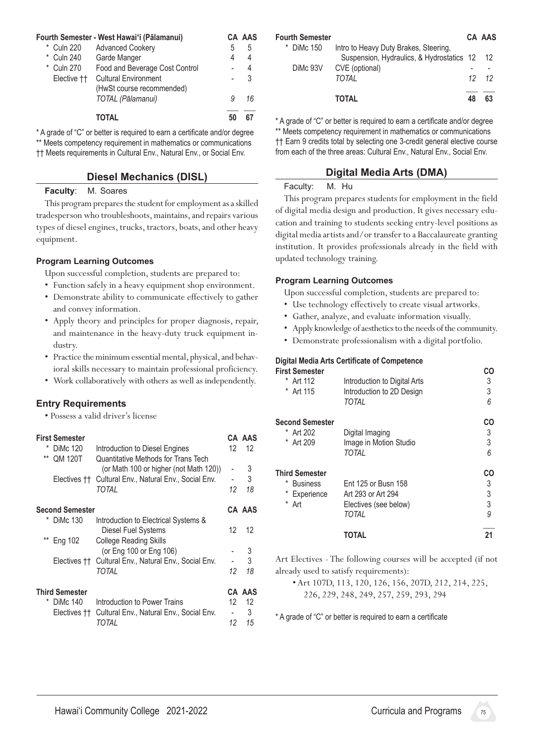|                        | Fourth Semester - West Hawai'i (Pālamanui) |    | CA AAS |
|------------------------|--------------------------------------------|----|--------|
| * Culn 220             | <b>Advanced Cookery</b>                    | 5  | 5      |
| * Culn 240             | Garde Manger                               | 4  | 4      |
| * Culn 270             | Food and Beverage Cost Control             |    | 4      |
| Elective <sup>††</sup> | <b>Cultural Environment</b>                |    | 3      |
|                        | (HwSt course recommended)                  |    |        |
|                        | TOTAL (Pālamanui)                          | 9  | 16     |
|                        | ΤΟΤΑΙ                                      | 50 |        |

\* A grade of "C" or better is required to earn a certificate and/or degree \*\* Meets competency requirement in mathematics or communications †† Meets requirements in Cultural Env., Natural Env., or Social Env.

#### **Diesel Mechanics (DISL)**

#### **Faculty**: M. Soares

This program prepares the student for employment as a skilled tradesperson who troubleshoots, maintains, and repairs various types of diesel engines, trucks, tractors, boats, and other heavy equipment.

#### **Program Learning Outcomes**

Upon successful completion, students are prepared to:

- • Function safely in a heavy equipment shop environment.
- Demonstrate ability to communicate effectively to gather and convey information.
- • Apply theory and principles for proper diagnosis, repair, and maintenance in the heavy-duty truck equipment industry.
- Practice the minimum essential mental, physical, and behavioral skills necessary to maintain professional proficiency.
- • Work collaboratively with others as well as independently.

#### **Entry Requirements**

• Possess a valid driver's license

| $***$ | <b>First Semester</b><br>DiMc 120<br><b>QM 120T</b> | Introduction to Diesel Engines<br>Quantitative Methods for Trans Tech | 12 | CA AAS<br>12 |
|-------|-----------------------------------------------------|-----------------------------------------------------------------------|----|--------------|
|       |                                                     | (or Math 100 or higher (not Math 120))                                |    | 3            |
|       | Electives ††                                        | Cultural Env., Natural Env., Social Env.                              |    | 3            |
|       |                                                     | TOTAL                                                                 | 12 | 18           |
|       | <b>Second Semester</b>                              |                                                                       |    | CA AAS       |
| *     | <b>DiMc 130</b>                                     | Introduction to Electrical Systems &                                  |    |              |
|       |                                                     | Diesel Fuel Systems                                                   | 12 | 12           |
| $***$ | Eng 102                                             | <b>College Reading Skills</b>                                         |    |              |
|       |                                                     | (or Eng 100 or Eng 106)                                               |    | 3            |
|       |                                                     | Electives †† Cultural Env., Natural Env., Social Env.                 |    | 3            |
|       |                                                     | TOTAL                                                                 | 12 | 18           |
|       | <b>Third Semester</b>                               |                                                                       |    | CA AAS       |
| *     | <b>DiMc 140</b>                                     | Introduction to Power Trains                                          | 12 | 12           |
|       | Electives ††                                        | Cultural Env., Natural Env., Social Env.                              |    | 3            |
|       |                                                     | TOTAL                                                                 | 12 | 15           |

| <b>Fourth Semester</b> |                                              | CA AAS        |
|------------------------|----------------------------------------------|---------------|
| * DiMc 150             | Intro to Heavy Duty Brakes, Steering,        |               |
|                        | Suspension, Hydraulics, & Hydrostatics 12 12 |               |
|                        | DiMc 93V CVE (optional)                      |               |
|                        | TOTAI                                        | $12 \quad 12$ |
|                        | ΤΟΤΑΙ                                        | 63            |

\* A grade of "C" or better is required to earn a certificate and/or degree \*\* Meets competency requirement in mathematics or communications †† Earn 9 credits total by selecting one 3-credit general elective course from each of the three areas: Cultural Env., Natural Env., Social Env.

# **Digital Media Arts (DMA)**

#### Faculty: M. Hu

This program prepares students for employment in the field of digital media design and production. It gives necessary education and training to students seeking entry-level positions as digital media artists and/or transfer to a Baccalaureate granting institution. It provides professionals already in the field with updated technology training.

#### **Program Learning Outcomes**

Upon successful completion, students are prepared to:

- • Use technology effectively to create visual artworks.
- • Gather, analyze, and evaluate information visually.
- Apply knowledge of aesthetics to the needs of the community.
- • Demonstrate professionalism with a digital portfolio.

#### **Digital Media Arts Certificate of Competence**

|                              | CO                                                 |
|------------------------------|----------------------------------------------------|
| Introduction to Digital Arts | 3                                                  |
|                              | 3                                                  |
| TOTAL                        | 6                                                  |
|                              | CO                                                 |
| Digital Imaging              | 3                                                  |
| Image in Motion Studio       | 3                                                  |
| TOTAL                        | 6                                                  |
|                              | CO                                                 |
| Ent 125 or Busn 158          | 3                                                  |
| Art 293 or Art 294           | 3                                                  |
|                              | 3                                                  |
| TOTAL                        | 9                                                  |
| <b>TOTAL</b>                 | 21                                                 |
|                              | Introduction to 2D Design<br>Electives (see below) |

Art Electives - The following courses will be accepted (if not already used to satisfy requirements):

 • Art 107D, 113, 120, 126, 156, 207D, 212, 214, 225, 226, 229, 248, 249, 257, 259, 293, 294

\* A grade of "C" or better is required to earn a certificate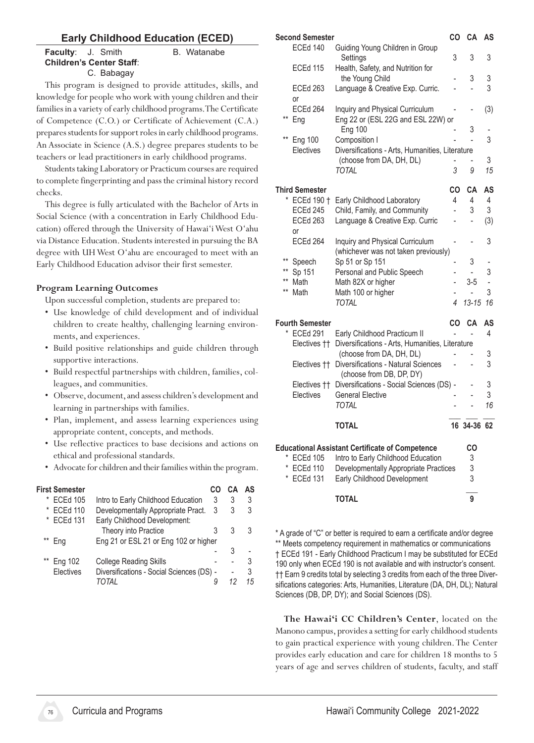# **Early Childhood Education (ECED)**

#### **Faculty:** J. Smith B. Watanabe **Children's Center Staff**: C. Babagay

This program is designed to provide attitudes, skills, and knowledge for people who work with young children and their families in a variety of early childhood programs. The Certificate of Competence (C.O.) or Certificate of Achievement (C.A.) prepares students for support roles in early childhood programs. An Associate in Science (A.S.) degree prepares students to be teachers or lead practitioners in early childhood programs.

Students taking Laboratory or Practicum courses are required to complete fingerprinting and pass the criminal history record checks.

This degree is fully articulated with the Bachelor of Arts in Social Science (with a concentration in Early Childhood Education) offered through the University of Hawai'i West O'ahu via Distance Education. Students interested in pursuing the BA degree with UH West O'ahu are encouraged to meet with an Early Childhood Education advisor their first semester.

# **Program Learning Outcomes**

Upon successful completion, students are prepared to:

- Use knowledge of child development and of individual children to create healthy, challenging learning environments, and experiences.
- Build positive relationships and guide children through supportive interactions.
- • Build respectful partnerships with children, families, colleagues, and communities.
- Observe, document, and assess children's development and learning in partnerships with families.
- Plan, implement, and assess learning experiences using appropriate content, concepts, and methods.
- • Use reflective practices to base decisions and actions on ethical and professional standards.
- Advocate for children and their families within the program.

| <b>First Semester</b> |                                           |   |   | AS |
|-----------------------|-------------------------------------------|---|---|----|
| <b>ECEd 105</b><br>*  | Intro to Early Childhood Education        | 3 | 3 | 3  |
| <b>ECEd 110</b><br>*  | Developmentally Appropriate Pract.        | 3 | 3 | 3  |
| * ECEd 131            | Early Childhood Development:              |   |   |    |
|                       | Theory into Practice                      | 3 | 3 | 3  |
| Ena                   | Eng 21 or ESL 21 or Eng 102 or higher     |   |   |    |
|                       |                                           |   | З |    |
| Eng 102               | <b>College Reading Skills</b>             |   |   | 3  |
| Electives             | Diversifications - Social Sciences (DS) - |   |   | 3  |
|                       | TOTAI                                     |   |   | 15 |
|                       |                                           |   |   |    |

|                 | Second Semester        |                                                                         | CO             | CА                  | AS     |
|-----------------|------------------------|-------------------------------------------------------------------------|----------------|---------------------|--------|
|                 | <b>ECEd 140</b>        | Guiding Young Children in Group<br>Settings                             | 3              | 3                   | 3      |
|                 | <b>ECEd 115</b>        | Health, Safety, and Nutrition for<br>the Young Child                    |                | 3                   | 3      |
|                 | <b>ECEd 263</b><br>or  | Language & Creative Exp. Curric.                                        |                |                     | 3      |
| **              | ECEd 264<br>Eng        | Inquiry and Physical Curriculum<br>Eng 22 or (ESL 22G and ESL 22W) or   |                |                     | (3)    |
| $^{\star\star}$ | <b>Eng 100</b>         | <b>Eng 100</b><br>Composition I                                         |                | 3<br>$\overline{a}$ | 3      |
|                 | Electives              | Diversifications - Arts, Humanities, Literature                         |                |                     |        |
|                 |                        | (choose from DA, DH, DL)                                                |                | Ĭ.                  | 3      |
|                 |                        | <b>TOTAL</b>                                                            | 3              | 9                   | 15     |
|                 | <b>Third Semester</b>  |                                                                         | CO             | CA                  | AS     |
|                 | * ECEd 190 †           | Early Childhood Laboratory                                              | 4              | 4                   | 4      |
|                 | <b>ECEd 245</b>        | Child, Family, and Community                                            | $\overline{a}$ | 3                   | 3      |
|                 | <b>ECEd 263</b><br>or  | Language & Creative Exp. Curric                                         |                | -                   | (3)    |
|                 | ECEd 264               | Inquiry and Physical Curriculum<br>(whichever was not taken previously) |                |                     | 3      |
| $***$           | Speech                 | Sp 51 or Sp 151                                                         | $\overline{a}$ | 3                   |        |
| $***$           | Sp 151                 | Personal and Public Speech                                              |                |                     | 3      |
| **              | Math                   | Math 82X or higher                                                      |                | $3-5$               | ÷,     |
| $***$           | Math                   | Math 100 or higher                                                      |                |                     | 3      |
|                 |                        | <b>TOTAL</b>                                                            | 4              | $13 - 15$           | 16     |
|                 | <b>Fourth Semester</b> |                                                                         | CO             | CA                  | AS     |
| $^{\star}$      | <b>ECEd 291</b>        | Early Childhood Practicum II                                            |                |                     | 4      |
|                 | Electives ††           | Diversifications - Arts, Humanities, Literature                         |                |                     |        |
|                 |                        | (choose from DA, DH, DL)                                                |                |                     | 3<br>3 |
|                 | Electives ††           | Diversifications - Natural Sciences<br>(choose from DB, DP, DY)         |                |                     |        |
|                 | Electives ††           | Diversifications - Social Sciences (DS) -                               |                |                     | 3      |
|                 | Electives              | <b>General Elective</b>                                                 |                |                     | 3      |
|                 |                        | TOTAL                                                                   |                |                     | 16     |
|                 |                        | <b>TOTAL</b>                                                            |                | 16 34-36 62         |        |
|                 |                        | <b>Educational Assistant Certificate of Competence</b>                  |                | CО                  |        |
| *               | <b>ECEd 105</b>        | Intro to Early Childhood Education                                      |                | 3                   |        |
|                 | ECEd 110               | Developmentally Appropriate Practices                                   |                | 3                   |        |
| $^{\star}$      | <b>ECEd 131</b>        | Early Childhood Development                                             |                | 3                   |        |
|                 |                        | <b>TOTAL</b>                                                            |                | 9                   |        |

\* A grade of "C" or better is required to earn a certificate and/or degree \*\* Meets competency requirement in mathematics or communications † ECEd 191 - Early Childhood Practicum I may be substituted for ECEd 190 only when ECEd 190 is not available and with instructor's consent. †† Earn 9 credits total by selecting 3 credits from each of the three Diversifications categories: Arts, Humanities, Literature (DA, DH, DL); Natural Sciences (DB, DP, DY); and Social Sciences (DS).

**The Hawai'i CC Children's Center**, located on the Manono campus, provides a setting for early childhood students to gain practical experience with young children. The Center provides early education and care for children 18 months to 5 years of age and serves children of students, faculty, and staff

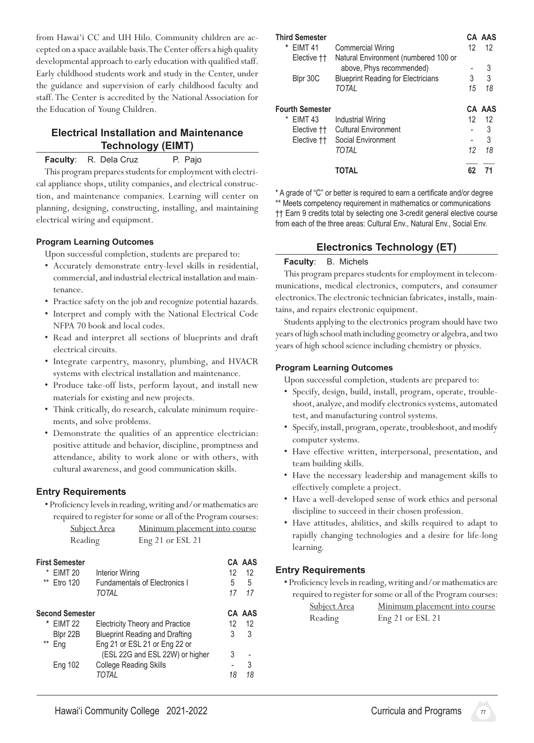from Hawai'i CC and UH Hilo. Community children are accepted on a space available basis. The Center offers a high quality developmental approach to early education with qualified staff. Early childhood students work and study in the Center, under the guidance and supervision of early childhood faculty and staff. The Center is accredited by the National Association for the Education of Young Children.

# **Electrical Installation and Maintenance Technology (EIMT)**

**Faculty:** R. Dela Cruz P. Pajo

This program prepares students for employment with electrical appliance shops, utility companies, and electrical construction, and maintenance companies. Learning will center on planning, designing, constructing, installing, and maintaining electrical wiring and equipment.

#### **Program Learning Outcomes**

Upon successful completion, students are prepared to:

- • Accurately demonstrate entry-level skills in residential, commercial, and industrial electrical installation and maintenance.
- Practice safety on the job and recognize potential hazards.
- • Interpret and comply with the National Electrical Code NFPA 70 book and local codes.
- • Read and interpret all sections of blueprints and draft electrical circuits.
- • Integrate carpentry, masonry, plumbing, and HVACR systems with electrical installation and maintenance.
- Produce take-off lists, perform layout, and install new materials for existing and new projects.
- Think critically, do research, calculate minimum requirements, and solve problems.
- • Demonstrate the qualities of an apprentice electrician: positive attitude and behavior, discipline, promptness and attendance, ability to work alone or with others, with cultural awareness, and good communication skills.

#### **Entry Requirements**

• Proficiency levels in reading, writing and/or mathematics are required to register for some or all of the Program courses: Subject Area Minimum placement into course

Reading Eng 21 or ESL 21

| <b>First Semester</b>    |                                        |    | <b>CA AAS</b> |
|--------------------------|----------------------------------------|----|---------------|
| EIMT <sub>20</sub><br>*  | <b>Interior Wiring</b>                 | 12 | 12            |
| $***$<br><b>Etro 120</b> | <b>Fundamentals of Electronics I</b>   | 5  | 5             |
|                          | <b>TOTAL</b>                           | 17 | 17            |
| <b>Second Semester</b>   |                                        |    | CA AAS        |
| EIMT 22<br>*             | <b>Electricity Theory and Practice</b> | 12 | 12            |
| Blpr 22B                 | <b>Blueprint Reading and Drafting</b>  | 3  | 3             |
| $***$<br>Eng             | Eng 21 or ESL 21 or Eng 22 or          |    |               |
|                          | (ESL 22G and ESL 22W) or higher        | 3  |               |
| <b>Eng 102</b>           | <b>College Reading Skills</b>          |    | 3             |
|                          | TOTAI                                  | 18 | 18            |
|                          |                                        |    |               |

| <b>Third Semester</b>   |                                           |    | CA AAS |
|-------------------------|-------------------------------------------|----|--------|
| EIMT <sub>41</sub><br>* | <b>Commercial Wiring</b>                  | 12 | 12     |
| Elective ††             | Natural Environment (numbered 100 or      |    |        |
|                         | above, Phys recommended)                  |    | 3      |
| Blpr 30C                | <b>Blueprint Reading for Electricians</b> | 3  | 3      |
|                         | TOTAL                                     | 15 | 18     |
|                         |                                           |    |        |
| <b>Fourth Semester</b>  |                                           |    | CA AAS |
| EIMT 43<br>*            | <b>Industrial Wiring</b>                  | 12 | 12     |
| Elective ††             | <b>Cultural Environment</b>               |    | 3      |
| Elective ††             | Social Environment                        |    | 3      |
|                         | TOTAI                                     | 12 | 18     |

\* A grade of "C" or better is required to earn a certificate and/or degree \*\* Meets competency requirement in mathematics or communications †† Earn 9 credits total by selecting one 3-credit general elective course from each of the three areas: Cultural Env., Natural Env., Social Env.

#### **Electronics Technology (ET)**

#### **Faculty**: B. Michels

This program prepares students for employment in telecommunications, medical electronics, computers, and consumer electronics. The electronic technician fabricates, installs, maintains, and repairs electronic equipment.

Students applying to the electronics program should have two years of high school math including geometry or algebra, and two years of high school science including chemistry or physics.

#### **Program Learning Outcomes**

Upon successful completion, students are prepared to:

- • Specify, design, build, install, program, operate, troubleshoot, analyze, and modify electronics systems, automated test, and manufacturing control systems.
- Specify, install, program, operate, troubleshoot, and modify computer systems.
- • Have effective written, interpersonal, presentation, and team building skills.
- • Have the necessary leadership and management skills to effectively complete a project.
- • Have a well-developed sense of work ethics and personal discipline to succeed in their chosen profession.
- • Have attitudes, abilities, and skills required to adapt to rapidly changing technologies and a desire for life-long learning.

#### **Entry Requirements**

• Proficiency levels in reading, writing and/or mathematics are required to register for some or all of the Program courses:

| Subject Area | Minimum placement into course |
|--------------|-------------------------------|
| Reading      | $Eng 21$ or $ESL 21$          |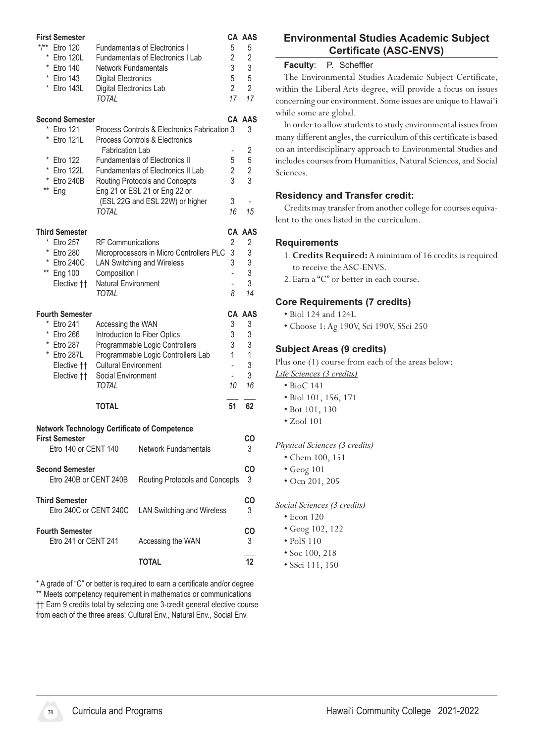| <b>First Semester</b>                          |                                                                   |                          | CA AAS  |
|------------------------------------------------|-------------------------------------------------------------------|--------------------------|---------|
| $*$ /**<br><b>Etro 120</b>                     | <b>Fundamentals of Electronics I</b>                              | 5                        | 5       |
| $^{\star}$<br>Etro 120L                        | <b>Fundamentals of Electronics I Lab</b>                          | 2                        | 2       |
| * Etro 140                                     | Network Fundamentals                                              | 3                        | 3       |
| * Etro 143                                     | <b>Digital Electronics</b>                                        | 5                        | 5       |
| * Etro 143L                                    | Digital Electronics Lab                                           | $\overline{2}$           | 2       |
|                                                | TOTAL                                                             | 17                       | 17      |
| <b>Second Semester</b>                         |                                                                   |                          | CA AAS  |
| * Etro 121                                     | Process Controls & Electronics Fabrication 3                      |                          | 3       |
| $^{\star}$<br>Etro 121L                        | Process Controls & Electronics<br><b>Fabrication Lab</b>          |                          | 2       |
| *<br>Etro 122                                  | <b>Fundamentals of Electronics II</b>                             | 5                        | 5       |
| * Etro 122L                                    | <b>Fundamentals of Electronics II Lab</b>                         | 2                        | 2       |
| * Etro 240B                                    | Routing Protocols and Concepts                                    | 3                        | 3       |
| ** Eng                                         | Eng 21 or ESL 21 or Eng 22 or                                     |                          |         |
|                                                | (ESL 22G and ESL 22W) or higher                                   | 3                        |         |
|                                                | TOTAL                                                             | 16                       | 15      |
| <b>Third Semester</b>                          |                                                                   |                          | CA AAS  |
| * Etro 257                                     | <b>RF Communications</b>                                          | 2                        | 2       |
| *<br><b>Etro 280</b>                           | Microprocessors in Micro Controllers PLC                          | 3                        | 3       |
| * Etro 240C                                    | <b>LAN Switching and Wireless</b>                                 | 3                        | 3       |
| ** Eng 100                                     | Composition I                                                     | $\overline{a}$           | 3       |
| Elective ††                                    | <b>Natural Environment</b>                                        | $\overline{\phantom{0}}$ | 3       |
|                                                | TOTAL                                                             | 8                        | 14      |
|                                                |                                                                   |                          |         |
|                                                |                                                                   |                          |         |
| <b>Fourth Semester</b>                         |                                                                   |                          | CA AAS  |
| Etro 241                                       | Accessing the WAN                                                 | 3                        | 3       |
| * Etro 266                                     | Introduction to Fiber Optics                                      | 3                        | 3       |
| * Etro 287                                     | Programmable Logic Controllers                                    | 3<br>1                   | 3<br>1  |
| * Etro 287L                                    | Programmable Logic Controllers Lab<br><b>Cultural Environment</b> | ÷,                       | 3       |
| Elective ††                                    | Social Environment                                                | $\overline{\phantom{0}}$ | 3       |
| Elective ††                                    | <b>TOTAL</b>                                                      | 10                       | 16      |
|                                                | TOTAL                                                             | 51                       | 62      |
|                                                |                                                                   |                          |         |
|                                                | <b>Network Technology Certificate of Competence</b>               |                          |         |
| <b>First Semester</b>                          |                                                                   |                          | CO      |
| Etro 140 or CENT 140                           | <b>Network Fundamentals</b>                                       |                          | 3       |
| <b>Second Semester</b>                         |                                                                   |                          | CO      |
| Etro 240B or CENT 240B                         | Routing Protocols and Concepts                                    |                          | 3       |
| <b>Third Semester</b>                          |                                                                   |                          |         |
| Etro 240C or CENT 240C                         | <b>LAN Switching and Wireless</b>                                 |                          | CO<br>3 |
|                                                |                                                                   |                          |         |
| <b>Fourth Semester</b><br>Etro 241 or CENT 241 |                                                                   |                          | CO<br>3 |
|                                                | Accessing the WAN<br><b>TOTAL</b>                                 |                          | 12      |

\* A grade of "C" or better is required to earn a certificate and/or degree \*\* Meets competency requirement in mathematics or communications †† Earn 9 credits total by selecting one 3-credit general elective course from each of the three areas: Cultural Env., Natural Env., Social Env.

# **Environmental Studies Academic Subject Certificate (ASC-ENVS)**

#### **Faculty**: P. Scheffler

The Environmental Studies Academic Subject Certificate, within the Liberal Arts degree, will provide a focus on issues concerning our environment. Some issues are unique to Hawai'i while some are global.

In order to allow students to study environmental issues from many different angles, the curriculum of this certificate is based on an interdisciplinary approach to Environmental Studies and includes courses from Humanities, Natural Sciences, and Social Sciences.

### **Residency and Transfer credit:**

Credits may transfer from another college for courses equivalent to the ones listed in the curriculum.

### **Requirements**

- 1.**Credits Required:** A minimum of 16 credits is required to receive the ASC-ENVS.
- 2. Earn a "C" or better in each course.

#### **Core Requirements (7 credits)**

- Biol 124 and 124L
- Choose 1:Ag 190V, Sci 190V, SSci 250

### **Subject Areas (9 credits)**

Plus one (1) course from each of the areas below:

- *Life Sciences (3 credits)*
	- BioC 141
	- Biol 101, 156, 171
	- Bot 101, 130
	- Zool 101

#### *Physical Sciences (3 credits)*

- Chem 100, 151
- Geog 101
- Ocn 201, 205

#### *Social Sciences (3 credits)*

- Econ 120
- Geog 102, 122
- PolS 110
- Soc 100, 218
- SSci 111, 150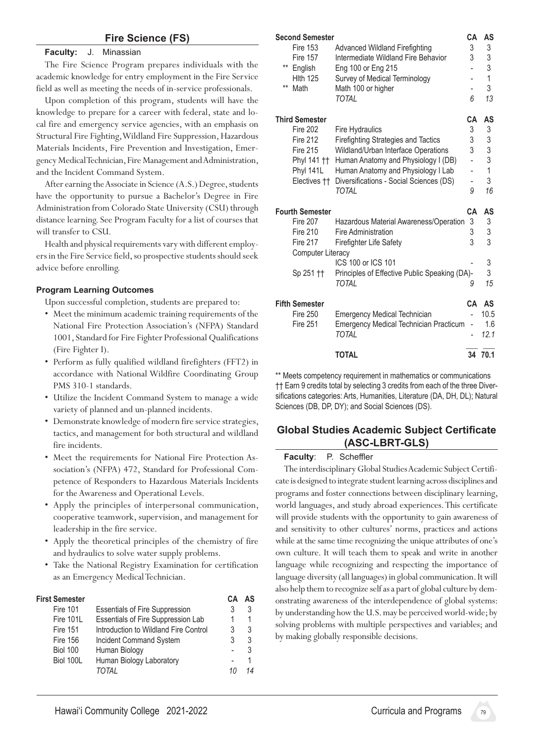#### **Fire Science (FS)**

#### **Faculty:** J. Minassian

The Fire Science Program prepares individuals with the academic knowledge for entry employment in the Fire Service field as well as meeting the needs of in-service professionals.

Upon completion of this program, students will have the knowledge to prepare for a career with federal, state and local fire and emergency service agencies, with an emphasis on Structural Fire Fighting, Wildland Fire Suppression, Hazardous Materials Incidents, Fire Prevention and Investigation, Emergency Medical Technician, Fire Management and Administration, and the Incident Command System.

After earning the Associate in Science (A.S.) Degree, students have the opportunity to pursue a Bachelor's Degree in Fire Administration from Colorado State University (CSU) through distance learning. See Program Faculty for a list of courses that will transfer to CSU.

Health and physical requirements vary with different employers in the Fire Service field, so prospective students should seek advice before enrolling.

#### **Program Learning Outcomes**

Upon successful completion, students are prepared to:

- Meet the minimum academic training requirements of the National Fire Protection Association's (NFPA) Standard 1001, Standard for Fire Fighter Professional Qualifications (Fire Fighter I).
- • Perform as fully qualified wildland firefighters (FFT2) in accordance with National Wildfire Coordinating Group PMS 310-1 standards.
- Utilize the Incident Command System to manage a wide variety of planned and un-planned incidents.
- • Demonstrate knowledge of modern fire service strategies, tactics, and management for both structural and wildland fire incidents.
- Meet the requirements for National Fire Protection Association's (NFPA) 472, Standard for Professional Competence of Responders to Hazardous Materials Incidents for the Awareness and Operational Levels.
- • Apply the principles of interpersonal communication, cooperative teamwork, supervision, and management for leadership in the fire service.
- Apply the theoretical principles of the chemistry of fire and hydraulics to solve water supply problems.
- • Take the National Registry Examination for certification as an Emergency Medical Technician.

#### **First Semester CA AS**

|                 |                                       |    | . |
|-----------------|---------------------------------------|----|---|
| <b>Fire 101</b> | <b>Essentials of Fire Suppression</b> |    | 3 |
| Fire 101L       | Essentials of Fire Suppression Lab    |    |   |
| <b>Fire 151</b> | Introduction to Wildland Fire Control | 3  | 3 |
| <b>Fire 156</b> | <b>Incident Command System</b>        | 3  | 3 |
| <b>Biol 100</b> | Human Biology                         |    | 3 |
| Biol 100L       | Human Biology Laboratory              |    |   |
|                 | TOTAL                                 | 11 |   |
|                 |                                       |    |   |

| <b>Second Semester</b>   |                                               | CА                       | AS             |
|--------------------------|-----------------------------------------------|--------------------------|----------------|
| <b>Fire 153</b>          | <b>Advanced Wildland Firefighting</b>         | 3                        | 3              |
| <b>Fire 157</b>          | Intermediate Wildland Fire Behavior           | 3                        | 3              |
| $***$<br>English         | Eng 100 or Eng 215                            |                          | 3              |
| <b>Hith 125</b>          | Survey of Medical Terminology                 |                          | 1              |
| $***$<br>Math            | Math 100 or higher                            | -                        | 3              |
|                          | <b>TOTAL</b>                                  | 6                        | 13             |
| <b>Third Semester</b>    |                                               | CА                       | AS             |
| <b>Fire 202</b>          | <b>Fire Hydraulics</b>                        | 3                        | 3              |
| <b>Fire 212</b>          | <b>Firefighting Strategies and Tactics</b>    | 3                        | 3              |
| <b>Fire 215</b>          | Wildland/Urban Interface Operations           | 3                        | 3              |
| Phyl 141 ††              | Human Anatomy and Physiology I (DB)           |                          | 3              |
| Phyl 141L                | Human Anatomy and Physiology I Lab            | $\overline{\phantom{0}}$ | $\overline{1}$ |
| Electives ††             | Diversifications - Social Sciences (DS)       |                          | 3              |
|                          | TOTAL                                         | 9                        | 16             |
| <b>Fourth Semester</b>   |                                               | CA                       | AS             |
| <b>Fire 207</b>          | Hazardous Material Awareness/Operation        | 3                        | 3              |
| <b>Fire 210</b>          | Fire Administration                           | 3                        | 3              |
| <b>Fire 217</b>          | <b>Firefighter Life Safety</b>                | 3                        | 3              |
| <b>Computer Literacy</b> |                                               |                          |                |
|                          | ICS 100 or ICS 101                            |                          | 3              |
| Sp 251 ††                | Principles of Effective Public Speaking (DA)- |                          | 3              |
|                          | TOTAL                                         | 9                        | 15             |
| <b>Fifth Semester</b>    |                                               | CA                       | AS             |
| <b>Fire 250</b>          | <b>Emergency Medical Technician</b>           |                          | 10.5           |
| <b>Fire 251</b>          | <b>Emergency Medical Technician Practicum</b> |                          | 1.6            |
|                          | <b>TOTAL</b>                                  |                          | 12.1           |
|                          | <b>TOTAL</b>                                  | 34                       | 70.1           |

\*\* Meets competency requirement in mathematics or communications †† Earn 9 credits total by selecting 3 credits from each of the three Diversifications categories: Arts, Humanities, Literature (DA, DH, DL); Natural Sciences (DB, DP, DY); and Social Sciences (DS).

#### **Global Studies Academic Subject Certificate (ASC-LBRT-GLS)**

#### **Faculty**: P. Scheffler

The interdisciplinary Global Studies Academic Subject Certificate is designed to integrate student learning across disciplines and programs and foster connections between disciplinary learning, world languages, and study abroad experiences. This certificate will provide students with the opportunity to gain awareness of and sensitivity to other cultures' norms, practices and actions while at the same time recognizing the unique attributes of one's own culture. It will teach them to speak and write in another language while recognizing and respecting the importance of language diversity (all languages) in global communication. It will also help them to recognize self as a part of global culture by demonstrating awareness of the interdependence of global systems: by understanding how the U.S. may be perceived world-wide; by solving problems with multiple perspectives and variables; and by making globally responsible decisions.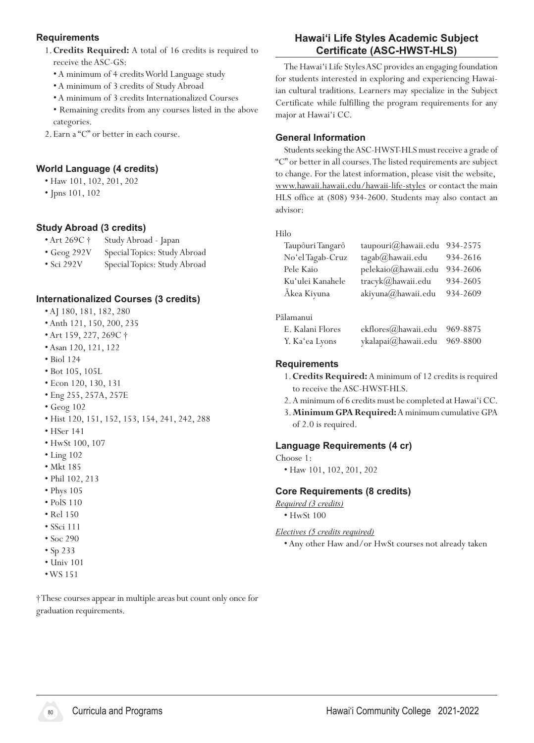### **Requirements**

- 1.**Credits Required:** A total of 16 credits is required to receive the ASC-GS:
	- A minimum of 4 creditsWorld Language study
	- A minimum of 3 credits of Study Abroad
	- A minimum of 3 credits Internationalized Courses
	- Remaining credits from any courses listed in the above categories.
- 2. Earn a "C" or better in each course.

# **World Language (4 credits)**

- Haw 101, 102, 201, 202
- Jpns 101, 102

# **Study Abroad (3 credits)**

- Art 269C † Study Abroad Japan
- Geog 292V Special Topics: Study Abroad
- Sci 292V Special Topics: Study Abroad

# **Internationalized Courses (3 credits)**

- AJ 180, 181, 182, 280
- Anth 121, 150, 200, 235
- Art 159, 227, 269C †
- Asan 120, 121, 122
- Biol 124
- Bot 105, 105L
- Econ 120, 130, 131
- Eng 255, 257A, 257E
- Geog 102
- Hist 120, 151, 152, 153, 154, 241, 242, 288
- HSer 141
- HwSt 100, 107
- Ling 102
- Mkt 185
- Phil 102, 213
- Phys 105
- PolS 110
- Rel 150
- SSci 111
- Soc 290
- Sp 233
- Univ 101
- •WS 151

†These courses appear in multiple areas but count only once for graduation requirements.

# **Hawai'i Life Styles Academic Subject Certificate (ASC-HWST-HLS)**

The Hawai'i Life Styles ASC provides an engaging foundation for students interested in exploring and experiencing Hawaiian cultural traditions. Learners may specialize in the Subject Certificate while fulfilling the program requirements for any major at Hawai'i CC.

#### **General Information**

Students seeking the ASC-HWST-HLS must receive a grade of "C" or better in all courses.The listed requirements are subject to change. For the latest information, please visit the website, www.hawaii.hawaii.edu/hawaii-life-styles or contact the main HLS office at (808) 934-2600. Students may also contact an advisor:

#### Hilo

| Taupōuri Tangarō | taupouri@hawaii.edu | 934-2575 |
|------------------|---------------------|----------|
| No'el Tagab-Cruz | tagab@hawaii.edu    | 934-2616 |
| Pele Kaio        | pelekaio@hawaii.edu | 934-2606 |
| Ku'ulei Kanahele | tracyk@hawaii.edu   | 934-2605 |
| Ākea Kiyuna      | akiyuna@hawaii.edu  | 934-2609 |
|                  |                     |          |
| Pālamanui        |                     |          |
| E. Kalani Flores | ekflores@hawaii.edu | 969-8875 |

# Y. Ka'ea Lyons ykalapai@hawaii.edu 969-8800

#### **Requirements**

- 1.**Credits Required:** A minimum of 12 credits is required to receive the ASC-HWST-HLS.
- 2.A minimum of 6 credits must be completed at Hawai'i CC.
- 3.**Minimum GPA Required:** A minimum cumulative GPA of 2.0 is required.

# **Language Requirements (4 cr)**

Choose 1:

 • Haw 101, 102, 201, 202

#### **Core Requirements (8 credits)**

*Required (3 credits)*

 • HwSt 100

#### *Electives (5 credits required)*

 • Any other Haw and/or HwSt courses not already taken

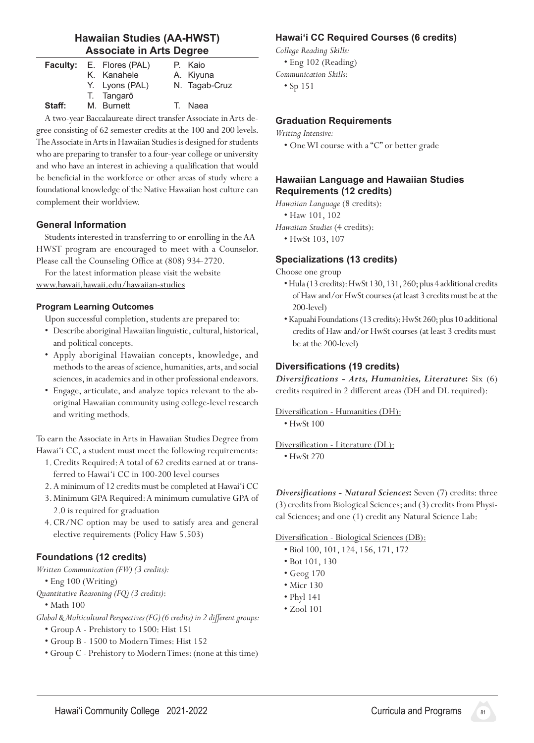# **Hawaiian Studies (AA-HWST) Associate in Arts Degree**

|        | <b>Faculty:</b> E. Flores (PAL)<br>K. Kanahele | P. Kaio<br>A. Kiyuna |
|--------|------------------------------------------------|----------------------|
|        | Y. Lyons (PAL)                                 | N. Tagab-Cruz        |
| Staff: | T. Tangarō<br>M. Burnett                       | T. Naea              |

A two-year Baccalaureate direct transfer Associate in Arts degree consisting of 62 semester credits at the 100 and 200 levels. The Associate in Arts in Hawaiian Studies is designed for students who are preparing to transfer to a four-year college or university and who have an interest in achieving a qualification that would be beneficial in the workforce or other areas of study where a foundational knowledge of the Native Hawaiian host culture can complement their worldview.

### **General Information**

Students interested in transferring to or enrolling in the AA-HWST program are encouraged to meet with a Counselor. Please call the Counseling Office at (808) 934-2720.

For the latest information please visit the website www.hawaii.hawaii.edu/hawaiian-studies

#### **Program Learning Outcomes**

Upon successful completion, students are prepared to:

- Describe aboriginal Hawaiian linguistic, cultural, historical, and political concepts.
- • Apply aboriginal Hawaiian concepts, knowledge, and methods to the areas of science, humanities, arts, and social sciences, in academics and in other professional endeavors.
- • Engage, articulate, and analyze topics relevant to the aboriginal Hawaiian community using college-level research and writing methods.

To earn the Associate in Arts in Hawaiian Studies Degree from Hawai'i CC, a student must meet the following requirements:

1. Credits Required: A total of 62 credits earned at or transferred to Hawai'i CC in 100-200 level courses

2.A minimum of 12 credits must be completed at Hawai'i CC

- 3. Minimum GPA Required:A minimum cumulative GPA of 2.0 is required for graduation
- 4. CR/NC option may be used to satisfy area and general elective requirements (Policy Haw 5.503)

# **Foundations (12 credits)**

*Written Communication (FW) (3 credits):*

- Eng 100 (Writing)
- *Quantitative Reasoning (FQ) (3 credits)*:

 • Math 100

*Global & Multicultural Perspectives (FG) (6 credits) in 2 different groups:*

- Group A Prehistory to 1500: Hist 151
- Group B 1500 to ModernTimes: Hist 152
- Group C Prehistory to ModernTimes:(none at this time)

# **Hawaiʻi CC Required Courses (6 credits)**

*College Reading Skills:*

 • Eng 102 (Reading)

- *Communication Skills*:
	- Sp 151

#### **Graduation Requirements**

#### *Writing Intensive:*

 • OneWI course with a "C" or better grade

#### **Hawaiian Language and Hawaiian Studies Requirements (12 credits)**

*Hawaiian Language* (8 credits):

• Haw 101, 102

- *Hawaiian Studies* (4 credits):
	- HwSt 103, 107

#### **Specializations (13 credits)**

Choose one group

- •Hula (13 credits): HwSt 130, 131, 260; plus 4 additional credits of Haw and/or HwSt courses (at least 3 credits must be at the 200-level)
- •Kapuahi Foundations(13 credits):HwSt 260;plus 10 additional credits of Haw and/or HwSt courses (at least 3 credits must be at the 200-level)

# **Diversifications (19 credits)**

*Diversifications - Arts, Humanities, Literature***:** Six (6) credits required in 2 different areas (DH and DL required):

Diversification - Humanities (DH):

• HwSt 100

Diversification - Literature (DL):

 • HwSt 270

*Diversifications - Natural Sciences***:** Seven (7) credits: three (3) credits from Biological Sciences; and (3) credits from Physical Sciences; and one (1) credit any Natural Science Lab:

Diversification - Biological Sciences (DB):

- Biol 100, 101, 124, 156, 171, 172
- Bot 101, 130
- Geog 170
- Micr 130
- Phyl 141
- Zool 101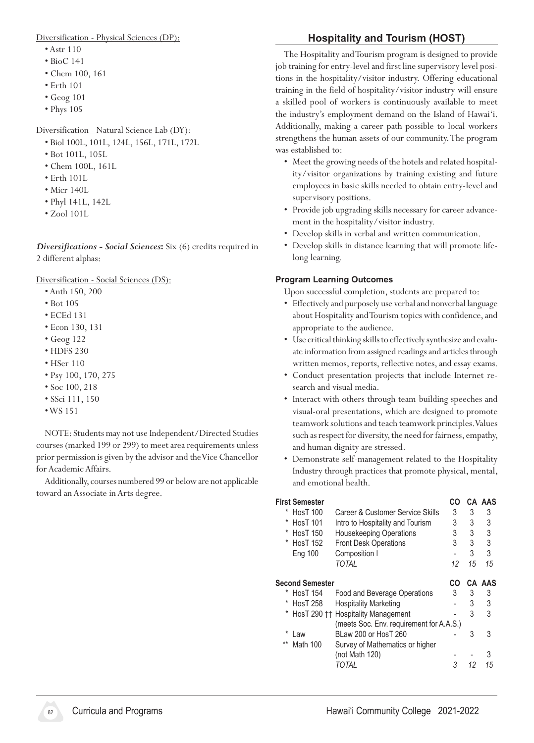#### Diversification - Physical Sciences (DP):

- Astr 110
- BioC 141
- Chem 100, 161
- Erth 101
- Geog 101
- Phys 105

#### Diversification - Natural Science Lab (DY):

- Biol 100L, 101L, 124L, 156L, 171L, 172L
- Bot 101L, 105L
- Chem 100L, 161L
- Erth 101L
- Micr 140L
- Phyl 141L, 142L
- Zool 101L

*Diversifications - Social Sciences***:** Six (6) credits required in 2 different alphas:

Diversification - Social Sciences (DS):

- Anth 150, 200
- Bot 105
- ECEd 131
- Econ 130, 131
- Geog 122
- HDFS 230
- HSer 110
- Psy 100, 170, 275
- Soc 100, 218
- SSci 111, 150
- •WS 151

 NOTE: Students may not use Independent/Directed Studies courses (marked 199 or 299) to meet area requirements unless prior permission is given by the advisor and the Vice Chancellor for Academic Affairs.

Additionally, courses numbered 99 or below are not applicable toward an Associate in Arts degree.

# **Hospitality and Tourism (HOST)**

The Hospitality and Tourism program is designed to provide job training for entry-level and first line supervisory level positions in the hospitality/visitor industry. Offering educational training in the field of hospitality/visitor industry will ensure a skilled pool of workers is continuously available to meet the industry's employment demand on the Island of Hawai'i. Additionally, making a career path possible to local workers strengthens the human assets of our community. The program was established to:

- • Meet the growing needs of the hotels and related hospitality/visitor organizations by training existing and future employees in basic skills needed to obtain entry-level and supervisory positions.
- Provide job upgrading skills necessary for career advancement in the hospitality/visitor industry.
- • Develop skills in verbal and written communication.
- • Develop skills in distance learning that will promote lifelong learning.

#### **Program Learning Outcomes**

- Effectively and purposely use verbal and nonverbal language about Hospitality and Tourism topics with confidence, and appropriate to the audience.
- Use critical thinking skills to effectively synthesize and evaluate information from assigned readings and articles through written memos, reports, reflective notes, and essay exams.
- Conduct presentation projects that include Internet research and visual media.
- • Interact with others through team-building speeches and visual-oral presentations, which are designed to promote teamwork solutions and teach teamwork principles. Values such as respect for diversity, the need for fairness, empathy, and human dignity are stressed.
- Demonstrate self-management related to the Hospitality Industry through practices that promote physical, mental, and emotional health.

| First Semester<br><b>HosT 100</b><br>*<br>Career & Customer Service Skills<br><b>HosT 101</b><br>Intro to Hospitality and Tourism<br><b>HosT 150</b><br><b>Housekeeping Operations</b><br>*<br><b>Front Desk Operations</b><br>* HosT 152<br>Composition I<br>Eng 100<br>TOTAI | CO<br>3<br>3<br>3<br>3<br>12 | 3<br>3<br>3<br>3<br>3<br>15 | CA AAS<br>3<br>3<br>3<br>3<br>3<br>15 |
|--------------------------------------------------------------------------------------------------------------------------------------------------------------------------------------------------------------------------------------------------------------------------------|------------------------------|-----------------------------|---------------------------------------|
| <b>Second Semester</b>                                                                                                                                                                                                                                                         | CO                           |                             | CA AAS                                |
| <b>HosT 154</b><br>Food and Beverage Operations                                                                                                                                                                                                                                | 3                            | 3                           | 3                                     |
| <b>HosT 258</b><br><b>Hospitality Marketing</b>                                                                                                                                                                                                                                |                              | 3                           | 3                                     |
| HosT 290 †† Hospitality Management                                                                                                                                                                                                                                             |                              | 3                           | 3                                     |
| (meets Soc. Env. requirement for A.A.S.)                                                                                                                                                                                                                                       |                              |                             |                                       |
| BLaw 200 or HosT 260<br>Law                                                                                                                                                                                                                                                    |                              | 3                           | 3                                     |
| $***$<br>Math 100<br>Survey of Mathematics or higher                                                                                                                                                                                                                           |                              |                             |                                       |
| (not Math 120)                                                                                                                                                                                                                                                                 |                              |                             | 3                                     |
| TOTAL                                                                                                                                                                                                                                                                          | 3                            | 12                          | 15                                    |

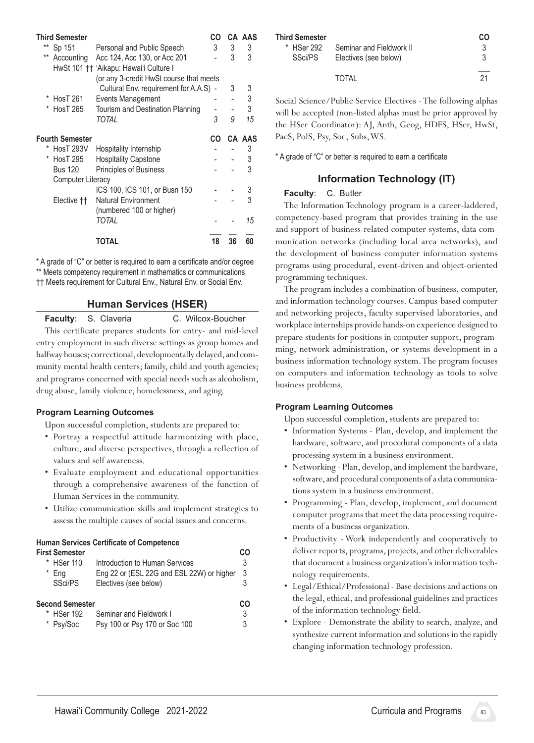| <b>Third Semester</b>    |                                                                        | CO |    | CA AAS |
|--------------------------|------------------------------------------------------------------------|----|----|--------|
| **<br>Sp 151             | Personal and Public Speech                                             | 3  | 3  | 3      |
| $***$<br>Accounting      | Acc 124, Acc 130, or Acc 201<br>HwSt 101 †† 'Aikapu: Hawai'i Culture I |    | 3  | 3      |
|                          | (or any 3-credit HwSt course that meets                                |    |    |        |
|                          | Cultural Env. requirement for A.A.S) -                                 |    | 3  | 3      |
| HosT 261                 | Events Management                                                      |    |    | 3      |
| <b>HosT 265</b>          | Tourism and Destination Planning                                       |    |    | 3      |
|                          | TOTAL                                                                  | 3  | 9  | 15     |
| <b>Fourth Semester</b>   |                                                                        | CO |    | CA AAS |
| <b>HosT 293V</b>         | Hospitality Internship                                                 |    |    | 3      |
| <b>HosT 295</b>          | <b>Hospitality Capstone</b>                                            |    |    | 3      |
| <b>Bus 120</b>           | <b>Principles of Business</b>                                          |    |    | 3      |
| <b>Computer Literacy</b> |                                                                        |    |    |        |
|                          | ICS 100, ICS 101, or Busn 150                                          |    |    | 3      |
| Elective ††              | Natural Environment                                                    |    |    | 3      |
|                          | (numbered 100 or higher)                                               |    |    |        |
|                          | TOTAL                                                                  |    |    | 15     |
|                          | TOTAL                                                                  | 18 | 36 | 60     |

\* A grade of "C" or better is required to earn a certificate and/or degree \*\* Meets competency requirement in mathematics or communications †† Meets requirement for Cultural Env., Natural Env. or Social Env.

# **Human Services (HSER)**

**Faculty**: S. Claveria **C. Wilcox-Boucher** This certificate prepares students for entry- and mid-level entry employment in such diverse settings as group homes and halfway houses; correctional, developmentally delayed, and community mental health centers; family, child and youth agencies; and programs concerned with special needs such as alcoholism, drug abuse, family violence, homelessness, and aging.

#### **Program Learning Outcomes**

Upon successful completion, students are prepared to:

- • Portray a respectful attitude harmonizing with place, culture, and diverse perspectives, through a reflection of values and self awareness.
- • Evaluate employment and educational opportunities through a comprehensive awareness of the function of Human Services in the community.
- • Utilize communication skills and implement strategies to assess the multiple causes of social issues and concerns.

#### **Human Services Certificate of Competence**

|   | First Semester  |                                           | rΩ |
|---|-----------------|-------------------------------------------|----|
|   | * HSer 110      | Introduction to Human Services            | 3  |
| * | Eng             | Eng 22 or (ESL 22G and ESL 22W) or higher | 3  |
|   | SSci/PS         | Electives (see below)                     | 3  |
|   | Second Semester |                                           | CΩ |
|   | * HSer 192      | Seminar and Fieldwork I                   | 3  |
|   | * Psy/Soc       | Psy 100 or Psy 170 or Soc 100             | 3  |

| <b>Third Semester</b><br>* HSer 292<br>SSci/PS | Seminar and Fieldwork II<br>Electives (see below) | CO<br>3<br>3 |
|------------------------------------------------|---------------------------------------------------|--------------|
|                                                | TOTAI                                             | 21           |

Social Science/Public Service Electives -The following alphas will be accepted (non-listed alphas must be prior approved by the HSer Coordinator): AJ, Anth, Geog, HDFS, HSer, HwSt, PacS, PolS, Psy, Soc, Subs,WS.

\* A grade of "C" or better is required to earn a certificate

# **Information Technology (IT)**

### **Faculty**: C. Butler

 The Information Technology program is a career-laddered, competency-based program that provides training in the use and support of business-related computer systems, data communication networks (including local area networks), and the development of business computer information systems programs using procedural, event-driven and object-oriented programming techniques.

The program includes a combination of business, computer, and information technology courses. Campus-based computer and networking projects, faculty supervised laboratories, and workplace internships provide hands-on experience designed to prepare students for positions in computer support, programming, network administration, or systems development in a business information technology system. The program focuses on computers and information technology as tools to solve business problems.

# **Program Learning Outcomes**

- Information Systems Plan, develop, and implement the hardware, software, and procedural components of a data processing system in a business environment.
- Networking Plan, develop, and implement the hardware, software, and procedural components of a data communications system in a business environment.
- • Programming Plan, develop, implement, and document computer programs that meet the data processing requirements of a business organization.
- • Productivity Work independently and cooperatively to deliver reports, programs, projects, and other deliverables that document a business organization's information technology requirements.
- Legal/Ethical/Professional Base decisions and actions on the legal, ethical, and professional guidelines and practices of the information technology field.
- • Explore Demonstrate the ability to search, analyze, and synthesize current information and solutions in the rapidly changing information technology profession.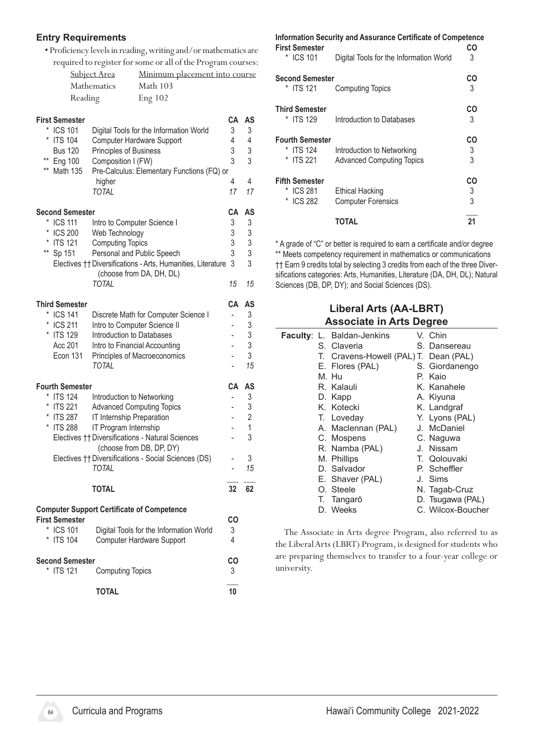#### **Entry Requirements**

• Proficiency levelsin reading,writing and/ormathematicsare

|                                                   |                                  | required to register for some or all of the Program courses:                 |                          |            |
|---------------------------------------------------|----------------------------------|------------------------------------------------------------------------------|--------------------------|------------|
|                                                   | Subject Area                     | Minimum placement into course                                                |                          |            |
|                                                   | Mathematics                      | Math 103                                                                     |                          |            |
| Reading                                           |                                  | <b>Eng 102</b>                                                               |                          |            |
| <b>First Semester</b>                             |                                  |                                                                              | CA                       | AS         |
| * ICS 101                                         |                                  | Digital Tools for the Information World                                      | 3                        | 3          |
| $\ast$<br><b>ITS 104</b>                          | Computer Hardware Support        |                                                                              | 4                        | 4          |
| <b>Bus 120</b>                                    | Principles of Business           |                                                                              | 3                        | 3          |
| ** Eng 100                                        | Composition I (FW)               |                                                                              | 3                        | 3          |
| $***$<br>Math 135                                 |                                  | Pre-Calculus: Elementary Functions (FQ) or                                   |                          |            |
|                                                   | higher                           |                                                                              | 4                        | 4          |
|                                                   | <b>TOTAL</b>                     |                                                                              | 17                       | 17         |
| <b>Second Semester</b>                            |                                  |                                                                              | CА                       | AS         |
| <b>ICS 111</b>                                    | Intro to Computer Science I      |                                                                              | 3                        | 3          |
| <b>ICS 200</b>                                    | Web Technology                   |                                                                              | 3                        | 3          |
| <b>ITS 121</b>                                    | <b>Computing Topics</b>          |                                                                              | 3                        | 3          |
| **<br>Sp 151                                      | Personal and Public Speech       |                                                                              | 3                        | 3          |
|                                                   |                                  | Electives †† Diversifications - Arts, Humanities, Literature                 | 3                        | 3          |
|                                                   | <b>TOTAL</b>                     | (choose from DA, DH, DL)                                                     | 15                       | 15         |
| <b>Third Semester</b>                             |                                  |                                                                              | CА                       | AS         |
| * ICS 141                                         |                                  | Discrete Math for Computer Science I                                         | $\overline{\phantom{0}}$ | 3          |
| <b>ICS 211</b>                                    | Intro to Computer Science II     |                                                                              |                          | 3          |
| * ITS 129                                         | Introduction to Databases        |                                                                              |                          | 3          |
| Acc 201                                           | Intro to Financial Accounting    |                                                                              |                          | 3          |
| Econ 131                                          |                                  | Principles of Macroeconomics                                                 |                          | 3          |
|                                                   | TOTAL                            |                                                                              | -                        | 15         |
| <b>Fourth Semester</b>                            |                                  |                                                                              | CA                       | AS         |
| * ITS 124                                         | Introduction to Networking       |                                                                              |                          | 3          |
| *<br><b>ITS 221</b>                               | <b>Advanced Computing Topics</b> |                                                                              |                          | 3          |
| *<br><b>ITS 287</b>                               | IT Internship Preparation        |                                                                              | -                        | $\sqrt{2}$ |
| *<br><b>ITS 288</b>                               | IT Program Internship            |                                                                              |                          | 1          |
|                                                   |                                  | Electives †† Diversifications - Natural Sciences<br>(choose from DB, DP, DY) |                          | 3          |
|                                                   |                                  | Electives †† Diversifications - Social Sciences (DS)                         |                          | 3          |
|                                                   | <b>TOTAL</b>                     |                                                                              |                          | 15         |
|                                                   | <b>TOTAL</b>                     |                                                                              | 32                       | 62         |
| <b>Computer Support Certificate of Competence</b> |                                  |                                                                              |                          |            |
| <b>First Semester</b>                             |                                  |                                                                              | CO                       |            |
| * ICS 101                                         |                                  | Digital Tools for the Information World                                      | 3                        |            |
| * ITS 104                                         |                                  | <b>Computer Hardware Support</b>                                             | 4                        |            |
| Second Semester                                   |                                  |                                                                              | CO                       |            |
| * ITS 121                                         | <b>Computing Topics</b>          |                                                                              | 3                        |            |
|                                                   |                                  |                                                                              |                          |            |

| <b>TOTAL</b> | 10 |
|--------------|----|
|              |    |

|                                                      | Information Security and Assurance Certificate of Competence   |              |
|------------------------------------------------------|----------------------------------------------------------------|--------------|
| <b>First Semester</b><br><b>ICS 101</b>              | Digital Tools for the Information World                        | CO<br>3      |
| <b>Second Semester</b><br>* ITS 121                  | <b>Computing Topics</b>                                        | CO<br>3      |
| <b>Third Semester</b><br>* ITS 129                   | Introduction to Databases                                      | CO<br>3      |
| <b>Fourth Semester</b><br>* ITS 124<br>* ITS 221     | Introduction to Networking<br><b>Advanced Computing Topics</b> | CO<br>3<br>3 |
| <b>Fifth Semester</b><br>* ICS 281<br><b>ICS 282</b> | <b>Ethical Hacking</b><br><b>Computer Forensics</b>            | CO<br>3<br>3 |
|                                                      | TOTAL                                                          | 21           |

\* A grade of "C" or better is required to earn a certificate and/or degree \*\* Meets competency requirement in mathematics or communications †† Earn 9 credits total by selecting 3 credits from each of the three Diversifications categories: Arts, Humanities, Literature (DA, DH, DL); Natural Sciences (DB, DP, DY); and Social Sciences (DS).

### **Liberal Arts (AA-LBRT) Associate in Arts Degree**

|  | <b>Faculty: L. Baldan-Jenkins</b>     | V. Chin           |
|--|---------------------------------------|-------------------|
|  | S. Claveria                           | S. Dansereau      |
|  | T. Cravens-Howell (PAL) T. Dean (PAL) |                   |
|  | E. Flores (PAL)                       | S. Giordanengo    |
|  | M. Hu                                 | P. Kaio           |
|  | R. Kalauli                            | K. Kanahele       |
|  | D. Kapp                               | A. Kiyuna         |
|  | K. Kotecki                            | K. Landgraf       |
|  | T. Loveday                            | Y. Lyons (PAL)    |
|  | A. Maclennan (PAL)                    | J. McDaniel       |
|  | C. Mospens                            | C. Naguwa         |
|  | R. Namba (PAL)                        | J. Nissam         |
|  | M. Phillips                           | T. Qolouvaki      |
|  | D. Salvador                           | P. Scheffler      |
|  | E. Shaver (PAL)                       | J. Sims           |
|  | O. Steele                             | N. Tagab-Cruz     |
|  | T. Tangarō                            | D. Tsugawa (PAL)  |
|  | D. Weeks                              | C. Wilcox-Boucher |
|  |                                       |                   |

The Associate in Arts degree Program, also referred to as the LiberalArts (LBRT) Program, is designed for students who are preparing themselves to transfer to a four-year college or university.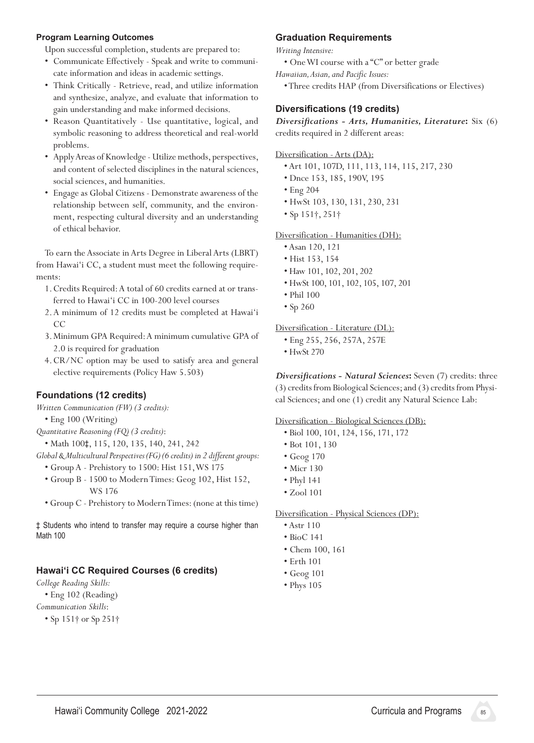#### **Program Learning Outcomes**

Upon successful completion, students are prepared to:

- • Communicate Effectively Speak and write to communicate information and ideas in academic settings.
- • Think Critically Retrieve, read, and utilize information and synthesize, analyze, and evaluate that information to gain understanding and make informed decisions.
- • Reason Quantitatively Use quantitative, logical, and symbolic reasoning to address theoretical and real-world problems.
- • ApplyAreas of Knowledge -Utilize methods, perspectives, and content of selected disciplines in the natural sciences, social sciences, and humanities.
- Engage as Global Citizens Demonstrate awareness of the relationship between self, community, and the environment, respecting cultural diversity and an understanding of ethical behavior.

 To earn theAssociate inArts Degree in Liberal Arts (LBRT) from Hawai'i CC, a student must meet the following requirements:

- 1. Credits Required: A total of 60 credits earned at or transferred to Hawai'i CC in 100-200 level courses
- 2.A minimum of 12 credits must be completed at Hawai'i CC
- 3. Minimum GPA Required:A minimum cumulative GPA of 2.0 is required for graduation
- 4. CR/NC option may be used to satisfy area and general elective requirements (Policy Haw 5.503)

# **Foundations (12 credits)**

*Written Communication (FW) (3 credits):*

- Eng 100 (Writing)
- *Quantitative Reasoning (FQ) (3 credits)*:
	- Math 100‡, 115, 120, 135, 140, 241, 242

*Global & Multicultural Perspectives (FG) (6 credits) in 2 different groups:*

- Group A Prehistory to 1500: Hist 151,WS 175
- Group B 1500 to ModernTimes: Geog 102, Hist 152, WS 176
- Group C Prehistory to ModernTimes:(none at this time)

‡ Students who intend to transfer may require a course higher than Math 100

#### **Hawaiʻi CC Required Courses (6 credits)**

*College Reading Skills:*

- Eng 102 (Reading)
- *Communication Skills*:
	- Sp 151† or Sp 251†

#### **Graduation Requirements**

*Writing Intensive:*

- OneWI course with a "C" or better grade
- *Hawaiian, Asian, and Pacific Issues:*
	- •Three credits HAP (from Diversifications or Electives)

#### **Diversifications (19 credits)**

*Diversifications - Arts, Humanities, Literature***:** Six (6) credits required in 2 different areas:

Diversification - Arts (DA):

- Art 101, 107D, 111, 113, 114, 115, 217, 230
- Dnce 153, 185, 190V, 195
- Eng 204
- HwSt 103, 130, 131, 230, 231
- Sp 151†, 251†

#### Diversification - Humanities (DH):

- Asan 120, 121
- Hist 153, 154
- Haw 101, 102, 201, 202
- HwSt 100, 101, 102, 105, 107, 201
- Phil 100
- Sp 260

#### Diversification - Literature (DL):

- Eng 255, 256, 257A, 257E
- HwSt 270

*Diversifications - Natural Sciences***:** Seven (7) credits: three (3) credits from Biological Sciences; and (3) credits from Physical Sciences; and one (1) credit any Natural Science Lab:

#### Diversification - Biological Sciences (DB):

- Biol 100, 101, 124, 156, 171, 172
- Bot 101, 130
- Geog 170
- Micr 130
- Phyl 141
- Zool 101

#### Diversification - Physical Sciences (DP):

- Astr 110
- BioC 141
- Chem 100, 161
- Erth 101
- Geog 101
- Phys 105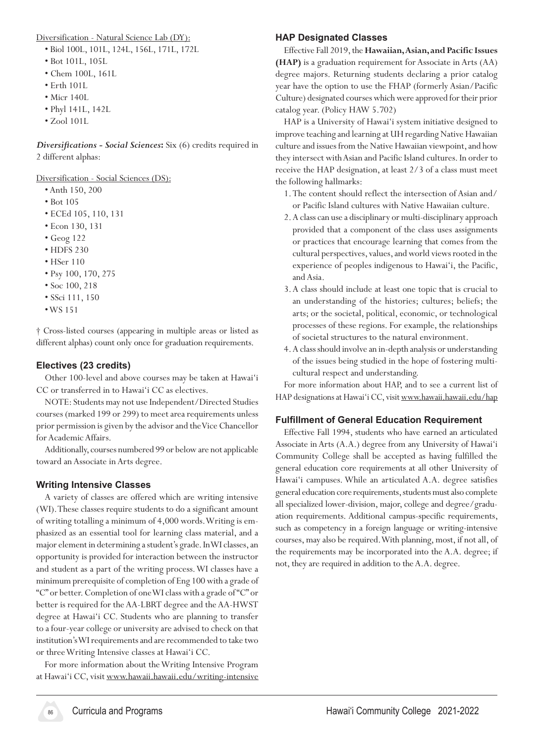Diversification - Natural Science Lab (DY):

- Biol 100L, 101L, 124L, 156L, 171L, 172L
- Bot 101L, 105L
- Chem 100L, 161L
- Erth 101L
- Micr 140L
- Phyl 141L, 142L
- Zool 101L

*Diversifications - Social Sciences***:** Six (6) credits required in 2 different alphas:

Diversification - Social Sciences (DS):

- Anth 150, 200
- Bot 105
- ECEd 105, 110, 131
- Econ 130, 131
- Geog 122
- HDFS 230
- HSer 110
- Psy 100, 170, 275
- Soc 100, 218
- SSci 111, 150
- •WS 151

† Cross‑listed courses (appearing in multiple areas or listed as different alphas) count only once for graduation requirements.

### **Electives (23 credits)**

Other 100-level and above courses may be taken at Hawai'i CC or transferred in to Hawai'i CC as electives.

 NOTE: Students may not use Independent/Directed Studies courses (marked 199 or 299) to meet area requirements unless prior permission is given by the advisor and the Vice Chancellor for Academic Affairs.

Additionally, courses numbered 99 or below are not applicable toward an Associate in Arts degree.

#### **Writing Intensive Classes**

A variety of classes are offered which are writing intensive (WI).These classes require students to do a significant amount of writing totalling a minimum of 4,000 words.Writing is emphasized as an essential tool for learning class material, and a major element in determining astudent's grade.InWIclasses,an opportunity is provided for interaction between the instructor and student as a part of the writing process.WI classes have a minimum prerequisite of completion of Eng 100 with a grade of "C" or better.Completion of oneWIclass with a grade of"C" or better is required for the AA-LBRT degree and the AA-HWST degree at Hawai'i CC. Students who are planning to transfer to a four-year college or university are advised to check on that institution's WI requirements and are recommended to take two or threeWriting Intensive classes at Hawai'i CC.

 For more information about theWriting Intensive Program at Hawai'i CC, visit www.hawaii.hawaii.edu/writing-intensive

#### **HAP Designated Classes**

Effective Fall 2019, the Hawaiian, Asian, and Pacific Issues **(HAP)** is a graduation requirement for Associate in Arts (AA) degree majors. Returning students declaring a prior catalog year have the option to use the FHAP (formerly Asian/Pacific Culture) designated courses which were approved for their prior catalog year. (Policy HAW 5.702)

HAP is a University of Hawai'i system initiative designed to improve teaching and learning at UH regarding Native Hawaiian culture and issues from the Native Hawaiian viewpoint, and how they intersect with Asian and Pacific Island cultures. In order to receive the HAP designation, at least 2/3 of a class must meet the following hallmarks:

- 1. The content should reflect the intersection of Asian and/ or Pacific Island cultures with Native Hawaiian culture.
- 2.A class can use a disciplinary or multi-disciplinary approach provided that a component of the class uses assignments or practices that encourage learning that comes from the cultural perspectives, values, and world views rooted in the experience of peoples indigenous to Hawai'i, the Pacific, and Asia.
- 3.A class should include at least one topic that is crucial to an understanding of the histories; cultures; beliefs; the arts; or the societal, political, economic, or technological processes of these regions. For example, the relationships of societal structures to the natural environment.
- 4.A class should involve an in-depth analysis or understanding of the issues being studied in the hope of fostering multicultural respect and understanding.

For more information about HAP, and to see a current list of HAP designations at Hawai'i CC, visit www.hawaii.hawaii.edu/hap

#### **Fulfillment of General Education Requirement**

 Effective Fall 1994, students who have earned an articulated Associate in Arts (A.A.) degree from any University of Hawai'i Community College shall be accepted as having fulfilled the general education core requirements at all other University of Hawai'i campuses. While an articulated A.A. degree satisfies general education core requirements, students must also complete all specialized lower-division, major, college and degree/graduation requirements. Additional campus-specific requirements, such as competency in a foreign language or writing-intensive courses, may also be required.With planning, most, if not all, of the requirements may be incorporated into the A.A. degree; if not, they are required in addition to the A.A. degree.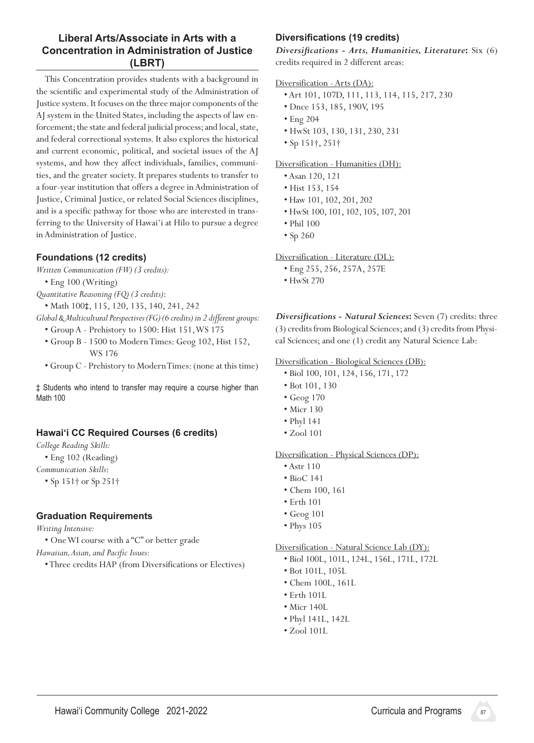# **Liberal Arts/Associate in Arts with a Concentration in Administration of Justice (LBRT)**

This Concentration provides students with a background in the scientific and experimental study of the Administration of Justice system.It focuses on the three majorcomponents of the AJ system in the United States, including the aspects of law enforcement; the state and federal judicial process; and local, state, and federal correctional systems. It also explores the historical and current economic, political, and societal issues of the AJ systems, and how they affect individuals, families, communities, and the greater society. It prepares students to transfer to a four-year institution that offers a degree in Administration of Justice, Criminal Justice, or related Social Sciences disciplines, and is a specific pathway for those who are interested in transferring to the University of Hawai'i at Hilo to pursue a degree in Administration of Justice.

# **Foundations (12 credits)**

*Written Communication (FW) (3 credits):*

 • Eng 100 (Writing)

*Quantitative Reasoning (FQ) (3 credits)*:

- Math 100‡, 115, 120, 135, 140, 241, 242
- *Global & Multicultural Perspectives (FG) (6 credits) in 2 different groups:*
	- Group A Prehistory to 1500: Hist 151,WS 175
	- Group B 1500 to ModernTimes: Geog 102, Hist 152, WS 176
	- Group C Prehistory to ModernTimes:(none at this time)

‡ Students who intend to transfer may require a course higher than Math 100

#### **Hawaiʻi CC Required Courses (6 credits)**

*College Reading Skills:*

 • Eng 102 (Reading)

*Communication Skills*:

 • Sp 151† or Sp 251†

#### **Graduation Requirements**

*Writing Intensive:*

 • OneWI course with a "C" or better grade

*Hawaiian, Asian, and Pacific Issues:*

 •Three credits HAP (from Diversifications or Electives)

# **Diversifications (19 credits)**

*Diversifications - Arts, Humanities, Literature***:** Six (6) credits required in 2 different areas:

#### Diversification - Arts (DA):

- Art 101, 107D, 111, 113, 114, 115, 217, 230
- Dnce 153, 185, 190V, 195
- Eng 204
- HwSt 103, 130, 131, 230, 231
- Sp 151†, 251†

#### Diversification - Humanities (DH):

- Asan 120, 121
- Hist 153, 154
- Haw 101, 102, 201, 202
- HwSt 100, 101, 102, 105, 107, 201
- Phil 100
- Sp 260

Diversification - Literature (DL):

- Eng 255, 256, 257A, 257E
- HwSt 270

*Diversifications - Natural Sciences***:** Seven (7) credits: three (3) credits from Biological Sciences; and (3) credits from Physical Sciences; and one (1) credit any Natural Science Lab:

#### Diversification - Biological Sciences (DB):

- Biol 100, 101, 124, 156, 171, 172
- Bot 101, 130
- Geog 170
- Micr 130
- Phyl 141
- Zool 101

#### Diversification - Physical Sciences (DP):

- Astr 110
- BioC 141
- Chem 100, 161
- Erth 101
- Geog 101
- Phys 105

#### Diversification - Natural Science Lab (DY):

- Biol 100L, 101L, 124L, 156L, 171L, 172L
- Bot 101L, 105L
- Chem 100L, 161L
- Erth 101L
- Micr 140L
- Phyl 141L, 142L
- Zool 101L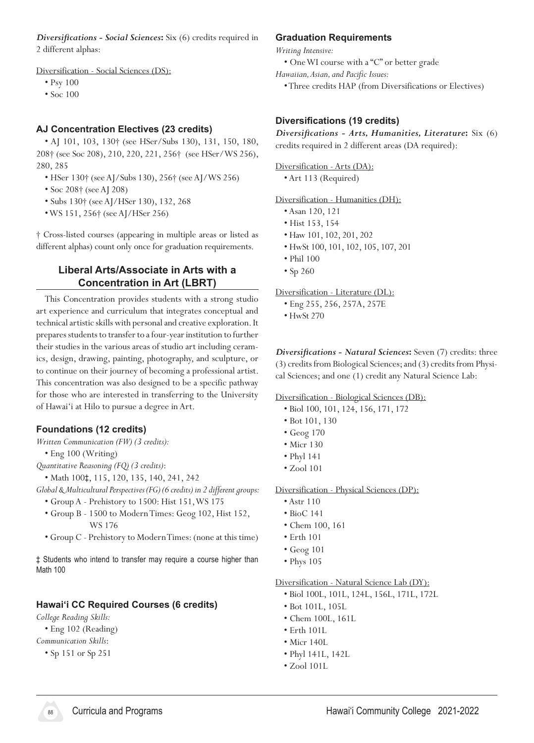*Diversifications - Social Sciences***:** Six (6) credits required in 2 different alphas:

Diversification - Social Sciences (DS):

- Psy 100
- Soc 100

### **AJ Concentration Electives (23 credits)**

 • AJ 101, 103, 130† (see HSer/Subs 130), 131, 150, 180, 208† (see Soc 208), 210, 220, 221, 256† (see HSer/WS 256), 280, 285

- HSer 130† (seeAJ/Subs 130), 256† (seeAJ/WS 256)
- Soc 208† (seeAJ 208)
- Subs 130† (seeAJ/HSer 130), 132, 268
- •WS 151, 256† (seeAJ/HSer 256)

† Cross‑listed courses (appearing in multiple areas or listed as different alphas) count only once for graduation requirements.

# **Liberal Arts/Associate in Arts with a Concentration in Art (LBRT)**

This Concentration provides students with a strong studio art experience and curriculum that integrates conceptual and technical artistic skills with personal and creative exploration. It prepares students to transfer to a four-year institution to further their studies in the various areas of studio art including ceramics, design, drawing, painting, photography, and sculpture, or to continue on their journey of becoming a professional artist. This concentration was also designed to be a specific pathway for those who are interested in transferring to the University of Hawai'i at Hilo to pursue a degree in Art.

#### **Foundations (12 credits)**

*Written Communication (FW) (3 credits):*

- Eng 100 (Writing)
- *Quantitative Reasoning (FQ) (3 credits)*:

 • Math 100‡, 115, 120, 135, 140, 241, 242

*Global & Multicultural Perspectives (FG) (6 credits) in 2 different groups:*

- Group A Prehistory to 1500: Hist 151,WS 175
- Group B 1500 to ModernTimes: Geog 102, Hist 152, WS 176
- Group C Prehistory to ModernTimes:(none at this time)

‡ Students who intend to transfer may require a course higher than Math 100

#### **Hawaiʻi CC Required Courses (6 credits)**

*College Reading Skills:*

- Eng 102 (Reading)
- *Communication Skills*:
	- Sp 151 or Sp 251

#### **Graduation Requirements**

*Writing Intensive:*

- OneWI course with a "C" or better grade
- *Hawaiian, Asian, and Pacific Issues:*
	- •Three credits HAP (from Diversifications or Electives)

#### **Diversifications (19 credits)**

*Diversifications - Arts, Humanities, Literature***:** Six (6) credits required in 2 different areas (DA required):

Diversification - Arts (DA):

 • Art 113 (Required)

Diversification - Humanities (DH):

- Asan 120, 121
- Hist 153, 154
- Haw 101, 102, 201, 202
- HwSt 100, 101, 102, 105, 107, 201
- Phil 100
- Sp 260

Diversification - Literature (DL):

- Eng 255, 256, 257A, 257E
- HwSt 270

*Diversifications - Natural Sciences***:** Seven (7) credits: three (3) credits from Biological Sciences; and (3) credits from Physical Sciences; and one (1) credit any Natural Science Lab:

#### Diversification - Biological Sciences (DB):

- Biol 100, 101, 124, 156, 171, 172
- Bot 101, 130
- Geog 170
- Micr 130
- Phyl 141
- Zool 101

Diversification - Physical Sciences (DP):

- Astr 110
- BioC 141
- Chem 100, 161
- Erth 101
- Geog 101
- Phys 105

#### Diversification - Natural Science Lab (DY):

- Biol 100L, 101L, 124L, 156L, 171L, 172L
- Bot 101L, 105L
- Chem 100L, 161L
- Erth 101L
- Micr 140L
- Phyl 141L, 142L
- Zool 101L

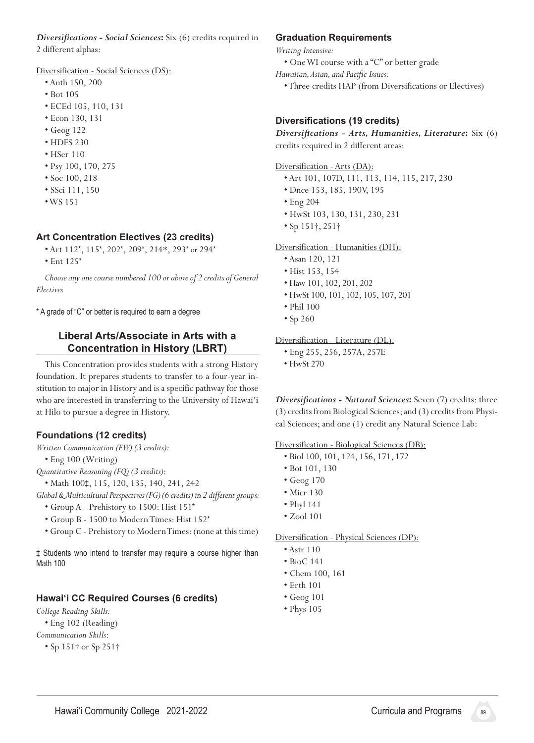*Diversifications - Social Sciences***:** Six (6) credits required in 2 different alphas:

Diversification - Social Sciences (DS):

- Anth 150, 200
- Bot 105
- ECEd 105, 110, 131
- Econ 130, 131
- Geog 122
- HDFS 230
- HSer 110
- Psy 100, 170, 275
- Soc 100, 218
- SSci 111, 150
- •WS 151

#### **Art Concentration Electives (23 credits)**

- Art 112\*, 115\*, 202\*, 209\*, 214\*, 293\* or 294\*
- Ent 125\*

*Choose any one course numbered 100 or above of 2 credits of General Electives*

\* A grade of "C" or better is required to earn a degree

#### **Liberal Arts/Associate in Arts with a Concentration in History (LBRT)**

This Concentration provides students with a strong History foundation. It prepares students to transfer to a four-year institution to major in History and is a specific pathway for those who are interested in transferring to the University of Hawai'i at Hilo to pursue a degree in History.

#### **Foundations (12 credits)**

*Written Communication (FW) (3 credits):*

 • Eng 100 (Writing)

- *Quantitative Reasoning (FQ) (3 credits)*:
	- Math 100‡, 115, 120, 135, 140, 241, 242

*Global & Multicultural Perspectives (FG) (6 credits) in 2 different groups:*

- Group A Prehistory to 1500: Hist 151\*
- Group B 1500 to ModernTimes: Hist 152\*
- Group C Prehistory to ModernTimes:(none at this time)

‡ Students who intend to transfer may require a course higher than Math 100

#### **Hawaiʻi CC Required Courses (6 credits)**

*College Reading Skills:*

- Eng 102 (Reading)
- *Communication Skills*:
	- Sp 151† or Sp 251†

#### **Graduation Requirements**

*Writing Intensive:*

- OneWI course with a "C" or better grade
- *Hawaiian, Asian, and Pacific Issues:*
	- •Three credits HAP (from Diversifications or Electives)

#### **Diversifications (19 credits)**

*Diversifications - Arts, Humanities, Literature***:** Six (6) credits required in 2 different areas:

#### Diversification - Arts (DA):

- Art 101, 107D, 111, 113, 114, 115, 217, 230
- Dnce 153, 185, 190V, 195
- Eng 204
- HwSt 103, 130, 131, 230, 231
- Sp 151†, 251†

#### Diversification - Humanities (DH):

- Asan 120, 121
- Hist 153, 154
- Haw 101, 102, 201, 202
- HwSt 100, 101, 102, 105, 107, 201
- Phil 100
- Sp 260

#### Diversification - Literature (DL):

- Eng 255, 256, 257A, 257E
- HwSt 270

*Diversifications - Natural Sciences***:** Seven (7) credits: three (3) credits from Biological Sciences; and (3) credits from Physical Sciences; and one (1) credit any Natural Science Lab:

Diversification - Biological Sciences (DB):

- Biol 100, 101, 124, 156, 171, 172
- Bot 101, 130
- Geog 170
- Micr 130
- Phyl 141
- Zool 101

#### Diversification - Physical Sciences (DP):

- Astr 110
- BioC 141
- Chem 100, 161
- Erth 101
- Geog 101
- Phys 105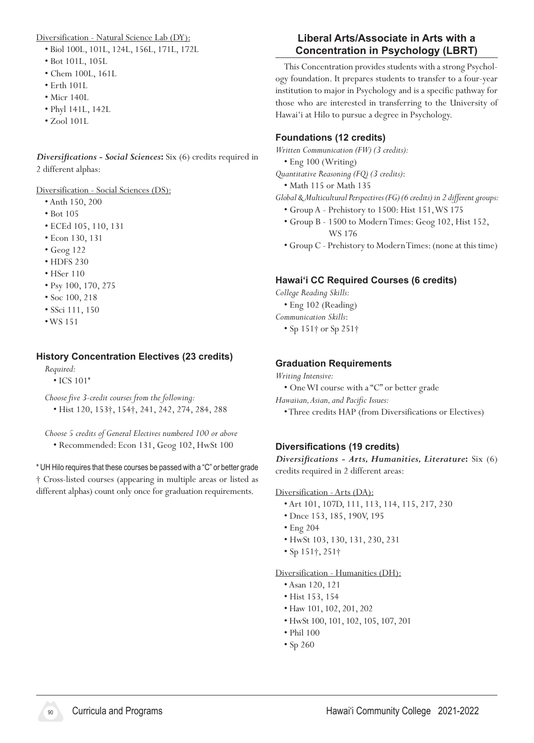Diversification - Natural Science Lab (DY):

- Biol 100L, 101L, 124L, 156L, 171L, 172L
- Bot 101L, 105L
- Chem 100L, 161L
- Erth 101L
- Micr 140L
- Phyl 141L, 142L
- Zool 101L

*Diversifications - Social Sciences***:** Six (6) credits required in 2 different alphas:

Diversification - Social Sciences (DS):

- Anth 150, 200
- Bot 105
- ECEd 105, 110, 131
- Econ 130, 131
- Geog 122
- HDFS 230
- HSer 110
- Psy 100, 170, 275
- Soc 100, 218
- SSci 111, 150
- •WS 151

# **History Concentration Electives (23 credits)**

*Required:*

• ICS 101\*

*Choose five 3-credit courses from the following:*

 • Hist 120, 153†, 154†, 241, 242, 274, 284, 288

*Choose 5 credits of General Electives numbered 100 or above* • Recommended: Econ 131, Geog 102, HwSt 100

\* UH Hilo requires that these courses be passed with a "C" or better grade † Cross‑listed courses (appearing in multiple areas or listed as different alphas) count only once for graduation requirements.

# **Liberal Arts/Associate in Arts with a Concentration in Psychology (LBRT)**

This Concentration provides students with a strong Psychology foundation. It prepares students to transfer to a four-year institution to major in Psychology and is a specific pathway for those who are interested in transferring to the University of Hawai'i at Hilo to pursue a degree in Psychology.

# **Foundations (12 credits)**

*Written Communication (FW) (3 credits):*

 • Eng 100 (Writing)

*Quantitative Reasoning (FQ) (3 credits)*:

 • Math 115 or Math 135

*Global & Multicultural Perspectives (FG) (6 credits) in 2 different groups:*

- Group A Prehistory to 1500: Hist 151,WS 175
- Group B 1500 to ModernTimes: Geog 102, Hist 152, WS 176
- Group C Prehistory to ModernTimes:(none at this time)

# **Hawaiʻi CC Required Courses (6 credits)**

*College Reading Skills:*

 • Eng 102 (Reading)

*Communication Skills*:

 • Sp 151† or Sp 251†

### **Graduation Requirements**

#### *Writing Intensive:*

 • OneWI course with a "C" or better grade

*Hawaiian, Asian, and Pacific Issues:*

 •Three credits HAP (from Diversifications or Electives)

# **Diversifications (19 credits)**

*Diversifications - Arts, Humanities, Literature***:** Six (6) credits required in 2 different areas:

#### Diversification - Arts (DA):

- Art 101, 107D, 111, 113, 114, 115, 217, 230
- Dnce 153, 185, 190V, 195
- Eng 204
- HwSt 103, 130, 131, 230, 231
- Sp 151†, 251†

#### Diversification - Humanities (DH):

- Asan 120, 121
- Hist 153, 154
- Haw 101, 102, 201, 202
- HwSt 100, 101, 102, 105, 107, 201
- Phil 100
- Sp 260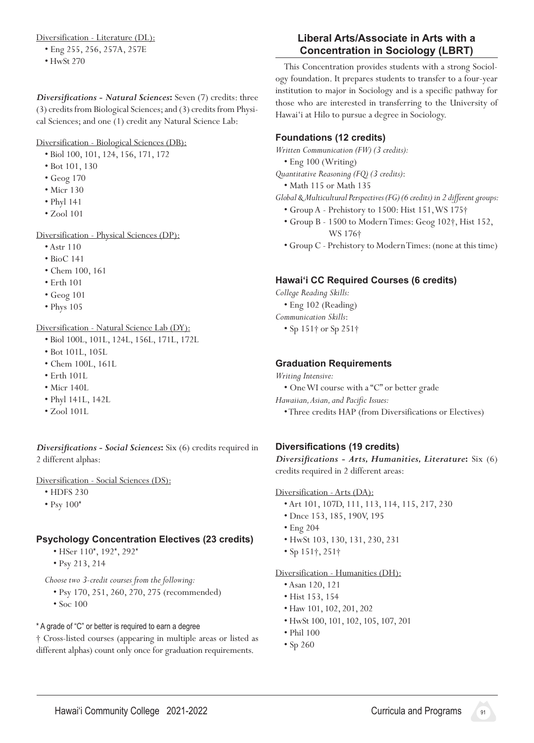Diversification - Literature (DL):

- Eng 255, 256, 257A, 257E
- HwSt 270

*Diversifications - Natural Sciences***:** Seven (7) credits: three (3) credits from Biological Sciences; and (3) credits from Physical Sciences; and one (1) credit any Natural Science Lab:

Diversification - Biological Sciences (DB):

- Biol 100, 101, 124, 156, 171, 172
- Bot 101, 130
- Geog 170
- Micr 130
- Phyl 141
- Zool 101

Diversification - Physical Sciences (DP):

- Astr 110
- BioC 141
- Chem 100, 161
- Erth 101
- Geog 101
- Phys 105

Diversification - Natural Science Lab (DY):

- Biol 100L, 101L, 124L, 156L, 171L, 172L
- Bot 101L, 105L
- Chem 100L, 161L
- Erth 101L
- Micr 140L
- Phyl 141L, 142L
- Zool 101L

*Diversifications - Social Sciences***:** Six (6) credits required in 2 different alphas:

Diversification - Social Sciences (DS):

- HDFS 230
- Psy 100\*

# **Psychology Concentration Electives (23 credits)**

- HSer 110\*, 192\*, 292\*
- Psy 213, 214

*Choose two 3-credit courses from the following:*

- Psy 170, 251, 260, 270, 275 (recommended)
- Soc 100

\* A grade of "C" or better is required to earn a degree

† Cross‑listed courses (appearing in multiple areas or listed as different alphas) count only once for graduation requirements.

# **Liberal Arts/Associate in Arts with a Concentration in Sociology (LBRT)**

This Concentration provides students with a strong Sociology foundation. It prepares students to transfer to a four-year institution to major in Sociology and is a specific pathway for those who are interested in transferring to the University of Hawai'i at Hilo to pursue a degree in Sociology.

# **Foundations (12 credits)**

*Written Communication (FW) (3 credits):*

 • Eng 100 (Writing)

*Quantitative Reasoning (FQ) (3 credits)*:

 • Math 115 or Math 135

*Global & Multicultural Perspectives (FG) (6 credits) in 2 different groups:*

- Group A Prehistory to 1500: Hist 151,WS 175†
- Group B 1500 to ModernTimes: Geog 102†, Hist 152, WS 176†
- Group C Prehistory to ModernTimes:(none at this time)

# **Hawaiʻi CC Required Courses (6 credits)**

*College Reading Skills:*

 • Eng 102 (Reading)

*Communication Skills*:

 • Sp 151† or Sp 251†

# **Graduation Requirements**

- *Writing Intensive:*
	- OneWI course with a "C" or better grade
- *Hawaiian, Asian, and Pacific Issues:*
	- •Three credits HAP (from Diversifications or Electives)

# **Diversifications (19 credits)**

*Diversifications - Arts, Humanities, Literature***:** Six (6) credits required in 2 different areas:

# Diversification - Arts (DA):

- Art 101, 107D, 111, 113, 114, 115, 217, 230
- Dnce 153, 185, 190V, 195
- Eng 204
- HwSt 103, 130, 131, 230, 231
- Sp 151†, 251†

# Diversification - Humanities (DH):

- Asan 120, 121
- Hist 153, 154
- Haw 101, 102, 201, 202
- HwSt 100, 101, 102, 105, 107, 201
- Phil 100
- Sp 260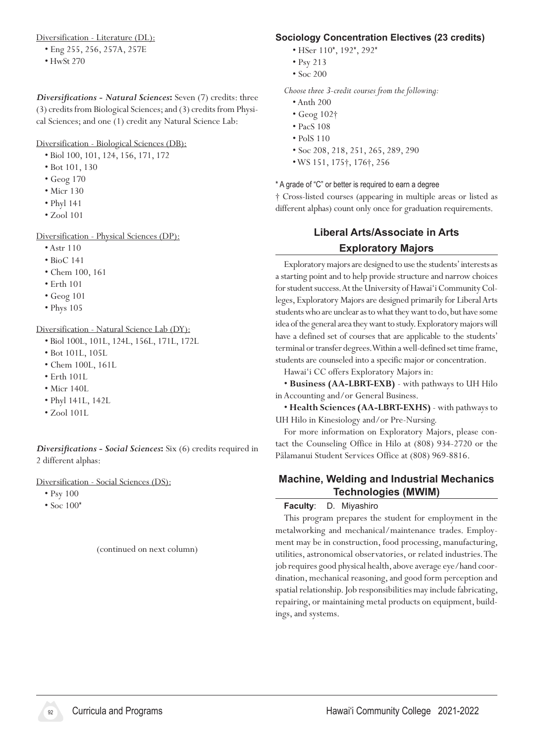Diversification - Literature (DL):

- Eng 255, 256, 257A, 257E
- HwSt 270

*Diversifications - Natural Sciences***:** Seven (7) credits: three (3) credits from Biological Sciences; and (3) credits from Physical Sciences; and one (1) credit any Natural Science Lab:

#### Diversification - Biological Sciences (DB):

- Biol 100, 101, 124, 156, 171, 172
- Bot 101, 130
- Geog 170
- Micr 130
- Phyl 141
- Zool 101

Diversification - Physical Sciences (DP):

- Astr 110
- BioC 141
- Chem 100, 161
- Erth 101
- Geog 101
- Phys 105

Diversification - Natural Science Lab (DY):

- Biol 100L, 101L, 124L, 156L, 171L, 172L
- Bot 101L, 105L
- Chem 100L, 161L
- Erth 101L
- Micr 140L
- Phyl 141L, 142L
- Zool 101L

*Diversifications - Social Sciences***:** Six (6) credits required in 2 different alphas:

Diversification - Social Sciences (DS):

- Psy 100
- Soc 100\*

(continued on next column)

#### **Sociology Concentration Electives (23 credits)**

- HSer 110\*, 192\*, 292\*
- Psy 213
- Soc 200

*Choose three 3-credit courses from the following:*

- Anth 200
- Geog 102†
- PacS 108
- PolS 110
- Soc 208, 218, 251, 265, 289, 290
- •WS 151, 175†, 176†, 256

#### \* A grade of "C" or better is required to earn a degree

† Cross‑listed courses (appearing in multiple areas or listed as different alphas) count only once for graduation requirements.

# **Liberal Arts/Associate in Arts Exploratory Majors**

Exploratory majors are designed to use the students' interests as a starting point and to help provide structure and narrow choices for student success. At the University of Hawai'i Community Colleges, Exploratory Majors are designed primarily for Liberal Arts students who are unclear as to what they want to do, but have some idea of the general area they want to study. Exploratory majors will have a defined set of courses that are applicable to the students' terminal or transfer degrees. Within a well-defined set time frame, students are counseled into a specific major or concentration.

Hawai'i CC offers Exploratory Majors in:

 • **Business (AA-LBRT-EXB)** - with pathways to UH Hilo in Accounting and/or General Business.

 • **Health Sciences (AA-LBRT-EXHS)** - with pathways to UH Hilo in Kinesiology and/or Pre-Nursing.

For more information on Exploratory Majors, please contact the Counseling Office in Hilo at (808) 934-2720 or the Pālamanui Student Services Office at (808) 969-8816.

#### **Machine, Welding and Industrial Mechanics Technologies (MWIM)**

#### **Faculty**: D. Miyashiro

This program prepares the student for employment in the metalworking and mechanical/maintenance trades. Employment may be in construction, food processing, manufacturing, utilities, astronomical observatories, or related industries. The job requires good physical health, above average eye/hand coordination, mechanical reasoning, and good form perception and spatial relationship. Job responsibilities may include fabricating, repairing, or maintaining metal products on equipment, buildings, and systems.

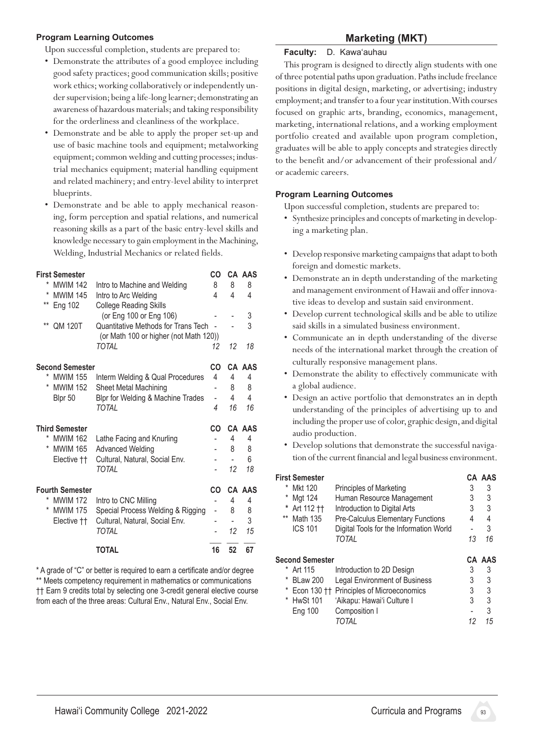#### **Program Learning Outcomes**

Upon successful completion, students are prepared to:

- • Demonstrate the attributes of a good employee including good safety practices; good communication skills; positive work ethics; working collaboratively or independently under supervision; being a life-long learner; demonstrating an awareness of hazardous materials;and taking responsibility for the orderliness and cleanliness of the workplace.
- • Demonstrate and be able to apply the proper set-up and use of basic machine tools and equipment; metalworking equipment; common welding and cutting processes; industrial mechanics equipment; material handling equipment and related machinery; and entry-level ability to interpret blueprints.
- Demonstrate and be able to apply mechanical reasoning, form perception and spatial relations, and numerical reasoning skills as a part of the basic entry-level skills and knowledge necessary to gain employment in the Machining, Welding, Industrial Mechanics or related fields.

| <b>First Semester</b>   |                                        | CO |    | CA AAS        |
|-------------------------|----------------------------------------|----|----|---------------|
| *<br><b>MWIM 142</b>    | Intro to Machine and Welding           | 8  | 8  | 8             |
| *<br><b>MWIM 145</b>    | Intro to Arc Welding                   | 4  | 4  | 4             |
| $***$<br>Eng 102        | <b>College Reading Skills</b>          |    |    |               |
|                         | (or Eng 100 or Eng 106)                |    |    | 3             |
| $***$<br><b>QM 120T</b> | Quantitative Methods for Trans Tech    |    |    | 3             |
|                         | (or Math 100 or higher (not Math 120)) |    |    |               |
|                         | TOTAI                                  | 12 | 12 | 18            |
| <b>Second Semester</b>  |                                        | CO |    | <b>CA AAS</b> |
| *<br><b>MWIM 155</b>    | Interm Welding & Qual Procedures       | 4  | 4  | 4             |
| *<br><b>MWIM 152</b>    | <b>Sheet Metal Machining</b>           |    | 8  | 8             |
| Blpr 50                 | Blpr for Welding & Machine Trades      |    | 4  | 4             |
|                         | <b>TOTAL</b>                           | 4  | 16 | 16            |
| <b>Third Semester</b>   |                                        | CO |    | CA AAS        |
| *<br><b>MWIM 162</b>    | Lathe Facing and Knurling              |    | 4  | 4             |
| <b>MWIM 165</b>         | <b>Advanced Welding</b>                |    | 8  | 8             |
| Elective ††             | Cultural, Natural, Social Env.         |    |    | 6             |
|                         | <b>TOTAL</b>                           |    | 12 | 18            |
| <b>Fourth Semester</b>  |                                        | CO |    | <b>CA AAS</b> |
| *<br><b>MWIM 172</b>    | Intro to CNC Milling                   |    | 4  | 4             |
| *<br><b>MWIM 175</b>    | Special Process Welding & Rigging      | -  | 8  | 8             |
| Elective ††             | Cultural, Natural, Social Env.         |    |    | 3             |
|                         | <b>TOTAL</b>                           |    | 12 | 15            |
|                         |                                        |    |    |               |
|                         | TOTAL                                  | 16 | 52 | 67            |

\* A grade of "C" or better is required to earn a certificate and/or degree \*\* Meets competency requirement in mathematics or communications †† Earn 9 credits total by selecting one 3-credit general elective course from each of the three areas: Cultural Env., Natural Env., Social Env.

# **Marketing (MKT)**

#### **Faculty:** D. Kawa'auhau

This program is designed to directly align students with one of three potential paths upon graduation. Paths include freelance positions in digital design, marketing, or advertising; industry employment; and transfer to a four year institution. With courses focused on graphic arts, branding, economics, management, marketing, international relations, and a working employment portfolio created and available upon program completion, graduates will be able to apply concepts and strategies directly to the benefit and/or advancement of their professional and/ or academic careers.

#### **Program Learning Outcomes**

- • Synthesize principlesand concepts of marketing in developing a marketing plan.
- Develop responsive marketing campaigns that adapt to both foreign and domestic markets.
- Demonstrate an in depth understanding of the marketing and management environment of Hawaii and offer innovative ideas to develop and sustain said environment.
- Develop current technological skills and be able to utilize said skills in a simulated business environment.
- • Communicate an in depth understanding of the diverse needs of the international market through the creation of culturally responsive management plans.
- • Demonstrate the ability to effectively communicate with a global audience.
- Design an active portfolio that demonstrates an in depth understanding of the principles of advertising up to and including the proper use of color, graphic design, and digital audio production.
- Develop solutions that demonstrate the successful navigation of the current financial and legal business environment.

| * | First Semester<br>Mkt 120<br>Mgt 124<br>Art 112 11<br>** Math 135<br><b>ICS 101</b> | <b>Principles of Marketing</b><br>Human Resource Management<br>Introduction to Digital Arts<br><b>Pre-Calculus Elementary Functions</b><br>Digital Tools for the Information World<br>TOTAL | 3<br>3<br>3<br>4<br>13 | CA AAS<br>3<br>3<br>3<br>4<br>3<br>16 |
|---|-------------------------------------------------------------------------------------|---------------------------------------------------------------------------------------------------------------------------------------------------------------------------------------------|------------------------|---------------------------------------|
|   | <b>Second Semester</b>                                                              |                                                                                                                                                                                             |                        | <b>CA AAS</b>                         |
|   | Art 115                                                                             | Introduction to 2D Design                                                                                                                                                                   | 3                      | 3                                     |
| * | <b>BLaw 200</b>                                                                     | <b>Legal Environment of Business</b>                                                                                                                                                        | 3                      | 3                                     |
|   | Econ 130 ††                                                                         | Principles of Microeconomics                                                                                                                                                                | 3                      | 3                                     |
| * | <b>HwSt 101</b>                                                                     | 'Aikapu: Hawai'i Culture I                                                                                                                                                                  | 3                      | 3                                     |
|   | Eng 100                                                                             | Composition I                                                                                                                                                                               |                        | 3                                     |
|   |                                                                                     | TOTAL                                                                                                                                                                                       | 12                     | 15                                    |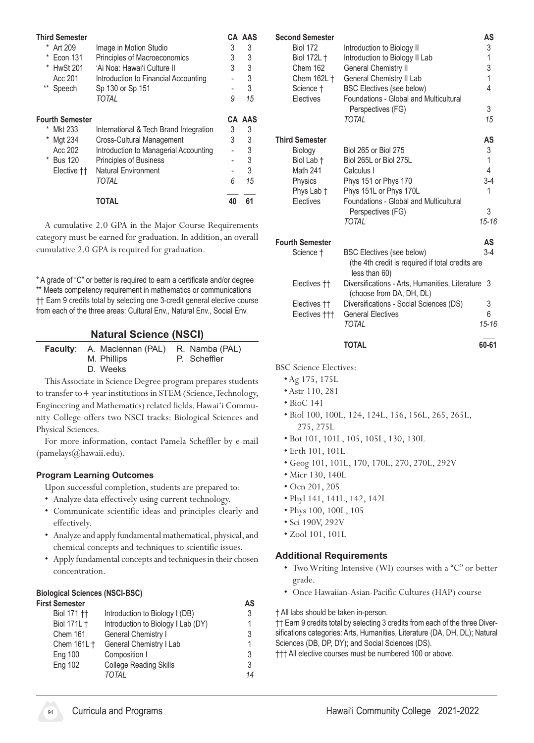| <b>Third Semester</b>  |                                        |    | CA AAS |
|------------------------|----------------------------------------|----|--------|
| Art 209                | Image in Motion Studio                 | 3  | 3      |
| <b>Econ 131</b>        | Principles of Macroeconomics           | 3  | 3      |
| <b>HwSt 201</b>        | 'Ai Noa: Hawai'i Culture II            | 3  | 3      |
| Acc 201                | Introduction to Financial Accounting   |    | 3      |
| $***$<br>Speech        | Sp 130 or Sp 151                       |    | 3      |
|                        | TOTAL                                  | 9  | 15     |
| Fourth Semester        |                                        |    | CA AAS |
| <b>Mkt 233</b>         | International & Tech Brand Integration | 3  | 3      |
| Mgt 234<br>*           | Cross-Cultural Management              | 3  | 3      |
| Acc 202                | Introduction to Managerial Accounting  |    | 3      |
| * Bus 120              | <b>Principles of Business</b>          |    | 3      |
| Elective <sup>††</sup> | <b>Natural Environment</b>             |    | 3      |
|                        | <b>TOTAL</b>                           | 6  | 15     |
|                        | TOTAL                                  | 40 | 61     |

 A cumulative 2.0 GPA in the Major Course Requirements category must be earned for graduation. In addition, an overall cumulative 2.0 GPA is required for graduation.

\* A grade of "C" or better is required to earn a certificate and/or degree \*\* Meets competency requirement in mathematics or communications †† Earn 9 credits total by selecting one 3-credit general elective course from each of the three areas: Cultural Env., Natural Env., Social Env.

### **Natural Science (NSCI)**

| <b>Faculty:</b> A. Maclennan (PAL) R. Namba (PAL) |              |
|---------------------------------------------------|--------------|
| M. Phillips                                       | P. Scheffler |
| D. Weeks                                          |              |

This Associate in Science Degree program prepares students to transfer to 4-year institutions in STEM (Science, Technology, Engineering and Mathematics) related fields. Hawai'i Community College offers two NSCI tracks: Biological Sciences and Physical Sciences.

For more information, contact Pamela Scheffler by e-mail (pamelays@hawaii.edu).

#### **Program Learning Outcomes**

Upon successful completion, students are prepared to:

- Analyze data effectively using current technology.
- • Communicate scientific ideas and principles clearly and effectively.
- • Analyze and apply fundamental mathematical, physical,and chemical concepts and techniques to scientific issues.
- Apply fundamental concepts and techniques in their chosen concentration.

#### **Biological Sciences (NSCI-BSC)**

| First Semester         |                                    | AS |
|------------------------|------------------------------------|----|
| Biol 171 <sup>++</sup> | Introduction to Biology I (DB)     | 3  |
| Biol 171L +            | Introduction to Biology I Lab (DY) |    |
| Chem 161               | General Chemistry I                | 3  |
| Chem 161L +            | General Chemistry I Lab            |    |
| <b>Eng 100</b>         | Composition I                      | 3  |
| Eng 102                | <b>College Reading Skills</b>      | 3  |
|                        | TOTAL                              | 14 |
|                        |                                    |    |

| <b>Second Semester</b> |                                        | AS        |
|------------------------|----------------------------------------|-----------|
| <b>Biol 172</b>        | Introduction to Biology II             | 3         |
| Biol 172L +            | Introduction to Biology II Lab         | 1         |
| Chem 162               | <b>General Chemistry II</b>            | 3         |
| Chem 162L †            | General Chemistry II Lab               | 1         |
| Science †              | <b>BSC Electives (see below)</b>       | 4         |
| Electives              | Foundations - Global and Multicultural |           |
|                        | Perspectives (FG)                      | 3         |
|                        | TOTAL                                  | 15        |
| <b>Third Semester</b>  |                                        | AS        |
| Biology                | <b>Biol 265 or Biol 275</b>            | 3         |
| Biol Lab †             | Biol 265L or Biol 275L                 | 1         |
| <b>Math 241</b>        | Calculus I                             | 4         |
| Physics                | Phys 151 or Phys 170                   | $3-4$     |
| Phys Lab †             | Phys 151L or Phys 170L                 | 1         |
| Electives              | Foundations - Global and Multicultural |           |
|                        | Perspectives (FG)                      | 3         |
|                        | TOTAL                                  | $15 - 16$ |
| <b>Fourth Semester</b> |                                        | AS        |
| Science t              | RSC Flectives (see helow)              | 7-4       |

| Science †               | <b>BSC Electives (see below)</b>                                  | $3 - 4$   |
|-------------------------|-------------------------------------------------------------------|-----------|
|                         | (the 4th credit is required if total credits are<br>less than 60) |           |
| Electives <sup>††</sup> | Diversifications - Arts, Humanities, Literature 3                 |           |
|                         | (choose from DA, DH, DL)                                          |           |
| Electives <sup>††</sup> | Diversifications - Social Sciences (DS)                           | 3         |
| Electives †††           | <b>General Electives</b>                                          | 6         |
|                         | TOTAL                                                             | $15 - 16$ |
|                         |                                                                   |           |

BSC Science Electives:

- Ag 175, 175L
- Astr 110, 281
- BioC 141
- Biol 100, 100L, 124, 124L, 156, 156L, 265, 265L, 275, 275L
- Bot 101, 101L, 105, 105L, 130, 130L
- Erth 101, 101L
- Geog 101, 101L, 170, 170L, 270, 270L, 292V
- Micr 130, 140L
- Ocn 201, 205
- Phyl 141, 141L, 142, 142L
- Phys 100, 100L, 105
- Sci 190V, 292V
- Zool 101, 101L

#### **Additional Requirements**

- Two Writing Intensive (WI) courses with a "C" or better grade.
- • Once Hawaiian-Asian-Pacific Cultures (HAP) course

† All labs should be taken in-person.

†† Earn 9 credits total by selecting 3 credits from each of the three Diversifications categories: Arts, Humanities, Literature (DA, DH, DL); Natural Sciences (DB, DP, DY); and Social Sciences (DS).

††† All elective courses must be numbered 100 or above.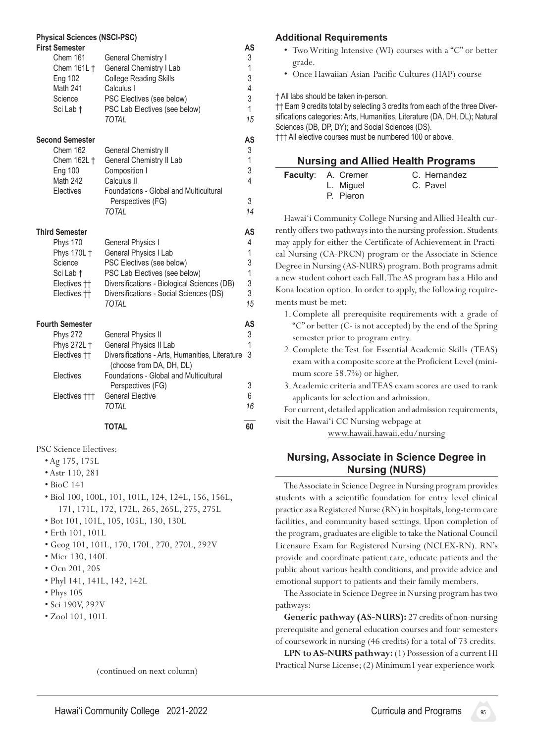#### **Physical Sciences (NSCI-PSC)**

| <b>First Semester</b><br>Chem 161 | <b>General Chemistry I</b>                                                | AS<br>3           |
|-----------------------------------|---------------------------------------------------------------------------|-------------------|
| Chem 161L †                       | General Chemistry I Lab                                                   | 1                 |
| Eng 102                           | <b>College Reading Skills</b>                                             | 3                 |
| <b>Math 241</b><br>Science        | Calculus I<br>PSC Electives (see below)                                   | 4<br>3            |
| Sci Lab †                         | PSC Lab Electives (see below)                                             | 1                 |
|                                   | <b>TOTAL</b>                                                              | 15                |
| <b>Second Semester</b>            |                                                                           | AS                |
| Chem 162                          | <b>General Chemistry II</b>                                               | 3                 |
| Chem 162L +<br><b>Eng 100</b>     | General Chemistry II Lab<br>Composition I                                 | $\mathbf{1}$<br>3 |
| Math 242                          | Calculus II                                                               | 4                 |
| Electives                         | Foundations - Global and Multicultural                                    |                   |
|                                   | Perspectives (FG)                                                         | 3                 |
|                                   | <b>TOTAL</b>                                                              | 14                |
| <b>Third Semester</b>             |                                                                           | AS                |
| <b>Phys 170</b><br>Phys 170L +    | General Physics I<br>General Physics I Lab                                | 4<br>1            |
| Science                           | PSC Electives (see below)                                                 | 3                 |
| Sci Lab †                         | PSC Lab Electives (see below)                                             | 1                 |
| Electives <sup>++</sup>           | Diversifications - Biological Sciences (DB)                               | 3                 |
| Electives ††                      | Diversifications - Social Sciences (DS)                                   | 3<br>15           |
|                                   | TOTAL                                                                     |                   |
| <b>Fourth Semester</b>            |                                                                           | AS                |
| <b>Phys 272</b>                   | <b>General Physics II</b>                                                 | 3                 |
| Phys 272L +<br>Electives ††       | General Physics II Lab<br>Diversifications - Arts, Humanities, Literature | 1<br>3            |
|                                   | (choose from DA, DH, DL)                                                  |                   |
| Electives                         | Foundations - Global and Multicultural                                    |                   |
|                                   | Perspectives (FG)                                                         | 3                 |
| Electives †††                     | <b>General Elective</b>                                                   | 6                 |
|                                   | TOTAL                                                                     | 16                |
|                                   | <b>TOTAL</b>                                                              | 60                |

PSC Science Electives:

- Ag 175, 175L
- Astr 110, 281
- BioC 141
- Biol 100, 100L, 101, 101L, 124, 124L, 156, 156L, 171, 171L, 172, 172L, 265, 265L, 275, 275L
- Bot 101, 101L, 105, 105L, 130, 130L
- Erth 101, 101L
- Geog 101, 101L, 170, 170L, 270, 270L, 292V
- Micr 130, 140L
- Ocn 201, 205
- Phyl 141, 141L, 142, 142L
- Phys 105
- Sci 190V, 292V
- Zool 101, 101L

**Additional Requirements**

- Two Writing Intensive (WI) courses with a "C" or better grade.
- Once Hawaiian-Asian-Pacific Cultures (HAP) course

† All labs should be taken in-person.

†† Earn 9 credits total by selecting 3 credits from each of the three Diversifications categories: Arts, Humanities, Literature (DA, DH, DL); Natural Sciences (DB, DP, DY); and Social Sciences (DS).

††† All elective courses must be numbered 100 or above.

#### **Nursing and Allied Health Programs**

| <b>Faculty: A. Cremer</b> | C. Hernandez |
|---------------------------|--------------|
| L. Miguel                 | C. Pavel     |
| P. Pieron                 |              |

Hawai'i Community College Nursing and Allied Health currently offers two pathways into the nursing profession. Students may apply for either the Certificate of Achievement in Practical Nursing (CA-PRCN) program or the Associate in Science Degree in Nursing (AS-NURS) program. Both programs admit a new student cohort each Fall. The AS program has a Hilo and Kona location option. In order to apply, the following requirements must be met:

- 1.Complete all prerequisite requirements with a grade of "C" or better (C- is not accepted) by the end of the Spring semester prior to program entry.
- 2.Complete the Test for Essential Academic Skills (TEAS) exam with a composite score at the Proficient Level (minimum score 58.7%) or higher.
- 3.Academic criteria and TEAS exam scores are used to rank applicants for selection and admission.

For current, detailed application and admission requirements, visit the Hawai'i CC Nursing webpage at

www.hawaii.hawaii.edu/nursing

# **Nursing, Associate in Science Degree in Nursing (NURS)**

The Associate in Science Degree in Nursing program provides students with a scientific foundation for entry level clinical practice as a Registered Nurse (RN) in hospitals, long-term care facilities, and community based settings. Upon completion of the program, graduates are eligible to take the National Council Licensure Exam for Registered Nursing (NCLEX-RN). RN's provide and coordinate patient care, educate patients and the public about various health conditions, and provide advice and emotional support to patients and their family members.

The Associate in Science Degree in Nursing program has two pathways:

**Generic pathway (AS-NURS):** 27 credits of non-nursing prerequisite and general education courses and four semesters of coursework in nursing (46 credits) for a total of 73 credits.

LPN to AS-NURS pathway: (1) Possession of a current HI Practical Nurse License; (2) Minimum1 year experience work-

(continued on next column)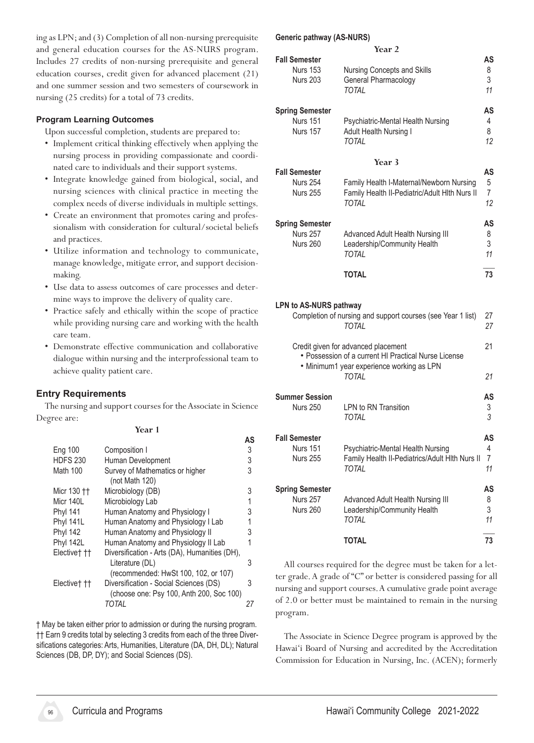ing as LPN; and (3) Completion of all non-nursing prerequisite and general education courses for the AS-NURS program. Includes 27 credits of non-nursing prerequisite and general education courses, credit given for advanced placement (21) and one summer session and two semesters of coursework in nursing (25 credits) for a total of 73 credits.

#### **Program Learning Outcomes**

Upon successful completion, students are prepared to:

- Implement critical thinking effectively when applying the nursing process in providing compassionate and coordinated care to individuals and their support systems.
- • Integrate knowledge gained from biological, social, and nursing sciences with clinical practice in meeting the complex needs of diverse individuals in multiple settings.
- • Create an environment that promotes caring and professionalism with consideration for cultural/societal beliefs and practices.
- • Utilize information and technology to communicate, manage knowledge, mitigate error, and support decisionmaking.
- Use data to assess outcomes of care processes and determine ways to improve the delivery of quality care.
- Practice safely and ethically within the scope of practice while providing nursing care and working with the health care team.
- • Demonstrate effective communication and collaborative dialogue within nursing and the interprofessional team to achieve quality patient care.

#### **Entry Requirements**

The nursing and support courses for the Associate in Science Degree are:

#### **Year 1**

|                         |                                                                                                          | AS |
|-------------------------|----------------------------------------------------------------------------------------------------------|----|
| <b>Eng 100</b>          | Composition I                                                                                            | 3  |
| <b>HDFS 230</b>         | Human Development                                                                                        | 3  |
| <b>Math 100</b>         | Survey of Mathematics or higher<br>(not Math $120$ )                                                     | 3  |
| Micr 130 <sup>++</sup>  | Microbiology (DB)                                                                                        | 3  |
| Micr 140L               | Microbiology Lab                                                                                         |    |
| <b>Phyl 141</b>         | Human Anatomy and Physiology I                                                                           | 3  |
| <b>Phyl 141L</b>        | Human Anatomy and Physiology I Lab                                                                       |    |
| <b>Phyl 142</b>         | Human Anatomy and Physiology II                                                                          | 3  |
| Phyl 142L               | Human Anatomy and Physiology II Lab                                                                      |    |
| Electivet <sub>††</sub> | Diversification - Arts (DA), Humanities (DH),<br>Literature (DL)<br>(recommended: HwSt 100, 102, or 107) | 3  |
| Electivet <sub>††</sub> | Diversification - Social Sciences (DS)<br>(choose one: Psy 100, Anth 200, Soc 100)                       | 3  |
|                         | TOTAL                                                                                                    | 27 |
|                         |                                                                                                          |    |

† May be taken either prior to admission or during the nursing program. †† Earn 9 credits total by selecting 3 credits from each of the three Diversifications categories: Arts, Humanities, Literature (DA, DH, DL); Natural Sciences (DB, DP, DY); and Social Sciences (DS).

#### **Generic pathway (AS-NURS)**

|                                                                                                                                          | Year <sub>2</sub>                                                                                         |                                 |
|------------------------------------------------------------------------------------------------------------------------------------------|-----------------------------------------------------------------------------------------------------------|---------------------------------|
| <b>Fall Semester</b><br><b>Nurs 153</b><br><b>Nurs 203</b>                                                                               | Nursing Concepts and Skills<br>General Pharmacology<br><b>TOTAL</b>                                       | AS<br>8<br>3<br>11              |
| <b>Spring Semester</b><br><b>Nurs 151</b><br><b>Nurs 157</b>                                                                             | Psychiatric-Mental Health Nursing<br>Adult Health Nursing I<br><b>TOTAI</b>                               | <b>AS</b><br>4<br>8<br>12       |
|                                                                                                                                          | Year <sub>3</sub>                                                                                         |                                 |
| <b>Fall Semester</b><br><b>Nurs 254</b><br><b>Nurs 255</b>                                                                               | Family Health I-Maternal/Newborn Nursing<br>Family Health II-Pediatric/Adult HIth Nurs II<br><b>TOTAI</b> | AS<br>5<br>$\overline{7}$<br>12 |
| <b>Spring Semester</b><br><b>Nurs 257</b><br><b>Nurs 260</b>                                                                             | Advanced Adult Health Nursing III<br>Leadership/Community Health<br><b>TOTAI</b>                          | AS<br>8<br>3<br>11              |
|                                                                                                                                          | <b>TOTAL</b>                                                                                              | 73                              |
| <b>LPN to AS-NURS pathway</b>                                                                                                            | Completion of nursing and support courses (see Year 1 list)<br><b>TOTAI</b>                               | 27<br>27                        |
| Credit given for advanced placement<br>• Possession of a current HI Practical Nurse License<br>• Minimum1 year experience working as LPN |                                                                                                           |                                 |
|                                                                                                                                          | <b>TOTAI</b>                                                                                              | 21                              |
| <b>Summer Session</b><br><b>Nurs 250</b>                                                                                                 | I PN to RN Transition<br><b>TOTAL</b>                                                                     | AS<br>3<br>3                    |

|                                                            | IUIAL                                                                                        |                    |
|------------------------------------------------------------|----------------------------------------------------------------------------------------------|--------------------|
| <b>Fall Semester</b><br><b>Nurs 151</b><br><b>Nurs 255</b> | Psychiatric-Mental Health Nursing<br>Family Health II-Pediatrics/Adult Hith Nurs II<br>TOTAL | AS<br>4<br>7<br>11 |
| <b>Spring Semester</b><br><b>Nurs 257</b>                  | Advanced Adult Health Nursing III                                                            | AS<br>8            |
| <b>Nurs 260</b>                                            | Leadership/Community Health<br>TOTAL                                                         | 3<br>11            |
|                                                            | TOTAL                                                                                        | 73                 |

All courses required for the degree must be taken for a letter grade.A grade of "C" or better is considered passing for all nursing and support courses. A cumulative grade point average of 2.0 or better must be maintained to remain in the nursing program.

The Associate in Science Degree program is approved by the Hawai'i Board of Nursing and accredited by the Accreditation Commission for Education in Nursing, Inc. (ACEN); formerly

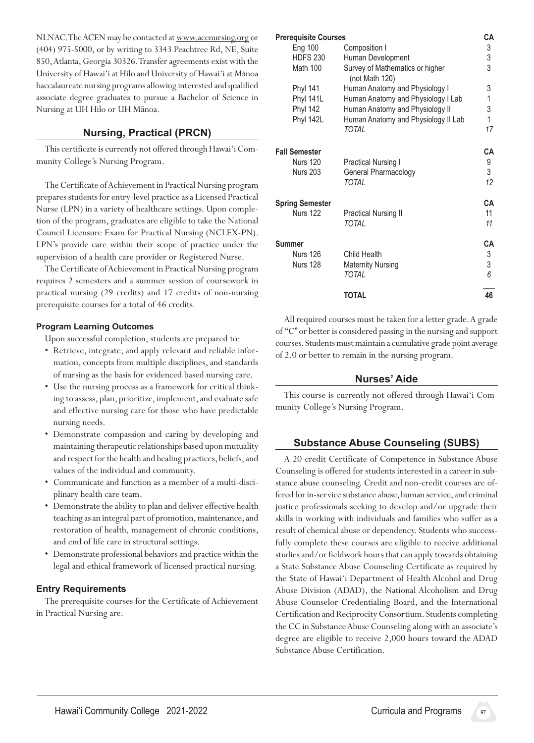NLNAC. The ACEN may be contacted at www.acenursing.org or (404) 975-5000, or by writing to 3343 Peachtree Rd, NE, Suite 850,Atlanta,Georgia 30326.Transferagreements exist with the University of Hawai'i at Hilo and University of Hawai'i at Mānoa baccalaureate nursing programs allowing interested and qualified associate degree graduates to pursue a Bachelor of Science in Nursing at UH Hilo or UH Mānoa.

# **Nursing, Practical (PRCN)**

This certificate is currently not offered through Hawai'i Community College's Nursing Program.

The Certificate of Achievement in Practical Nursing program prepares students for entry-level practice as a Licensed Practical Nurse (LPN) in a variety of healthcare settings. Upon completion of the program, graduates are eligible to take the National Council Licensure Exam for Practical Nursing (NCLEX-PN). LPN's provide care within their scope of practice under the supervision of a health care provider or Registered Nurse.

The Certificate of Achievement in Practical Nursing program requires 2 semesters and a summer session of coursework in practical nursing (29 credits) and 17 credits of non-nursing prerequisite courses for a total of 46 credits.

#### **Program Learning Outcomes**

Upon successful completion, students are prepared to:

- Retrieve, integrate, and apply relevant and reliable information, concepts from multiple disciplines, and standards of nursing as the basis for evidenced based nursing care.
- Use the nursing process as a framework for critical thinking to assess, plan, prioritize, implement, and evaluate safe and effective nursing care for those who have predictable nursing needs.
- Demonstrate compassion and caring by developing and maintaining therapeutic relationships based upon mutuality and respect for the health and healing practices, beliefs, and values of the individual and community.
- • Communicate and function as a member of a multi-disciplinary health care team.
- • Demonstrate the ability to plan and deliver effective health teaching as an integral part of promotion, maintenance, and restoration of health, management of chronic conditions, and end of life care in structural settings.
- Demonstrate professional behaviors and practice within the legal and ethical framework of licensed practical nursing.

#### **Entry Requirements**

The prerequisite courses for the Certificate of Achievement in Practical Nursing are:

| <b>Prerequisite Courses</b> |                                                   | CА           |
|-----------------------------|---------------------------------------------------|--------------|
| Eng 100                     | Composition I                                     | 3            |
| <b>HDFS 230</b>             | Human Development                                 | 3            |
| <b>Math 100</b>             | Survey of Mathematics or higher<br>(not Math 120) | 3            |
| <b>Phyl 141</b>             | Human Anatomy and Physiology I                    | 3            |
| Phyl 141L                   | Human Anatomy and Physiology I Lab                | $\mathbf{1}$ |
| <b>Phyl 142</b>             | Human Anatomy and Physiology II                   | 3            |
| Phyl 142L                   | Human Anatomy and Physiology II Lab               | $\mathbf{1}$ |
|                             | TOTAL                                             | 17           |
| <b>Fall Semester</b>        |                                                   | СA           |
| <b>Nurs 120</b>             | Practical Nursing I                               | 9            |
| <b>Nurs 203</b>             | General Pharmacology                              | 3            |
|                             | TOTAL                                             | 12           |
| <b>Spring Semester</b>      |                                                   | СA           |
| <b>Nurs 122</b>             | <b>Practical Nursing II</b>                       | 11           |
|                             | TOTAL                                             | 11           |
| Summer                      |                                                   | CА           |
| <b>Nurs 126</b>             | Child Health                                      | 3            |
| <b>Nurs 128</b>             | <b>Maternity Nursing</b>                          | 3            |
|                             | TOTAL                                             | 6            |
|                             | <b>TOTAL</b>                                      | 46           |

All required courses must be taken for a letter grade. A grade of "C" or better is considered passing in the nursing and support courses. Students must maintain a cumulative grade point average of 2.0 or better to remain in the nursing program.

#### **Nurses' Aide**

This course is currently not offered through Hawai'i Community College's Nursing Program.

# **Substance Abuse Counseling (SUBS)**

A 20-credit Certificate of Competence in Substance Abuse Counseling is offered for students interested in a career in substance abuse counseling. Credit and non-credit courses are offered for in-service substance abuse, human service, and criminal justice professionals seeking to develop and/or upgrade their skills in working with individuals and families who suffer as a result of chemical abuse or dependency. Students who successfully complete these courses are eligible to receive additional studies and/or fieldwork hours that can apply towards obtaining a State Substance Abuse Counseling Certificate as required by the State of Hawai'i Department of Health Alcohol and Drug Abuse Division (ADAD), the National Alcoholism and Drug Abuse Counselor Credentialing Board, and the International Certification and Reciprocity Consortium. Students completing the CC in Substance Abuse Counseling along with an associate's degree are eligible to receive 2,000 hours toward the ADAD Substance Abuse Certification.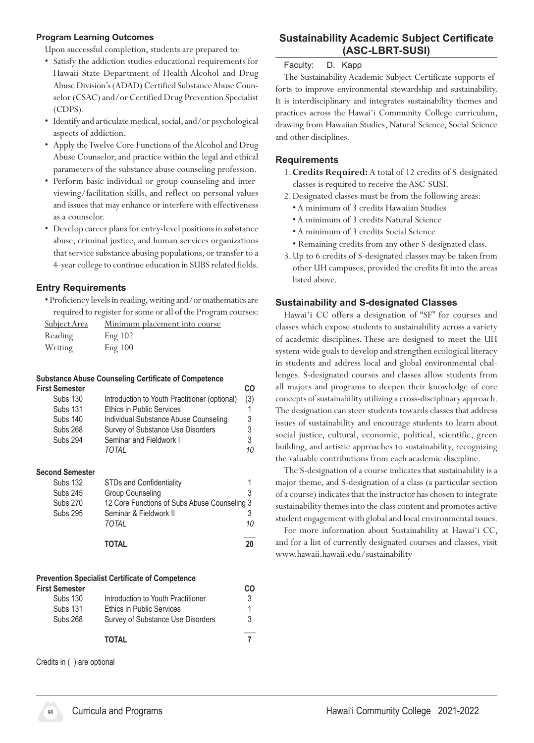#### **Program Learning Outcomes**

Upon successful completion, students are prepared to:

- • Satisfy the addiction studies educational requirements for Hawaii State Department of Health Alcohol and Drug Abuse Division's (ADAD) Certified Substance Abuse Counselor (CSAC) and/or Certified Drug Prevention Specialist (CDPS).
- Identify and articulate medical, social, and/or psychological aspects of addiction.
- Apply the Twelve Core Functions of the Alcohol and Drug Abuse Counselor, and practice within the legal and ethical parameters of the substance abuse counseling profession.
- • Perform basic individual or group counseling and interviewing/facilitation skills, and reflect on personal values and issues that may enhance or interfere with effectiveness as a counselor.
- Develop career plans for entry-level positions in substance abuse, criminal justice, and human services organizations that service substance abusing populations, or transfer to a 4-year college to continue education in SUBS related fields.

### **Entry Requirements**

• Proficiency levels in reading, writing and/or mathematics are required to register for some or all of the Program courses:

| Subject Area | <u>Minimum placement into course</u> |
|--------------|--------------------------------------|
| Reading      | Eng 102                              |
| Writing      | Eng 100                              |

#### **Substance Abuse Counseling Certificate of Competence First Semester CO**

| <b>Subs 130</b> | Introduction to Youth Practitioner (optional) | (3) |
|-----------------|-----------------------------------------------|-----|
| <b>Subs 131</b> | <b>Ethics in Public Services</b>              |     |
| <b>Subs 140</b> | Individual Substance Abuse Counseling         | 3   |
| <b>Subs 268</b> | Survey of Substance Use Disorders             | 3.  |
| <b>Subs 294</b> | Seminar and Fieldwork I                       | 3.  |
|                 | TOTAI                                         | 10  |
|                 |                                               |     |

#### **Second Semester**

|                 | TOTAL                                        | 20 |
|-----------------|----------------------------------------------|----|
|                 | <b>TOTAL</b>                                 | 10 |
| <b>Subs 295</b> | Seminar & Fieldwork II                       |    |
| <b>Subs 270</b> | 12 Core Functions of Subs Abuse Counseling 3 |    |
| Subs 245        | Group Counseling                             |    |
| <b>Subs 132</b> | <b>STDs and Confidentiality</b>              |    |

#### **Prevention Specialist Certificate of Competence**

| First Semester  |                                    | CO            |
|-----------------|------------------------------------|---------------|
| Subs 130        | Introduction to Youth Practitioner | 3             |
| Subs 131        | Ethics in Public Services          |               |
| <b>Subs 268</b> | Survey of Substance Use Disorders  | $\mathcal{B}$ |
|                 |                                    |               |

 **TOTAL 7**

Credits in ( ) are optional

# **Sustainability Academic Subject Certificate (ASC-LBRT-SUSI)**

#### Faculty: D. Kapp

The Sustainability Academic Subject Certificate supports efforts to improve environmental stewardship and sustainability. It is interdisciplinary and integrates sustainability themes and practices across the Hawai'i Community College curriculum, drawing from Hawaiian Studies, Natural Science, Social Science and other disciplines.

#### **Requirements**

- 1.**Credits Required:** A total of 12 credits of S-designated classes is required to receive the ASC-SUSI.
- 2.Designated classes must be from the following areas:
	- A minimum of 3 credits Hawaiian Studies
	- A minimum of 3 credits Natural Science
	- A minimum of 3 credits Social Science
	- Remaining credits from any other S-designated class.
- 3.Up to 6 credits of S-designated classes may be taken from other UH campuses, provided the credits fit into the areas listed above.

#### **Sustainability and S-designated Classes**

 Hawai'i CC offers a designation of "SF" for courses and classes which expose students to sustainability across a variety of academic disciplines. These are designed to meet the UH system-wide goals to develop and strengthen ecological literacy in students and address local and global environmental challenges. S-designated courses and classes allow students from all majors and programs to deepen their knowledge of core concepts of sustainability utilizing across-disciplinary approach. The designation can steer students towards classes that address issues of sustainability and encourage students to learn about social justice, cultural, economic, political, scientific, green building, and artistic approaches to sustainability, recognizing the valuable contributions from each academic discipline.

The S-designation of a course indicates that sustainability is a major theme, and S-designation of a class (a particular section of a course) indicates that the instructor has chosen to integrate sustainability themes into the class content and promotes active student engagement with global and local environmental issues.

For more information about Sustainability at Hawai'i CC, and for a list of currently designated courses and classes, visit www.hawaii.hawaii.edu/sustainability

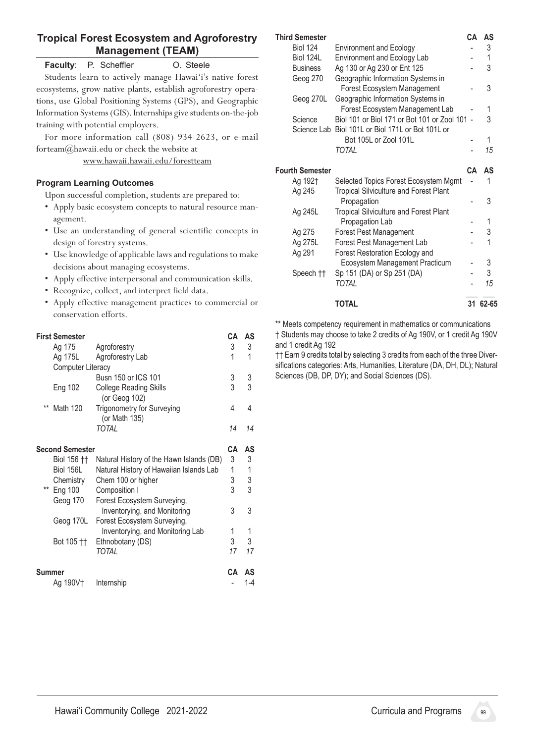# **Tropical Forest Ecosystem and Agroforestry Management (TEAM)**

#### **Faculty:** P. Scheffler **O.** Steele

Students learn to actively manage Hawai'i's native forest ecosystems, grow native plants, establish agroforestry operations, use Global Positioning Systems (GPS), and Geographic Information Systems(GIS).Internships give students on-the-job training with potential employers.

 For more information call (808) 934-2623, or e-mail forteam@hawaii.edu or check the website at

www.hawaii.hawaii.edu/forestteam

#### **Program Learning Outcomes**

Upon successful completion, students are prepared to:

- Apply basic ecosystem concepts to natural resource management.
- • Use an understanding of general scientific concepts in design of forestry systems.
- • Use knowledge of applicable laws and regulations to make decisions about managing ecosystems.
- Apply effective interpersonal and communication skills.
- Recognize, collect, and interpret field data.
- • Apply effective management practices to commercial or conservation efforts.

|                        | <b>First Semester</b>    |                                                                 | CА | AS      |
|------------------------|--------------------------|-----------------------------------------------------------------|----|---------|
|                        | Ag 175                   | Agroforestry                                                    | 3  | 3       |
|                        | Ag 175L                  | Agroforestry Lab                                                | 1  | 1       |
|                        | <b>Computer Literacy</b> |                                                                 |    |         |
|                        |                          | Busn 150 or ICS 101                                             | 3  | 3       |
|                        | Eng 102                  | <b>College Reading Skills</b><br>(or Geog 102)                  | 3  | 3       |
| $***$                  | Math 120                 | <b>Trigonometry for Surveying</b><br>(or Math 135)              | 4  | 4       |
|                        |                          | <b>TOTAL</b>                                                    | 14 | 14      |
| <b>Second Semester</b> |                          |                                                                 | CА | AS      |
|                        | Biol 156 ††              | Natural History of the Hawn Islands (DB)                        | 3  | 3       |
|                        | Biol 156L                | Natural History of Hawaiian Islands Lab                         | 1  | 1       |
|                        | Chemistry                | Chem 100 or higher                                              | 3  | 3       |
| **                     | Eng 100                  | Composition I                                                   | 3  | 3       |
|                        | Geog 170                 | Forest Ecosystem Surveying,<br>Inventorying, and Monitoring     | 3  | 3       |
|                        | Geog 170L                | Forest Ecosystem Surveying,<br>Inventorying, and Monitoring Lab | 1  | 1       |
|                        | Bot 105 ††               | Ethnobotany (DS)                                                | 3  | 3       |
|                        |                          | TOTAL                                                           | 17 | 17      |
| Summer                 |                          | CА                                                              | AS |         |
|                        | Ag 190V†                 | Internship                                                      |    | $1 - 4$ |

#### **Third Semester CA AS** Biol 124 Environment and Ecology **- 3** Biol 124L Environment and Ecology Lab - 1 Business Ag 130 or Ag 230 or Ent 125 - 3 Geog 270 Geographic Information Systems in Forest Ecosystem Management - 3 Geog 270L Geographic Information Systems in Forest Ecosystem Management Lab - 1 Science Biol 101 or Biol 171 or Bot 101 or Zool 101 - 3 Science Lab Biol 101L or Biol 171L or Bot 101L or Bot 105L or Zool 101L - 1  *TOTAL - 15* **Fourth Semester CA AS** Ag 192† Selected Topics Forest Ecosystem Mgmt - 1 Ag 245 Tropical Silviculture and Forest Plant Propagation and a set of  $\sim$  3 Ag 245L Tropical Silviculture and Forest Plant Propagation Lab The Contract of the 1 Ag 275 Forest Pest Management - 3 Ag 275L Forest Pest Management Lab - 1 Ag 291 Forest Restoration Ecology and Ecosystem Management Practicum - 3 Speech †† Sp 151 (DA) or Sp 251 (DA) - 3  *TOTAL - 15*  **\_\_\_ \_\_\_ TOTAL 31 62-65**

\*\* Meets competency requirement in mathematics or communications † Students may choose to take 2 credits of Ag 190V, or 1 credit Ag 190V and 1 credit Ag 192

†† Earn 9 credits total by selecting 3 credits from each of the three Diversifications categories: Arts, Humanities, Literature (DA, DH, DL); Natural Sciences (DB, DP, DY); and Social Sciences (DS).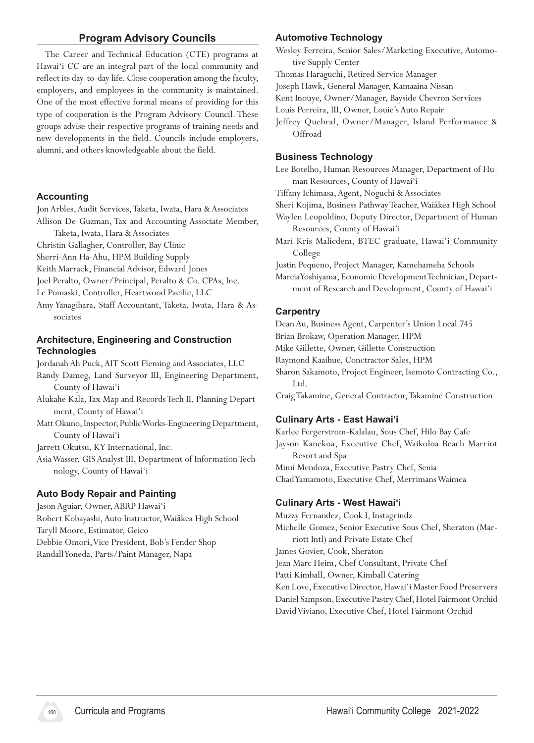# **Program Advisory Councils**

The Career and Technical Education (CTE) programs at Hawai'i CC are an integral part of the local community and reflect its day-to-day life. Close cooperation among the faculty, employers, and employees in the community is maintained. One of the most effective formal means of providing for this type of cooperation is the Program Advisory Council. These groups advise their respective programs of training needs and new developments in the field. Councils include employers, alumni, and others knowledgeable about the field.

#### **Accounting**

Jon Arbles, Audit Services, Taketa, Iwata, Hara & Associates Allison De Guzman, Tax and Accounting Associate Member,

Taketa, Iwata, Hara & Associates

Christin Gallagher, Controller, Bay Clinic

Sherri-Ann Ha-Ahu, HPM Building Supply

Keith Marrack, Financial Advisor, Edward Jones

Joel Peralto, Owner/Principal, Peralto & Co. CPAs, Inc.

Le Pomaski, Controller, Heartwood Pacific, LLC

Amy Yanagihara, Staff Accountant, Taketa, Iwata, Hara & Associates

#### **Architecture, Engineering and Construction Technologies**

Jordanah Ah Puck,AIT Scott Fleming and Associates, LLC

- Randy Dameg, Land Surveyor III, Engineering Department, County of Hawai'i
- Alukahe Kala,Tax Map and RecordsTech II, Planning Department, County of Hawai'i
- Matt Okuno, Inspector, Public Works-Engineering Department, County of Hawai'i

Jarrett Okutsu, KY International, Inc.

AsiaWasser, GIS Analyst III, Department of InformationTechnology, County of Hawai'i

#### **Auto Body Repair and Painting**

Jason Aguiar, Owner,ABRP Hawai'i Robert Kobayashi,Auto Instructor,Waiākea High School Taryll Moore, Estimator, Geico Debbie Omori, Vice President, Bob's Fender Shop RandallYoneda, Parts/Paint Manager, Napa

#### **Automotive Technology**

Wesley Ferreira, Senior Sales/Marketing Executive, Automotive Supply Center

Thomas Haraguchi, Retired Service Manager

Joseph Hawk, General Manager, Kamaaina Nissan

Kent Inouye, Owner/Manager, Bayside Chevron Services

Louis Perreira, III, Owner, Louie's Auto Repair

Jeffrey Quebral, Owner/Manager, Island Performance & **Offroad** 

#### **Business Technology**

Lee Botelho, Human Resources Manager, Department of Human Resources, County of Hawai'i

Tiffany Ichimasa,Agent, Noguchi &Associates

Sheri Kojima, Business PathwayTeacher,Waiākea High School

Waylen Leopoldino, Deputy Director, Department of Human Resources, County of Hawai'i

Mari Kris Malicdem, BTEC graduate, Hawai'i Community College

Justin Pequeno, Project Manager, Kamehameha Schools

Marcia Yoshiyama, Economic Development Technician, Department of Research and Development, County of Hawai'i

#### **Carpentry**

Dean Au, Business Agent, Carpenter's Union Local 745 Brian Brokaw, Operation Manager, HPM Mike Gillette, Owner, Gillette Construction Raymond Kaaihue, Conctractor Sales, HPM Sharon Sakamoto, Project Engineer, Isemoto Contracting Co.,

Ltd.

Craig Takamine, General Contractor, Takamine Construction

#### **Culinary Arts - East Hawai'i**

Karlee Fergerstrom-Kalalau, Sous Chef, Hilo Bay Cafe Jayson Kanekoa, Executive Chef, Waikoloa Beach Marriot Resort and Spa Mimi Mendoza, Executive Pastry Chef, Senia ChadYamamoto, Executive Chef, MerrimansWaimea

#### **Culinary Arts - West Hawai'i**

Muzzy Fernandez, Cook I, Instagrindz Michelle Gomez, Senior Executive Sous Chef, Sheraton (Marriott Intl) and Private Estate Chef James Govier, Cook, Sheraton Jean Marc Heim, Chef Consultant, Private Chef Patti Kimball, Owner, Kimball Catering Ken Love, Executive Director, Hawai'i Master Food Preservers Daniel Sampson, Executive Pastry Chef, Hotel Fairmont Orchid David Viviano, Executive Chef, Hotel Fairmont Orchid

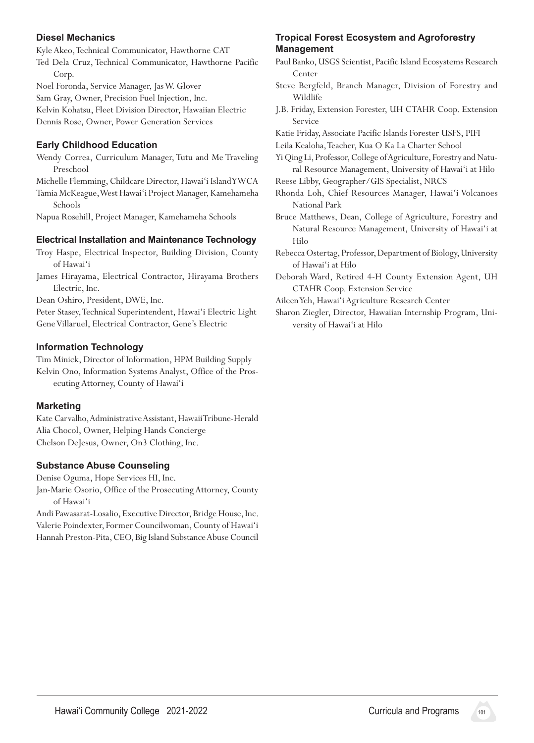# **Diesel Mechanics**

Kyle Akeo,Technical Communicator, Hawthorne CAT

Ted Dela Cruz, Technical Communicator, Hawthorne Pacific Corp.

Noel Foronda, Service Manager, JasW. Glover

Sam Gray, Owner, Precision Fuel Injection, Inc.

Kelvin Kohatsu, Fleet Division Director, Hawaiian Electric Dennis Rose, Owner, Power Generation Services

# **Early Childhood Education**

Wendy Correa, Curriculum Manager, Tutu and Me Traveling Preschool

Michelle Flemming, Childcare Director, Hawai'i IslandYWCA Tamia McKeague, West Hawai'i Project Manager, Kamehameha Schools

Napua Rosehill, Project Manager, Kamehameha Schools

# **Electrical Installation and Maintenance Technology**

- Troy Haspe, Electrical Inspector, Building Division, County of Hawai'i
- James Hirayama, Electrical Contractor, Hirayama Brothers Electric, Inc.

Dean Oshiro, President, DWE, Inc.

Peter Stasey, Technical Superintendent, Hawai'i Electric Light Gene Villaruel, Electrical Contractor, Gene's Electric

# **Information Technology**

Tim Minick, Director of Information, HPM Building Supply Kelvin Ono, Information Systems Analyst, Office of the Prosecuting Attorney, County of Hawai'i

# **Marketing**

Kate Carvalho, Administrative Assistant, HawaiiTribune-Herald Alia Chocol, Owner, Helping Hands Concierge Chelson DeJesus, Owner, On3 Clothing, Inc.

# **Substance Abuse Counseling**

Denise Oguma, Hope Services HI, Inc. Jan-Marie Osorio, Office of the ProsecutingAttorney, County of Hawai'i

Andi Pawasarat-Losalio, Executive Director, Bridge House, Inc. Valerie Poindexter, Former Councilwoman, County of Hawai'i Hannah Preston-Pita, CEO, Big Island Substance Abuse Council

# **Tropical Forest Ecosystem and Agroforestry Management**

- Paul Banko, USGS Scientist, Pacific Island Ecosystems Research Center
- Steve Bergfeld, Branch Manager, Division of Forestry and Wildlife
- J.B. Friday, Extension Forester, UH CTAHR Coop. Extension Service
- Katie Friday,Associate Pacific Islands Forester USFS, PIFI
- Leila Kealoha,Teacher, Kua O Ka La Charter School

Yi Qing Li, Professor, College of Agriculture, Forestry and Natural Resource Management, University of Hawai'i at Hilo

- Reese Libby, Geographer/GIS Specialist, NRCS
- Rhonda Loh, Chief Resources Manager, Hawai'i Volcanoes National Park
- Bruce Matthews, Dean, College of Agriculture, Forestry and Natural Resource Management, University of Hawai'i at Hilo
- Rebecca Ostertag,Professor, Department of Biology, University of Hawai'i at Hilo
- Deborah Ward, Retired 4-H County Extension Agent, UH CTAHR Coop. Extension Service
- Aileen Yeh, Hawai'i Agriculture Research Center
- Sharon Ziegler, Director, Hawaiian Internship Program, University of Hawai'i at Hilo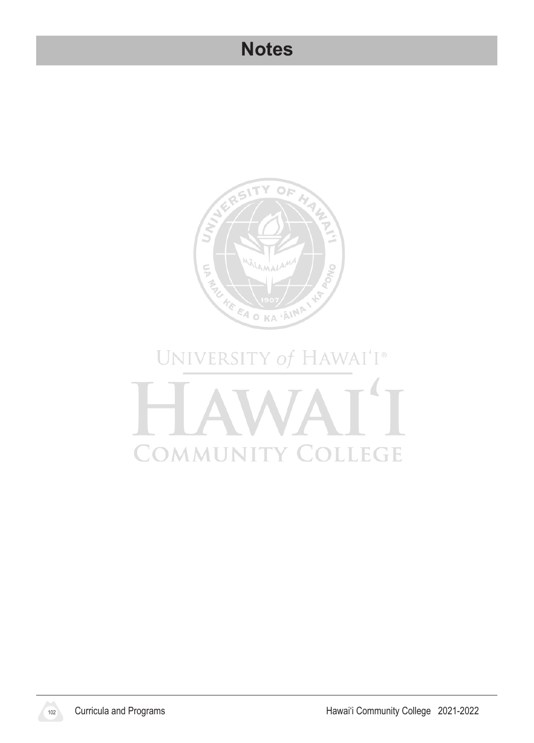# **Notes**



# UNIVERSITY of HAWAI'I® COMMUNIT **LEGE** T Y  $\bigcirc$  $\mathbb{C}$